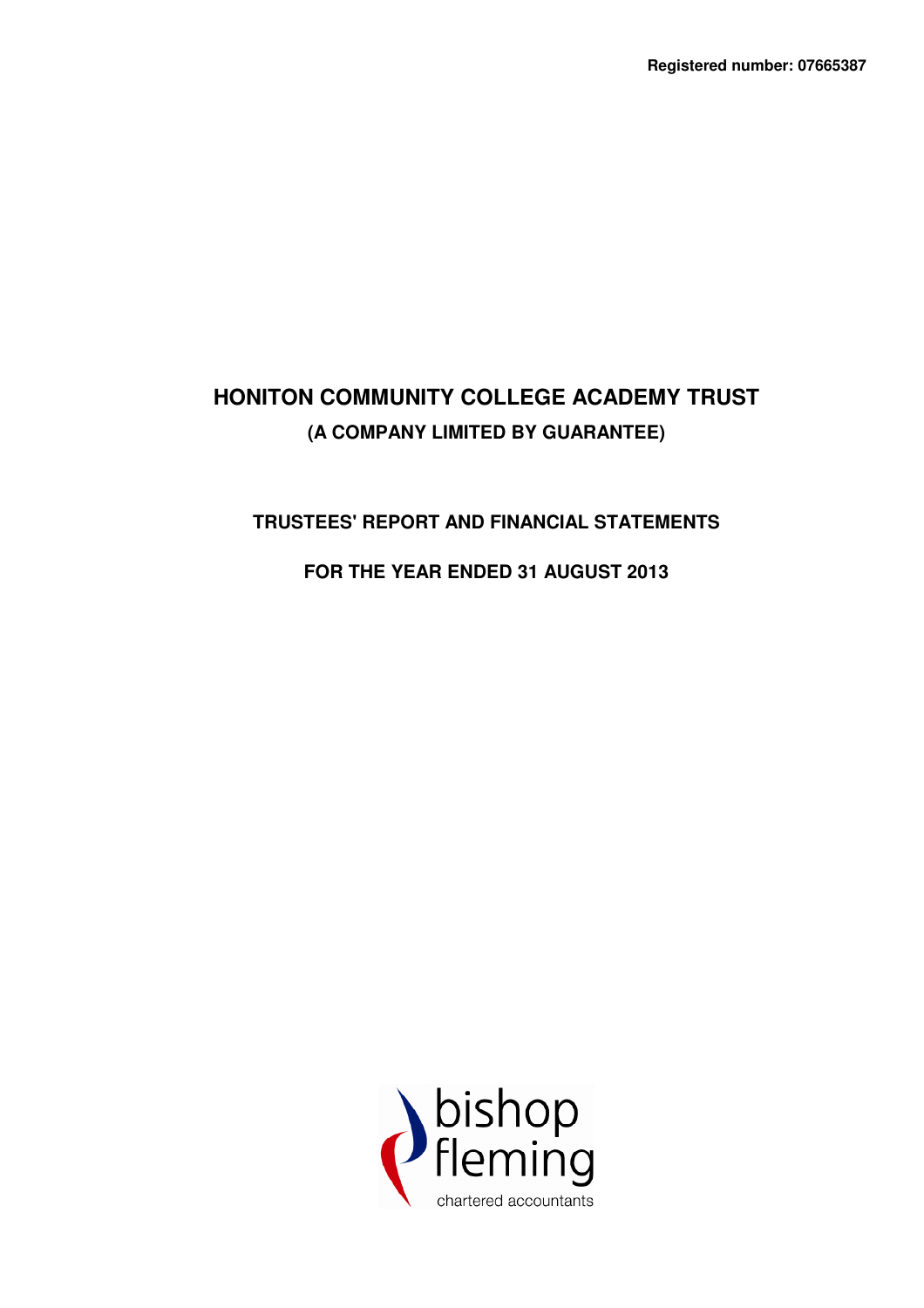# **TRUSTEES' REPORT AND FINANCIAL STATEMENTS**

# **FOR THE YEAR ENDED 31 AUGUST 2013**

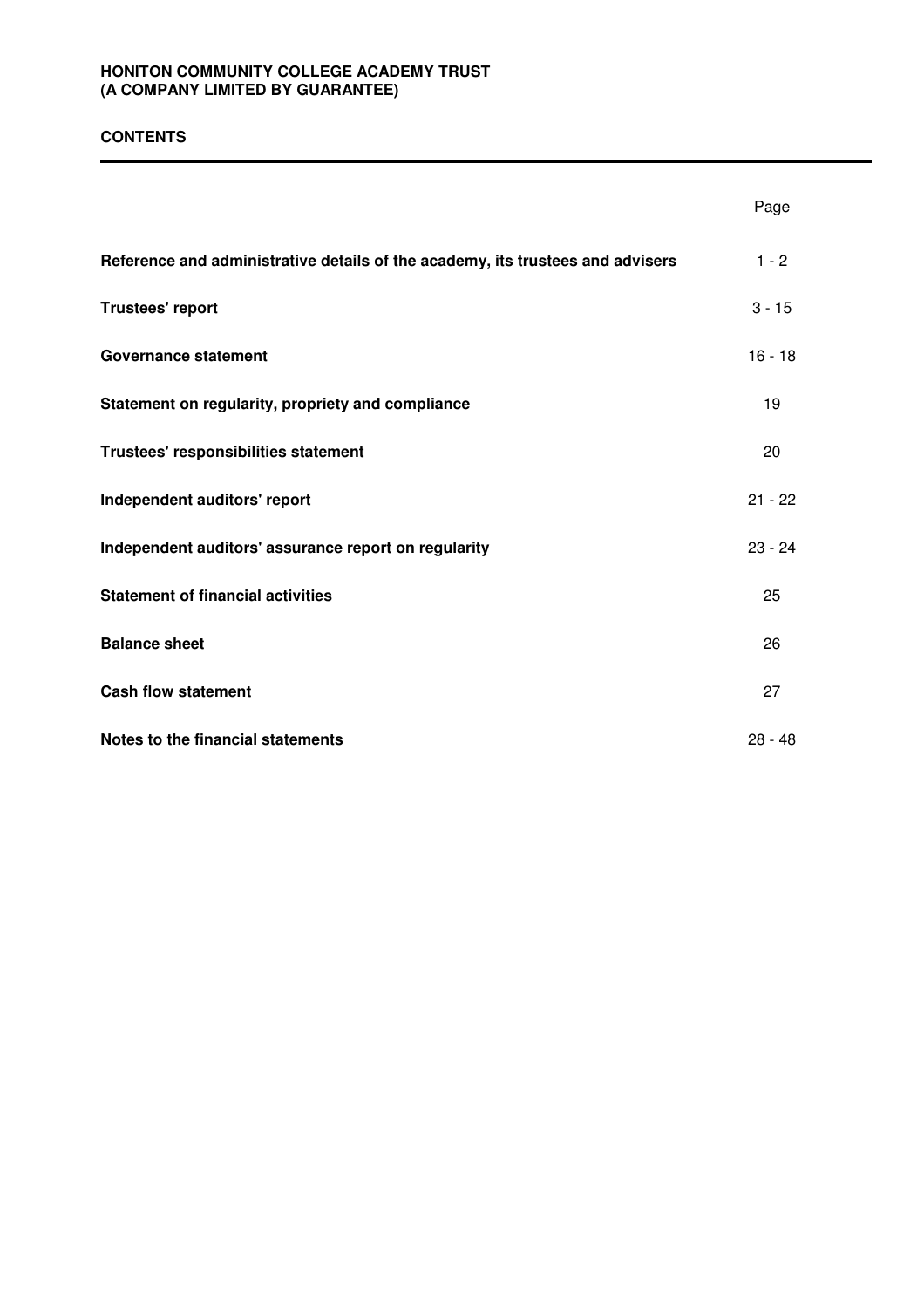### **CONTENTS**

|                                                                                | Page      |
|--------------------------------------------------------------------------------|-----------|
| Reference and administrative details of the academy, its trustees and advisers | $1 - 2$   |
| Trustees' report                                                               | $3 - 15$  |
| <b>Governance statement</b>                                                    | $16 - 18$ |
| Statement on regularity, propriety and compliance                              | 19        |
| Trustees' responsibilities statement                                           | 20        |
| Independent auditors' report                                                   | $21 - 22$ |
| Independent auditors' assurance report on regularity                           | $23 - 24$ |
| <b>Statement of financial activities</b>                                       | 25        |
| <b>Balance sheet</b>                                                           | 26        |
| <b>Cash flow statement</b>                                                     | 27        |
| Notes to the financial statements                                              | $28 - 48$ |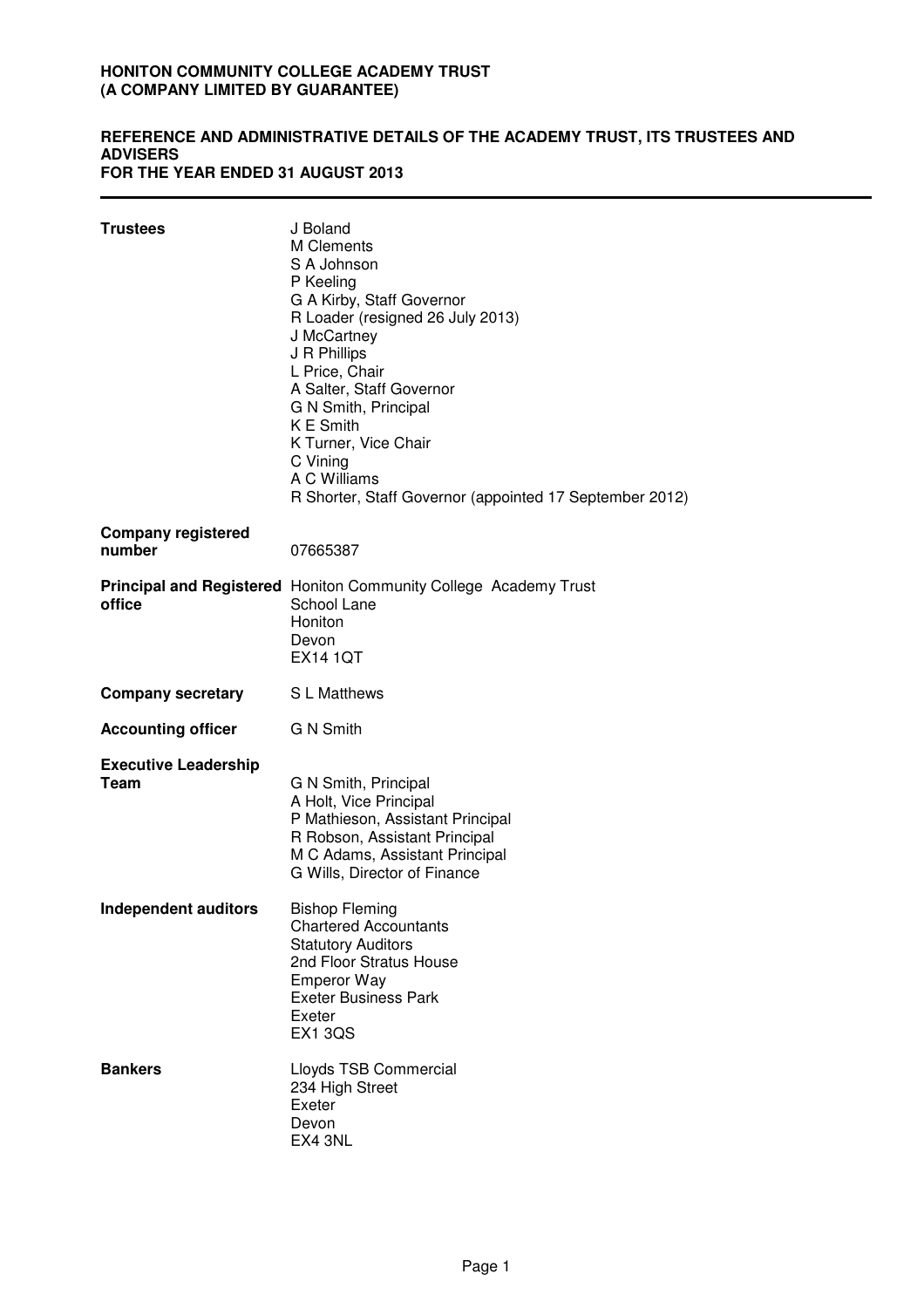#### **REFERENCE AND ADMINISTRATIVE DETAILS OF THE ACADEMY TRUST, ITS TRUSTEES AND ADVISERS FOR THE YEAR ENDED 31 AUGUST 2013**

| <b>Trustees</b>                            | J Boland<br><b>M</b> Clements<br>S A Johnson<br>P Keeling<br>G A Kirby, Staff Governor<br>R Loader (resigned 26 July 2013)<br>J McCartney<br>J R Phillips<br>L Price, Chair<br>A Salter, Staff Governor<br>G N Smith, Principal<br><b>KE</b> Smith<br>K Turner, Vice Chair<br>C Vining<br>A C Williams<br>R Shorter, Staff Governor (appointed 17 September 2012) |
|--------------------------------------------|-------------------------------------------------------------------------------------------------------------------------------------------------------------------------------------------------------------------------------------------------------------------------------------------------------------------------------------------------------------------|
| <b>Company registered</b><br>number        | 07665387                                                                                                                                                                                                                                                                                                                                                          |
| office                                     | <b>Principal and Registered</b> Honiton Community College Academy Trust<br>School Lane<br>Honiton<br>Devon<br><b>EX14 1QT</b>                                                                                                                                                                                                                                     |
| <b>Company secretary</b>                   | S L Matthews                                                                                                                                                                                                                                                                                                                                                      |
| <b>Accounting officer</b>                  | G N Smith                                                                                                                                                                                                                                                                                                                                                         |
| <b>Executive Leadership</b><br><b>Team</b> | G N Smith, Principal<br>A Holt, Vice Principal<br>P Mathieson, Assistant Principal<br>R Robson, Assistant Principal<br>M C Adams, Assistant Principal<br>G Wills, Director of Finance                                                                                                                                                                             |
| <b>Independent auditors</b>                | <b>Bishop Fleming</b><br><b>Chartered Accountants</b><br><b>Statutory Auditors</b><br>2nd Floor Stratus House<br><b>Emperor Way</b><br><b>Exeter Business Park</b><br>Exeter<br><b>EX1 3QS</b>                                                                                                                                                                    |
| <b>Bankers</b>                             | Lloyds TSB Commercial<br>234 High Street<br>Exeter<br>Devon<br>EX4 3NL                                                                                                                                                                                                                                                                                            |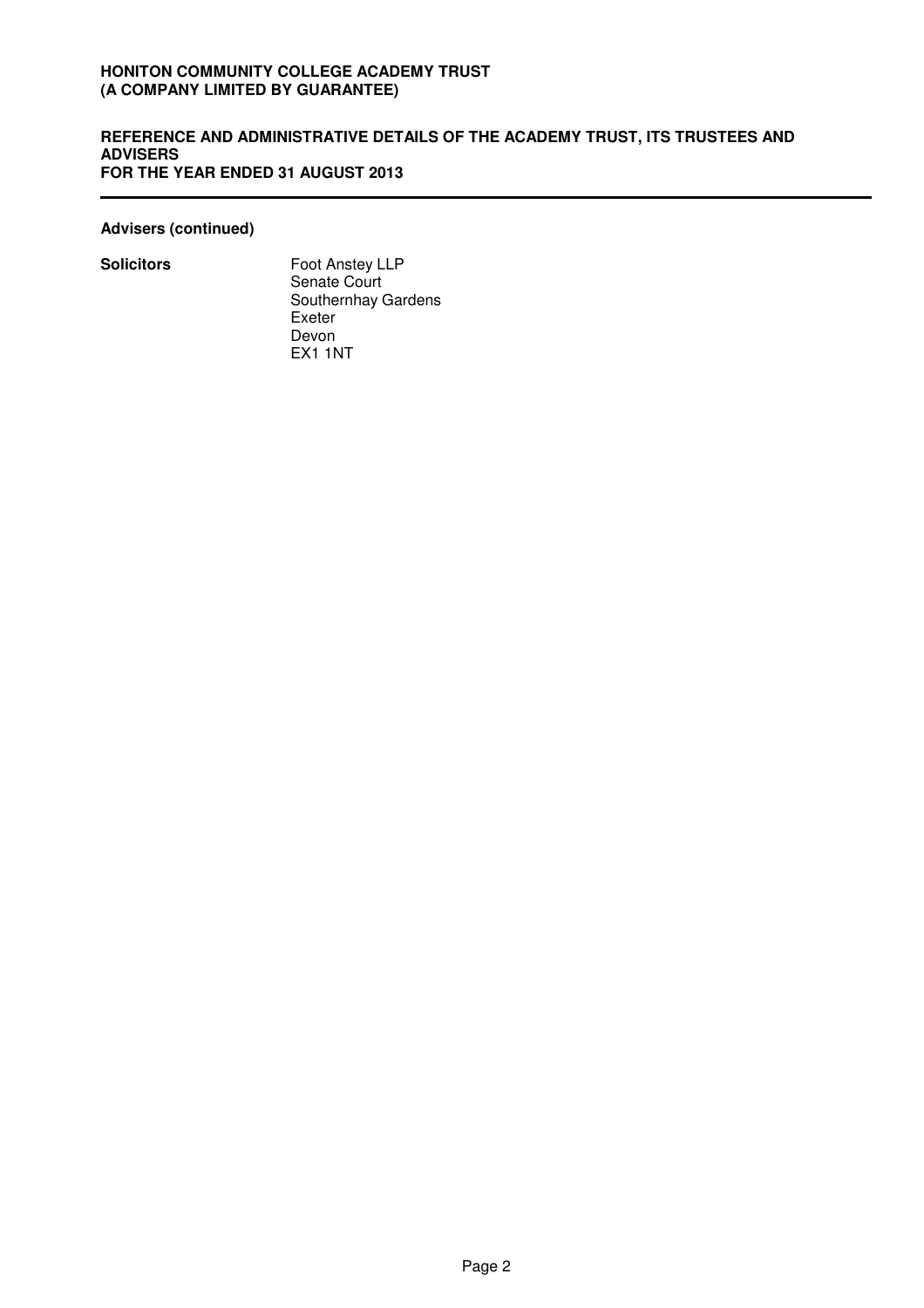#### **REFERENCE AND ADMINISTRATIVE DETAILS OF THE ACADEMY TRUST, ITS TRUSTEES AND ADVISERS FOR THE YEAR ENDED 31 AUGUST 2013**

**Advisers (continued)**

**Solicitors** Foot Anstey LLP Senate Court Southernhay Gardens Exeter Devon EX1 1NT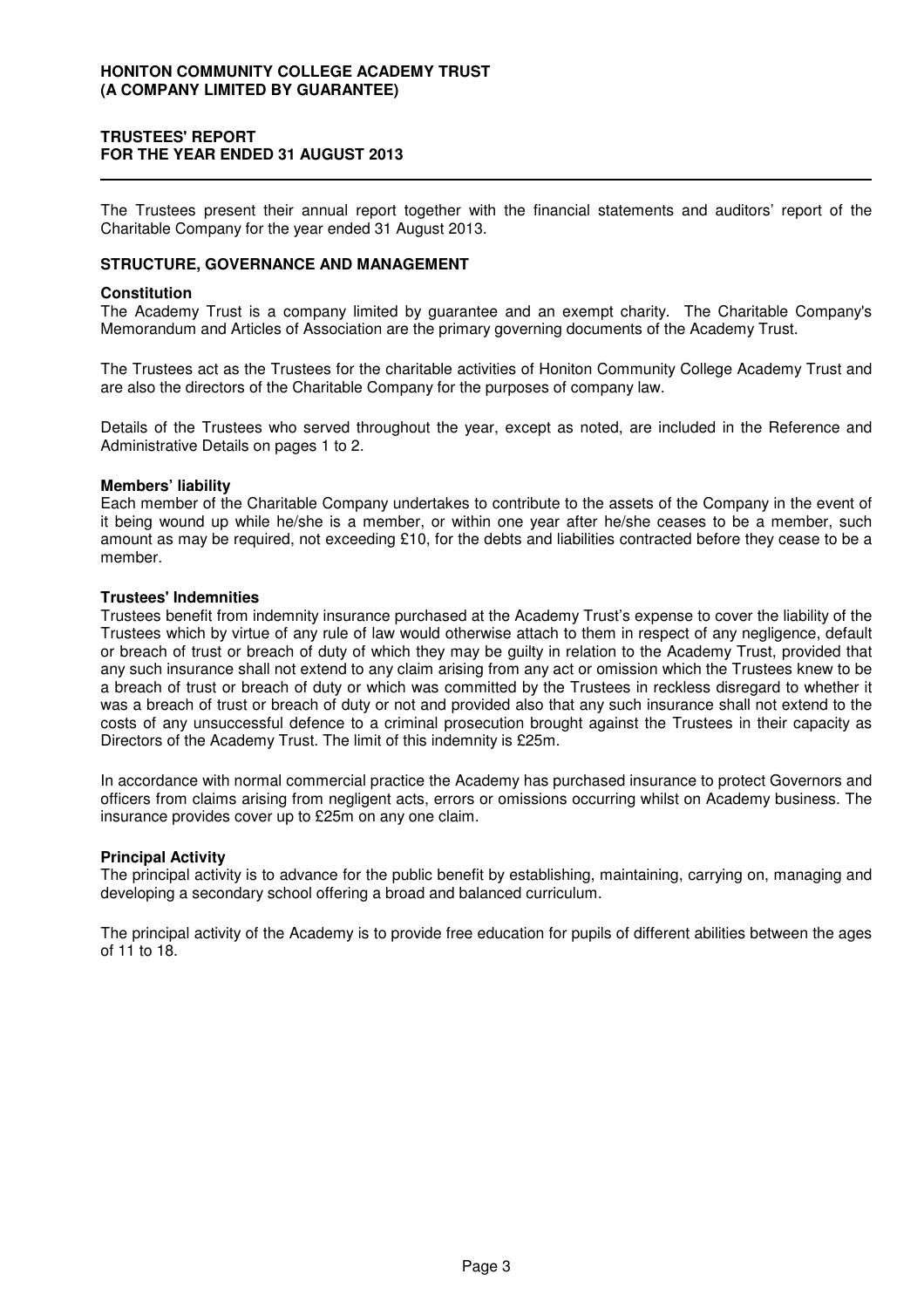### **TRUSTEES' REPORT FOR THE YEAR ENDED 31 AUGUST 2013**

The Trustees present their annual report together with the financial statements and auditors' report of the Charitable Company for the year ended 31 August 2013.

### **STRUCTURE, GOVERNANCE AND MANAGEMENT**

#### **Constitution**

The Academy Trust is a company limited by guarantee and an exempt charity. The Charitable Company's Memorandum and Articles of Association are the primary governing documents of the Academy Trust.

The Trustees act as the Trustees for the charitable activities of Honiton Community College Academy Trust and are also the directors of the Charitable Company for the purposes of company law.

Details of the Trustees who served throughout the year, except as noted, are included in the Reference and Administrative Details on pages 1 to 2.

#### **Members' liability**

Each member of the Charitable Company undertakes to contribute to the assets of the Company in the event of it being wound up while he/she is a member, or within one year after he/she ceases to be a member, such amount as may be required, not exceeding £10, for the debts and liabilities contracted before they cease to be a member.

#### **Trustees' Indemnities**

Trustees benefit from indemnity insurance purchased at the Academy Trust's expense to cover the liability of the Trustees which by virtue of any rule of law would otherwise attach to them in respect of any negligence, default or breach of trust or breach of duty of which they may be guilty in relation to the Academy Trust, provided that any such insurance shall not extend to any claim arising from any act or omission which the Trustees knew to be a breach of trust or breach of duty or which was committed by the Trustees in reckless disregard to whether it was a breach of trust or breach of duty or not and provided also that any such insurance shall not extend to the costs of any unsuccessful defence to a criminal prosecution brought against the Trustees in their capacity as Directors of the Academy Trust. The limit of this indemnity is £25m.

In accordance with normal commercial practice the Academy has purchased insurance to protect Governors and officers from claims arising from negligent acts, errors or omissions occurring whilst on Academy business. The insurance provides cover up to £25m on any one claim.

#### **Principal Activity**

The principal activity is to advance for the public benefit by establishing, maintaining, carrying on, managing and developing a secondary school offering a broad and balanced curriculum.

The principal activity of the Academy is to provide free education for pupils of different abilities between the ages of 11 to 18.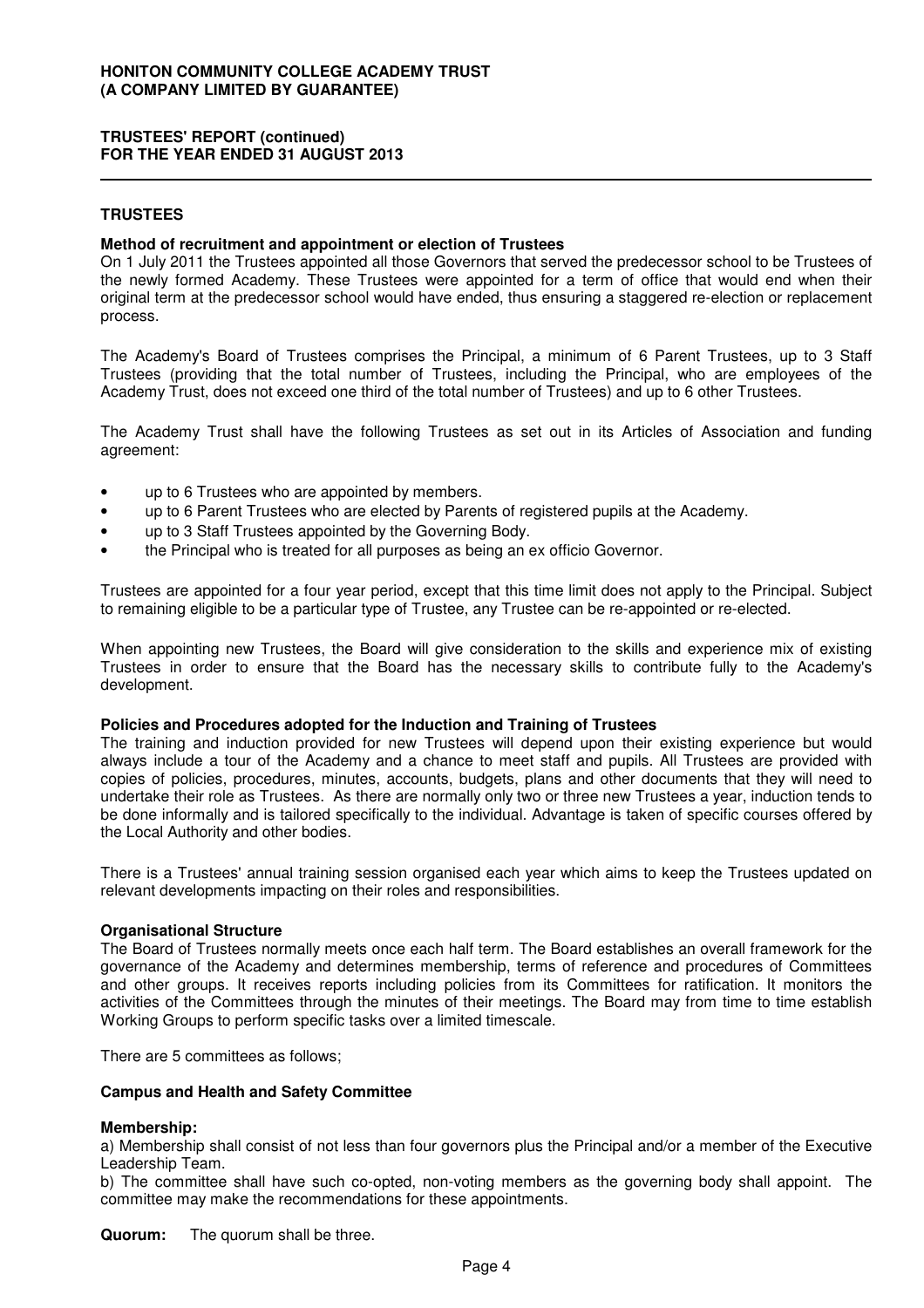### **TRUSTEES**

#### **Method of recruitment and appointment or election of Trustees**

On 1 July 2011 the Trustees appointed all those Governors that served the predecessor school to be Trustees of the newly formed Academy. These Trustees were appointed for a term of office that would end when their original term at the predecessor school would have ended, thus ensuring a staggered re-election or replacement process.

The Academy's Board of Trustees comprises the Principal, a minimum of 6 Parent Trustees, up to 3 Staff Trustees (providing that the total number of Trustees, including the Principal, who are employees of the Academy Trust, does not exceed one third of the total number of Trustees) and up to 6 other Trustees.

The Academy Trust shall have the following Trustees as set out in its Articles of Association and funding agreement:

- up to 6 Trustees who are appointed by members.
- up to 6 Parent Trustees who are elected by Parents of registered pupils at the Academy.
- up to 3 Staff Trustees appointed by the Governing Body.
- the Principal who is treated for all purposes as being an ex officio Governor.

Trustees are appointed for a four year period, except that this time limit does not apply to the Principal. Subject to remaining eligible to be a particular type of Trustee, any Trustee can be re-appointed or re-elected.

When appointing new Trustees, the Board will give consideration to the skills and experience mix of existing Trustees in order to ensure that the Board has the necessary skills to contribute fully to the Academy's development.

#### **Policies and Procedures adopted for the Induction and Training of Trustees**

The training and induction provided for new Trustees will depend upon their existing experience but would always include a tour of the Academy and a chance to meet staff and pupils. All Trustees are provided with copies of policies, procedures, minutes, accounts, budgets, plans and other documents that they will need to undertake their role as Trustees. As there are normally only two or three new Trustees a year, induction tends to be done informally and is tailored specifically to the individual. Advantage is taken of specific courses offered by the Local Authority and other bodies.

There is a Trustees' annual training session organised each year which aims to keep the Trustees updated on relevant developments impacting on their roles and responsibilities.

#### **Organisational Structure**

The Board of Trustees normally meets once each half term. The Board establishes an overall framework for the governance of the Academy and determines membership, terms of reference and procedures of Committees and other groups. It receives reports including policies from its Committees for ratification. It monitors the activities of the Committees through the minutes of their meetings. The Board may from time to time establish Working Groups to perform specific tasks over a limited timescale.

There are 5 committees as follows;

#### **Campus and Health and Safety Committee**

#### **Membership:**

a) Membership shall consist of not less than four governors plus the Principal and/or a member of the Executive Leadership Team.

b) The committee shall have such co-opted, non-voting members as the governing body shall appoint. The committee may make the recommendations for these appointments.

**Quorum:** The quorum shall be three.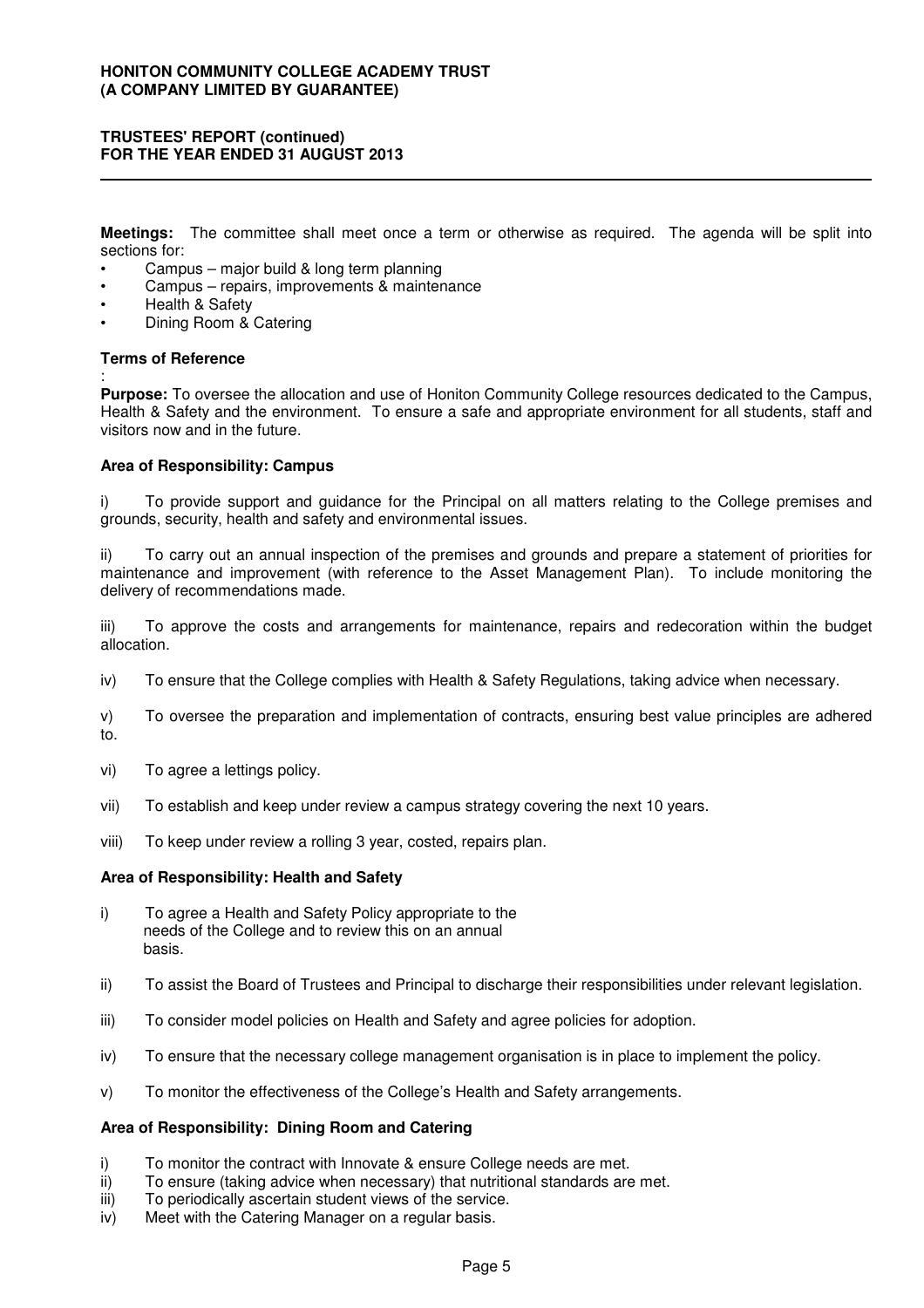**Meetings:** The committee shall meet once a term or otherwise as required. The agenda will be split into sections for:

- Campus major build & long term planning
- Campus repairs, improvements & maintenance
- Health & Safety
- Dining Room & Catering

### **Terms of Reference**

:

**Purpose:** To oversee the allocation and use of Honiton Community College resources dedicated to the Campus, Health & Safety and the environment. To ensure a safe and appropriate environment for all students, staff and visitors now and in the future.

### **Area of Responsibility: Campus**

i) To provide support and guidance for the Principal on all matters relating to the College premises and grounds, security, health and safety and environmental issues.

ii) To carry out an annual inspection of the premises and grounds and prepare a statement of priorities for maintenance and improvement (with reference to the Asset Management Plan). To include monitoring the delivery of recommendations made.

iii) To approve the costs and arrangements for maintenance, repairs and redecoration within the budget allocation.

- iv) To ensure that the College complies with Health & Safety Regulations, taking advice when necessary.
- v) To oversee the preparation and implementation of contracts, ensuring best value principles are adhered to.
- vi) To agree a lettings policy.
- vii) To establish and keep under review a campus strategy covering the next 10 years.
- viii) To keep under review a rolling 3 year, costed, repairs plan.

#### **Area of Responsibility: Health and Safety**

- i) To agree a Health and Safety Policy appropriate to the needs of the College and to review this on an annual basis.
- ii) To assist the Board of Trustees and Principal to discharge their responsibilities under relevant legislation.
- iii) To consider model policies on Health and Safety and agree policies for adoption.
- iv) To ensure that the necessary college management organisation is in place to implement the policy.
- v) To monitor the effectiveness of the College's Health and Safety arrangements.

### **Area of Responsibility: Dining Room and Catering**

- i) To monitor the contract with Innovate & ensure College needs are met.
- ii) To ensure (taking advice when necessary) that nutritional standards are met.
- iii) To periodically ascertain student views of the service.
- iv) Meet with the Catering Manager on a regular basis.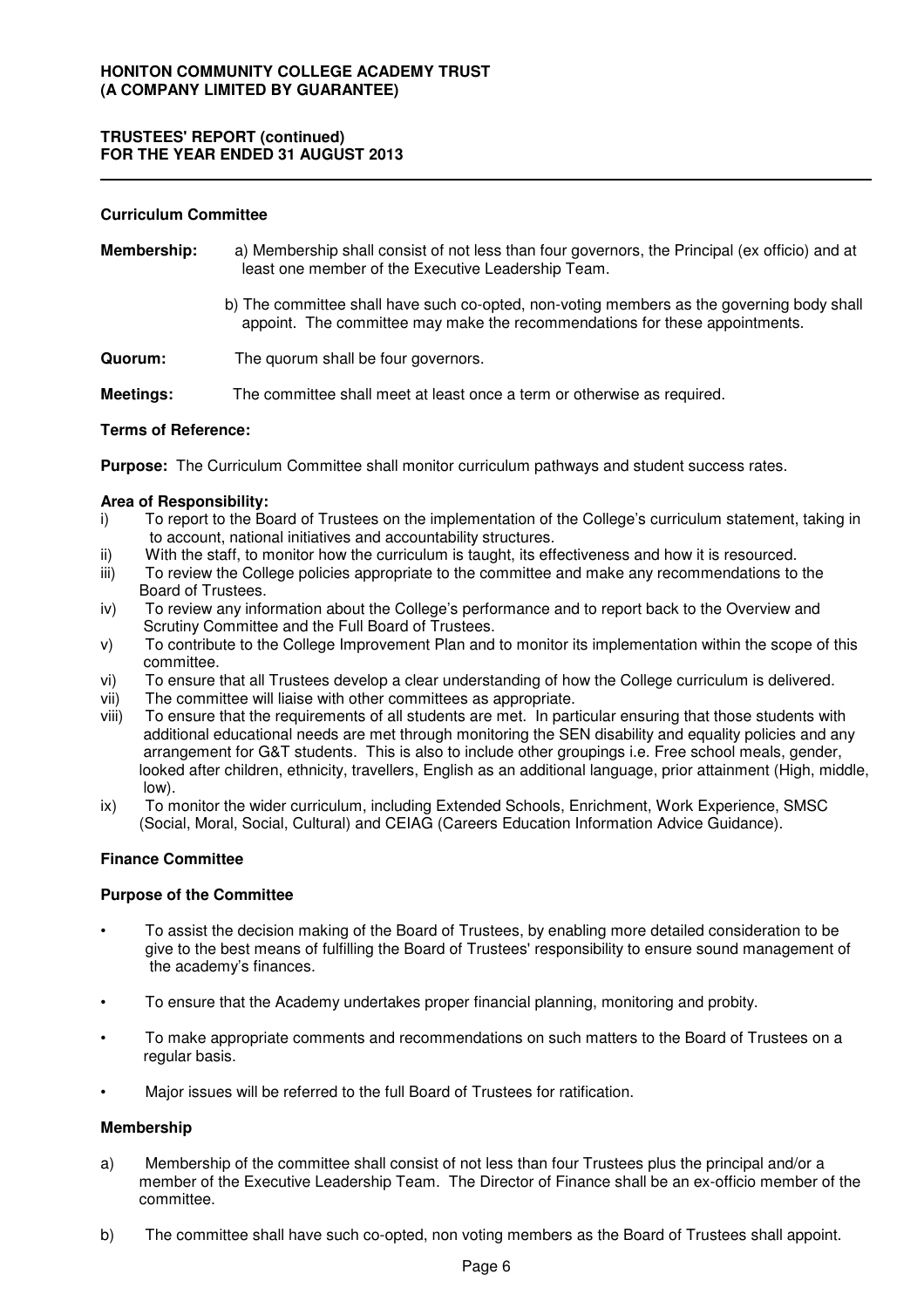#### **Curriculum Committee**

- **Membership:** a) Membership shall consist of not less than four governors, the Principal (ex officio) and at least one member of the Executive Leadership Team.
	- b) The committee shall have such co-opted, non-voting members as the governing body shall appoint. The committee may make the recommendations for these appointments.
- **Quorum:** The quorum shall be four governors.

**Meetings:** The committee shall meet at least once a term or otherwise as required.

#### **Terms of Reference:**

**Purpose:** The Curriculum Committee shall monitor curriculum pathways and student success rates.

#### **Area of Responsibility:**

- i) To report to the Board of Trustees on the implementation of the College's curriculum statement, taking in to account, national initiatives and accountability structures.
- ii) With the staff, to monitor how the curriculum is taught, its effectiveness and how it is resourced.
- iii) To review the College policies appropriate to the committee and make any recommendations to the Board of Trustees.
- iv) To review any information about the College's performance and to report back to the Overview and Scrutiny Committee and the Full Board of Trustees.
- v) To contribute to the College Improvement Plan and to monitor its implementation within the scope of this committee.
- vi) To ensure that all Trustees develop a clear understanding of how the College curriculum is delivered.
- vii) The committee will liaise with other committees as appropriate.
- viii) To ensure that the requirements of all students are met. In particular ensuring that those students with additional educational needs are met through monitoring the SEN disability and equality policies and any arrangement for G&T students. This is also to include other groupings i.e. Free school meals, gender, looked after children, ethnicity, travellers, English as an additional language, prior attainment (High, middle, low).
- ix) To monitor the wider curriculum, including Extended Schools, Enrichment, Work Experience, SMSC (Social, Moral, Social, Cultural) and CEIAG (Careers Education Information Advice Guidance).

#### **Finance Committee**

#### **Purpose of the Committee**

- To assist the decision making of the Board of Trustees, by enabling more detailed consideration to be give to the best means of fulfilling the Board of Trustees' responsibility to ensure sound management of the academy's finances.
- To ensure that the Academy undertakes proper financial planning, monitoring and probity.
- To make appropriate comments and recommendations on such matters to the Board of Trustees on a regular basis.
- Major issues will be referred to the full Board of Trustees for ratification.

#### **Membership**

- a) Membership of the committee shall consist of not less than four Trustees plus the principal and/or a member of the Executive Leadership Team. The Director of Finance shall be an ex-officio member of the committee.
- b) The committee shall have such co-opted, non voting members as the Board of Trustees shall appoint.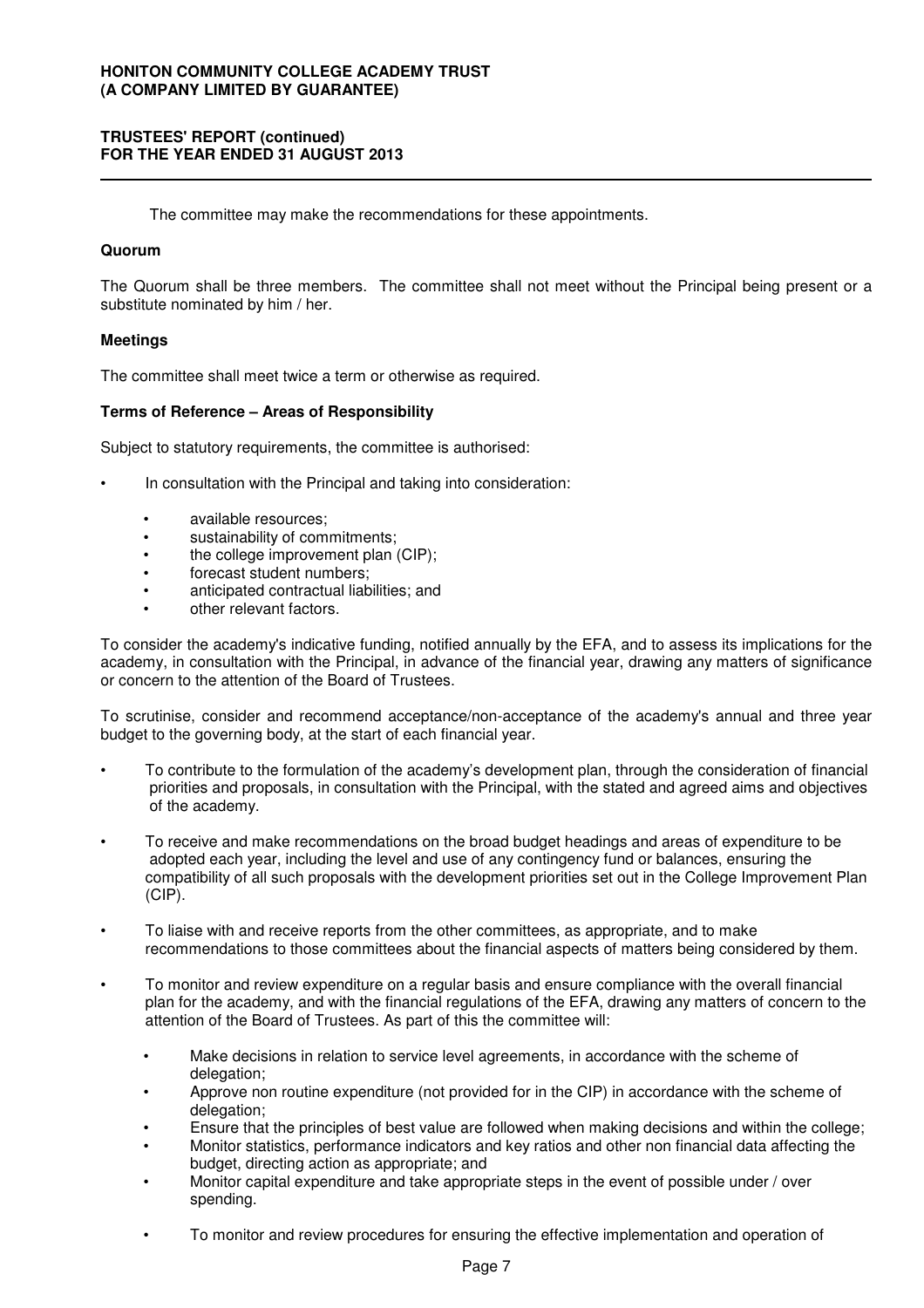### **TRUSTEES' REPORT (continued) FOR THE YEAR ENDED 31 AUGUST 2013**

The committee may make the recommendations for these appointments.

#### **Quorum**

The Quorum shall be three members. The committee shall not meet without the Principal being present or a substitute nominated by him / her.

### **Meetings**

The committee shall meet twice a term or otherwise as required.

### **Terms of Reference – Areas of Responsibility**

Subject to statutory requirements, the committee is authorised:

- In consultation with the Principal and taking into consideration:
	- available resources;
	- sustainability of commitments;
	- the college improvement plan (CIP);
	- forecast student numbers;
	- anticipated contractual liabilities; and
	- other relevant factors.

To consider the academy's indicative funding, notified annually by the EFA, and to assess its implications for the academy, in consultation with the Principal, in advance of the financial year, drawing any matters of significance or concern to the attention of the Board of Trustees.

To scrutinise, consider and recommend acceptance/non-acceptance of the academy's annual and three year budget to the governing body, at the start of each financial year.

- To contribute to the formulation of the academy's development plan, through the consideration of financial priorities and proposals, in consultation with the Principal, with the stated and agreed aims and objectives of the academy.
- To receive and make recommendations on the broad budget headings and areas of expenditure to be adopted each year, including the level and use of any contingency fund or balances, ensuring the compatibility of all such proposals with the development priorities set out in the College Improvement Plan (CIP).
- To liaise with and receive reports from the other committees, as appropriate, and to make recommendations to those committees about the financial aspects of matters being considered by them.
- To monitor and review expenditure on a regular basis and ensure compliance with the overall financial plan for the academy, and with the financial regulations of the EFA, drawing any matters of concern to the attention of the Board of Trustees. As part of this the committee will:
	- Make decisions in relation to service level agreements, in accordance with the scheme of delegation;
	- Approve non routine expenditure (not provided for in the CIP) in accordance with the scheme of delegation;
	- Ensure that the principles of best value are followed when making decisions and within the college;
	- Monitor statistics, performance indicators and key ratios and other non financial data affecting the budget, directing action as appropriate; and
	- Monitor capital expenditure and take appropriate steps in the event of possible under / over spending.
	- To monitor and review procedures for ensuring the effective implementation and operation of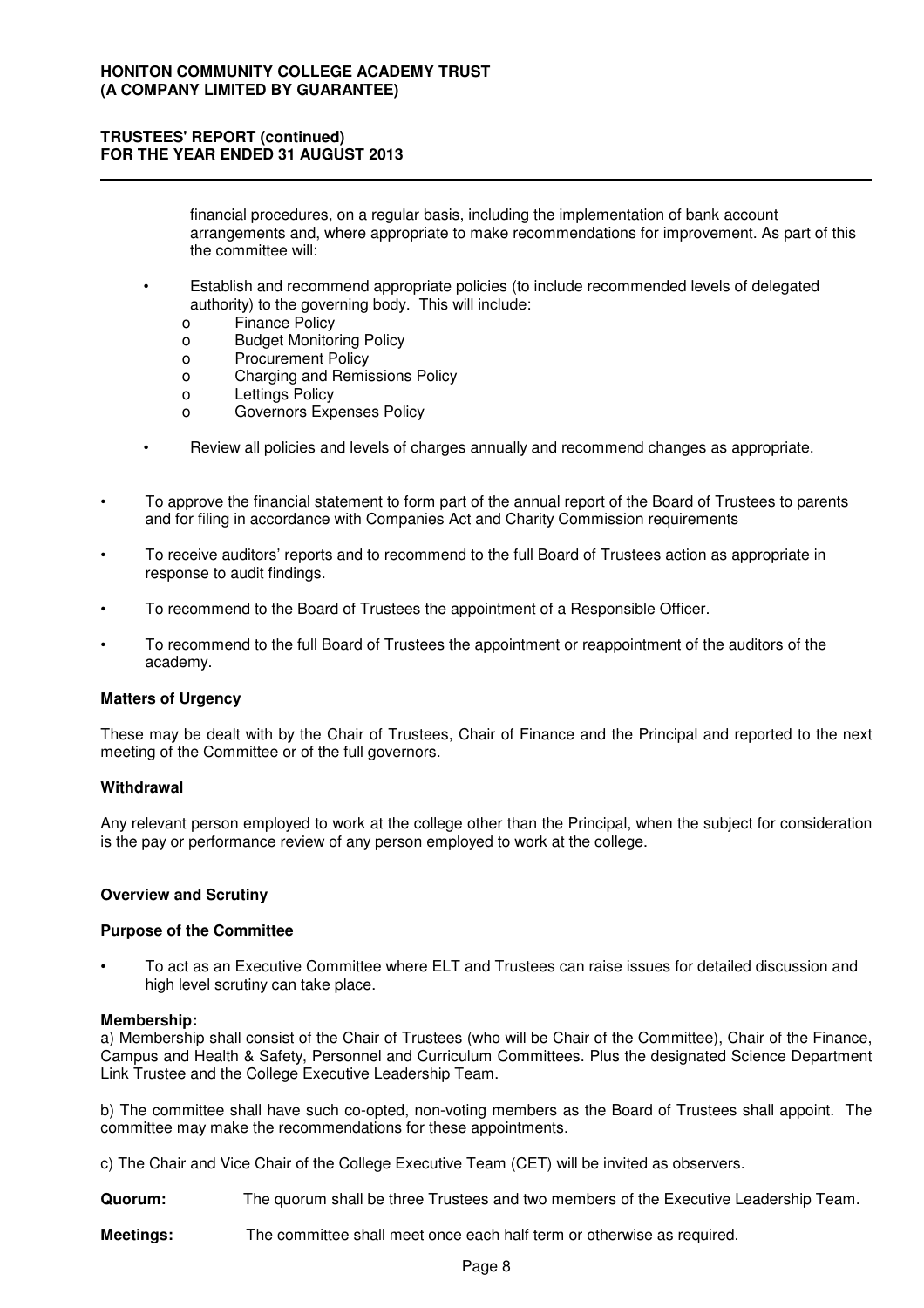financial procedures, on a regular basis, including the implementation of bank account arrangements and, where appropriate to make recommendations for improvement. As part of this the committee will:

- Establish and recommend appropriate policies (to include recommended levels of delegated authority) to the governing body. This will include:
	- o Finance Policy
	- o Budget Monitoring Policy
	- o Procurement Policy
	- o Charging and Remissions Policy
	- o Lettings Policy
	- o Governors Expenses Policy
- Review all policies and levels of charges annually and recommend changes as appropriate.
- To approve the financial statement to form part of the annual report of the Board of Trustees to parents and for filing in accordance with Companies Act and Charity Commission requirements
- To receive auditors' reports and to recommend to the full Board of Trustees action as appropriate in response to audit findings.
- To recommend to the Board of Trustees the appointment of a Responsible Officer.
- To recommend to the full Board of Trustees the appointment or reappointment of the auditors of the academy.

### **Matters of Urgency**

These may be dealt with by the Chair of Trustees, Chair of Finance and the Principal and reported to the next meeting of the Committee or of the full governors.

#### **Withdrawal**

Any relevant person employed to work at the college other than the Principal, when the subject for consideration is the pay or performance review of any person employed to work at the college.

#### **Overview and Scrutiny**

#### **Purpose of the Committee**

• To act as an Executive Committee where ELT and Trustees can raise issues for detailed discussion and high level scrutiny can take place.

#### **Membership:**

a) Membership shall consist of the Chair of Trustees (who will be Chair of the Committee), Chair of the Finance, Campus and Health & Safety, Personnel and Curriculum Committees. Plus the designated Science Department Link Trustee and the College Executive Leadership Team.

b) The committee shall have such co-opted, non-voting members as the Board of Trustees shall appoint. The committee may make the recommendations for these appointments.

c) The Chair and Vice Chair of the College Executive Team (CET) will be invited as observers.

**Quorum:** The quorum shall be three Trustees and two members of the Executive Leadership Team.

**Meetings:** The committee shall meet once each half term or otherwise as required.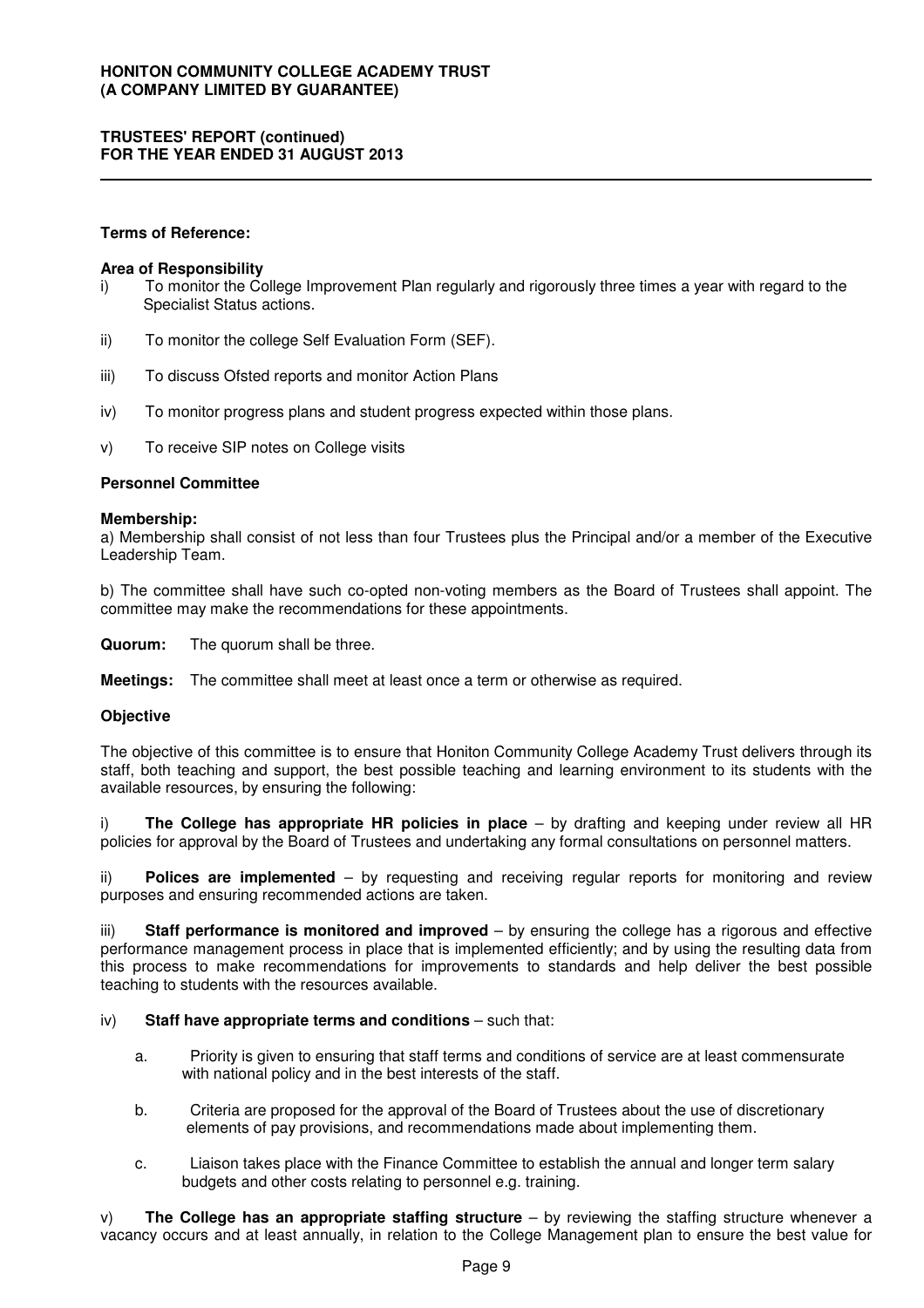### **Terms of Reference:**

#### **Area of Responsibility**

- i) To monitor the College Improvement Plan regularly and rigorously three times a year with regard to the Specialist Status actions.
- ii) To monitor the college Self Evaluation Form (SEF).
- iii) To discuss Ofsted reports and monitor Action Plans
- iv) To monitor progress plans and student progress expected within those plans.
- v) To receive SIP notes on College visits

#### **Personnel Committee**

#### **Membership:**

a) Membership shall consist of not less than four Trustees plus the Principal and/or a member of the Executive Leadership Team.

b) The committee shall have such co-opted non-voting members as the Board of Trustees shall appoint. The committee may make the recommendations for these appointments.

**Quorum:** The quorum shall be three.

**Meetings:** The committee shall meet at least once a term or otherwise as required.

#### **Objective**

The objective of this committee is to ensure that Honiton Community College Academy Trust delivers through its staff, both teaching and support, the best possible teaching and learning environment to its students with the available resources, by ensuring the following:

i) **The College has appropriate HR policies in place** – by drafting and keeping under review all HR policies for approval by the Board of Trustees and undertaking any formal consultations on personnel matters.

ii) **Polices are implemented** – by requesting and receiving regular reports for monitoring and review purposes and ensuring recommended actions are taken.

iii) **Staff performance is monitored and improved** – by ensuring the college has a rigorous and effective performance management process in place that is implemented efficiently; and by using the resulting data from this process to make recommendations for improvements to standards and help deliver the best possible teaching to students with the resources available.

### iv) **Staff have appropriate terms and conditions** – such that:

- a. Priority is given to ensuring that staff terms and conditions of service are at least commensurate with national policy and in the best interests of the staff.
- b. Criteria are proposed for the approval of the Board of Trustees about the use of discretionary elements of pay provisions, and recommendations made about implementing them.
- c. Liaison takes place with the Finance Committee to establish the annual and longer term salary budgets and other costs relating to personnel e.g. training.

v) **The College has an appropriate staffing structure** – by reviewing the staffing structure whenever a vacancy occurs and at least annually, in relation to the College Management plan to ensure the best value for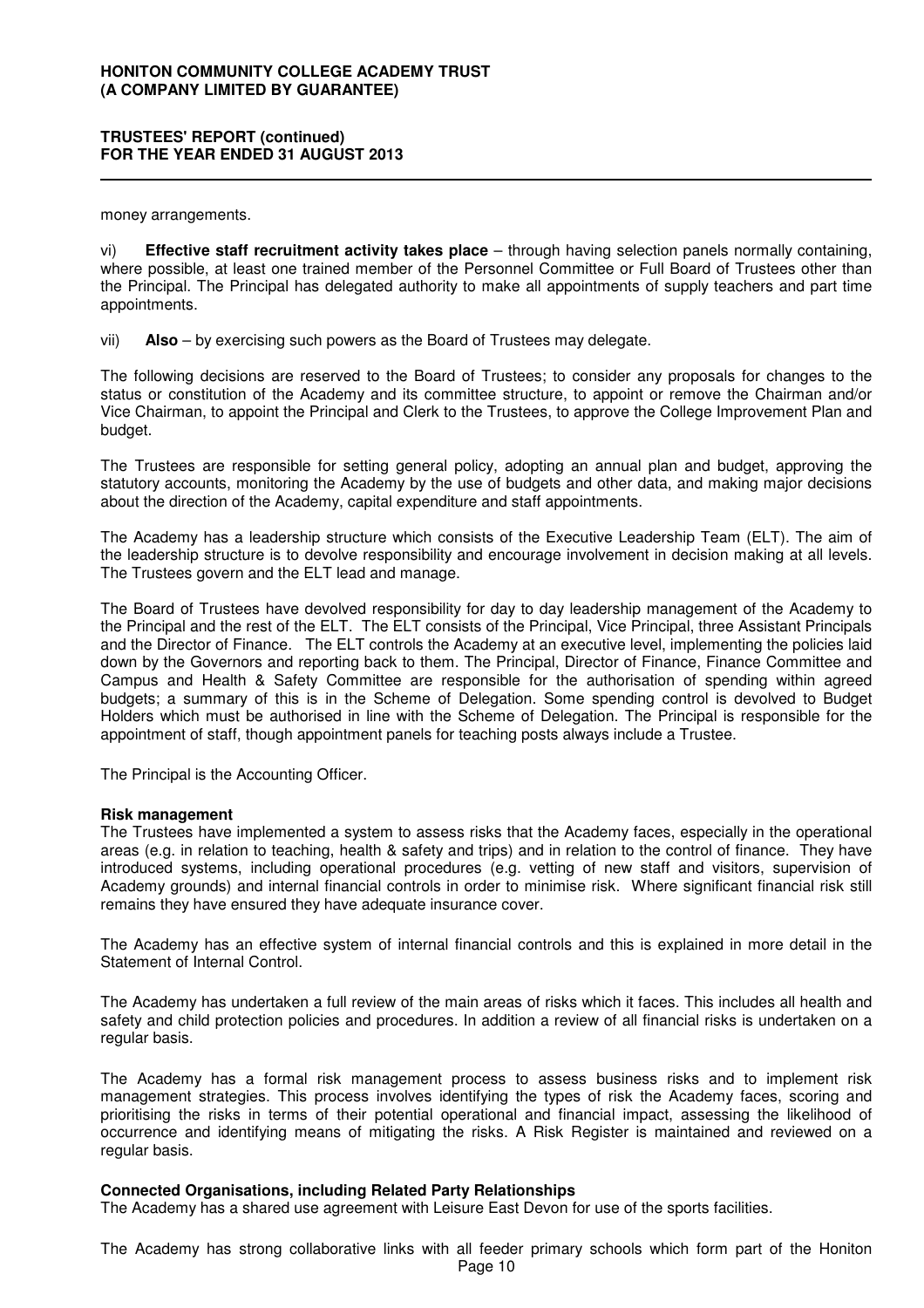money arrangements.

vi) **Effective staff recruitment activity takes place** – through having selection panels normally containing, where possible, at least one trained member of the Personnel Committee or Full Board of Trustees other than the Principal. The Principal has delegated authority to make all appointments of supply teachers and part time appointments.

vii) **Also** – by exercising such powers as the Board of Trustees may delegate.

The following decisions are reserved to the Board of Trustees; to consider any proposals for changes to the status or constitution of the Academy and its committee structure, to appoint or remove the Chairman and/or Vice Chairman, to appoint the Principal and Clerk to the Trustees, to approve the College Improvement Plan and budget.

The Trustees are responsible for setting general policy, adopting an annual plan and budget, approving the statutory accounts, monitoring the Academy by the use of budgets and other data, and making major decisions about the direction of the Academy, capital expenditure and staff appointments.

The Academy has a leadership structure which consists of the Executive Leadership Team (ELT). The aim of the leadership structure is to devolve responsibility and encourage involvement in decision making at all levels. The Trustees govern and the ELT lead and manage.

The Board of Trustees have devolved responsibility for day to day leadership management of the Academy to the Principal and the rest of the ELT. The ELT consists of the Principal, Vice Principal, three Assistant Principals and the Director of Finance. The ELT controls the Academy at an executive level, implementing the policies laid down by the Governors and reporting back to them. The Principal, Director of Finance, Finance Committee and Campus and Health & Safety Committee are responsible for the authorisation of spending within agreed budgets; a summary of this is in the Scheme of Delegation. Some spending control is devolved to Budget Holders which must be authorised in line with the Scheme of Delegation. The Principal is responsible for the appointment of staff, though appointment panels for teaching posts always include a Trustee.

The Principal is the Accounting Officer.

#### **Risk management**

The Trustees have implemented a system to assess risks that the Academy faces, especially in the operational areas (e.g. in relation to teaching, health & safety and trips) and in relation to the control of finance. They have introduced systems, including operational procedures (e.g. vetting of new staff and visitors, supervision of Academy grounds) and internal financial controls in order to minimise risk. Where significant financial risk still remains they have ensured they have adequate insurance cover.

The Academy has an effective system of internal financial controls and this is explained in more detail in the Statement of Internal Control.

The Academy has undertaken a full review of the main areas of risks which it faces. This includes all health and safety and child protection policies and procedures. In addition a review of all financial risks is undertaken on a regular basis.

The Academy has a formal risk management process to assess business risks and to implement risk management strategies. This process involves identifying the types of risk the Academy faces, scoring and prioritising the risks in terms of their potential operational and financial impact, assessing the likelihood of occurrence and identifying means of mitigating the risks. A Risk Register is maintained and reviewed on a regular basis.

#### **Connected Organisations, including Related Party Relationships**

The Academy has a shared use agreement with Leisure East Devon for use of the sports facilities.

The Academy has strong collaborative links with all feeder primary schools which form part of the Honiton Page 10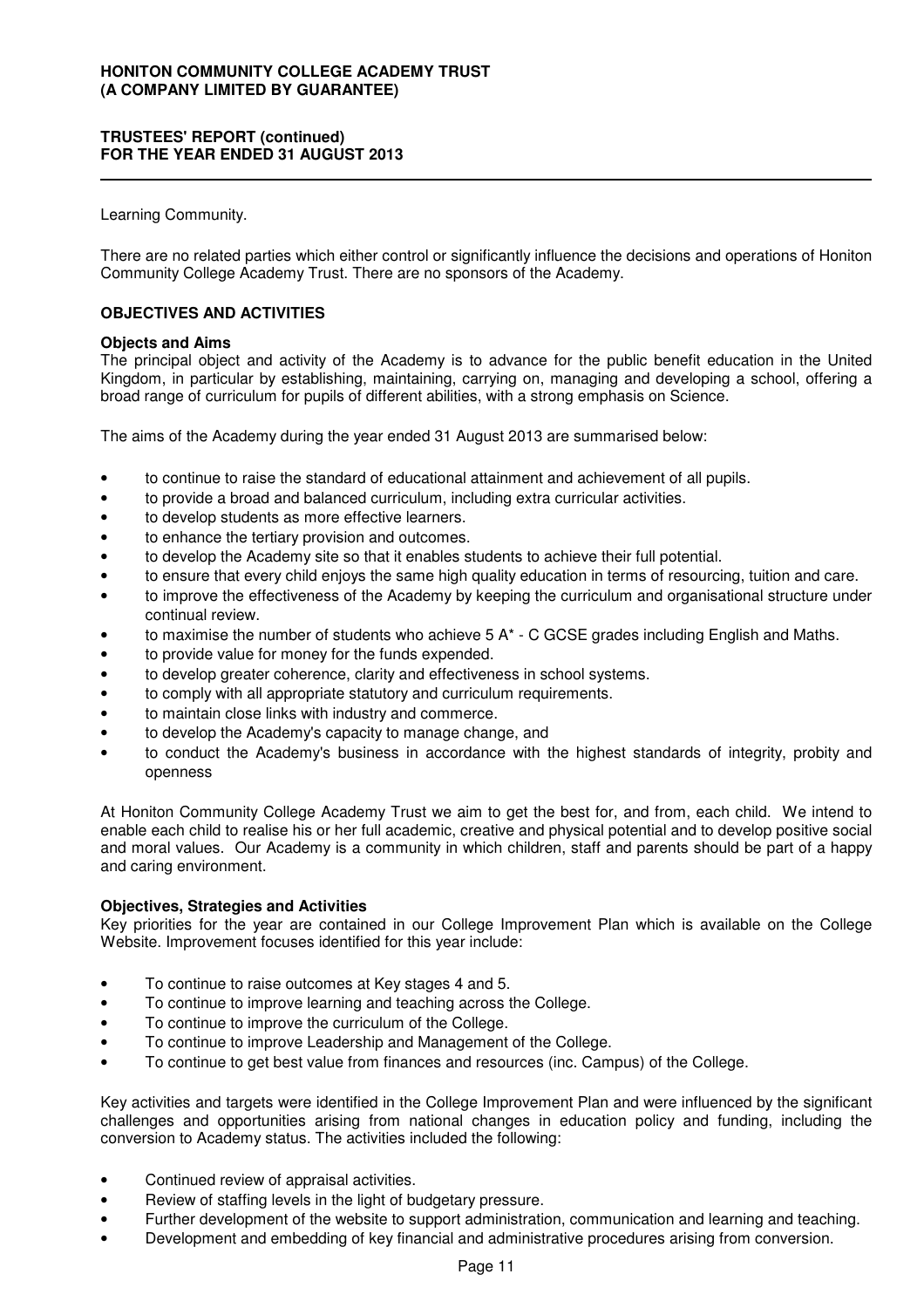Learning Community.

There are no related parties which either control or significantly influence the decisions and operations of Honiton Community College Academy Trust. There are no sponsors of the Academy.

### **OBJECTIVES AND ACTIVITIES**

#### **Objects and Aims**

The principal object and activity of the Academy is to advance for the public benefit education in the United Kingdom, in particular by establishing, maintaining, carrying on, managing and developing a school, offering a broad range of curriculum for pupils of different abilities, with a strong emphasis on Science.

The aims of the Academy during the year ended 31 August 2013 are summarised below:

- to continue to raise the standard of educational attainment and achievement of all pupils.
- to provide a broad and balanced curriculum, including extra curricular activities.
- to develop students as more effective learners.
- to enhance the tertiary provision and outcomes.
- to develop the Academy site so that it enables students to achieve their full potential.
- to ensure that every child enjoys the same high quality education in terms of resourcing, tuition and care.
- to improve the effectiveness of the Academy by keeping the curriculum and organisational structure under continual review.
- to maximise the number of students who achieve  $5 \, \text{A}^*$  C GCSE grades including English and Maths.
- to provide value for money for the funds expended.
- to develop greater coherence, clarity and effectiveness in school systems.
- to comply with all appropriate statutory and curriculum requirements.
- to maintain close links with industry and commerce.
- to develop the Academy's capacity to manage change, and
- to conduct the Academy's business in accordance with the highest standards of integrity, probity and openness

At Honiton Community College Academy Trust we aim to get the best for, and from, each child. We intend to enable each child to realise his or her full academic, creative and physical potential and to develop positive social and moral values. Our Academy is a community in which children, staff and parents should be part of a happy and caring environment.

#### **Objectives, Strategies and Activities**

Key priorities for the year are contained in our College Improvement Plan which is available on the College Website. Improvement focuses identified for this year include:

- To continue to raise outcomes at Key stages 4 and 5.
- To continue to improve learning and teaching across the College.
- To continue to improve the curriculum of the College.
- To continue to improve Leadership and Management of the College.
- To continue to get best value from finances and resources (inc. Campus) of the College.

Key activities and targets were identified in the College Improvement Plan and were influenced by the significant challenges and opportunities arising from national changes in education policy and funding, including the conversion to Academy status. The activities included the following:

- Continued review of appraisal activities.
- Review of staffing levels in the light of budgetary pressure.
- Further development of the website to support administration, communication and learning and teaching.
- Development and embedding of key financial and administrative procedures arising from conversion.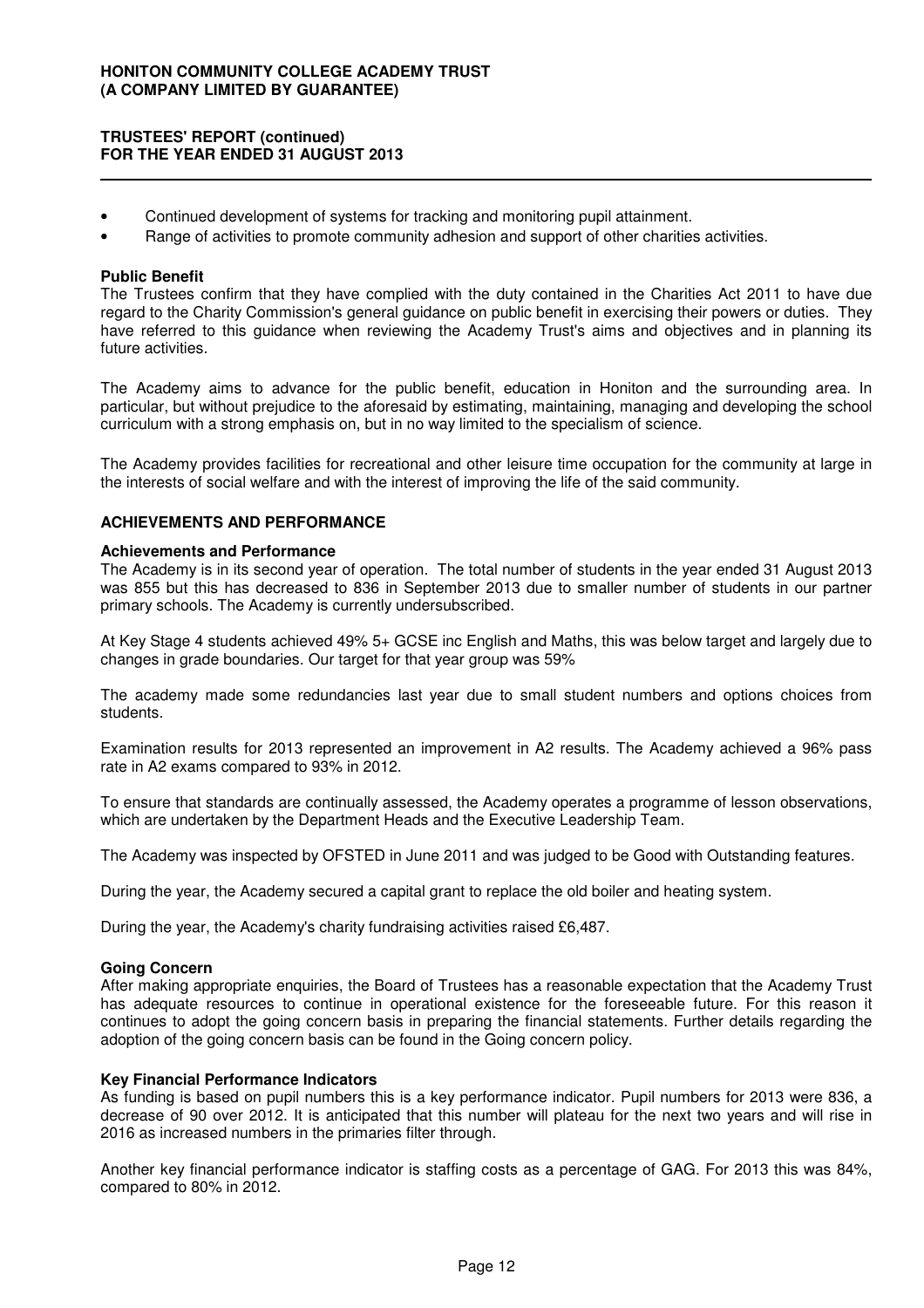### **TRUSTEES' REPORT (continued) FOR THE YEAR ENDED 31 AUGUST 2013**

- Continued development of systems for tracking and monitoring pupil attainment.
- Range of activities to promote community adhesion and support of other charities activities.

#### **Public Benefit**

The Trustees confirm that they have complied with the duty contained in the Charities Act 2011 to have due regard to the Charity Commission's general guidance on public benefit in exercising their powers or duties. They have referred to this guidance when reviewing the Academy Trust's aims and objectives and in planning its future activities.

The Academy aims to advance for the public benefit, education in Honiton and the surrounding area. In particular, but without prejudice to the aforesaid by estimating, maintaining, managing and developing the school curriculum with a strong emphasis on, but in no way limited to the specialism of science.

The Academy provides facilities for recreational and other leisure time occupation for the community at large in the interests of social welfare and with the interest of improving the life of the said community.

### **ACHIEVEMENTS AND PERFORMANCE**

#### **Achievements and Performance**

The Academy is in its second year of operation. The total number of students in the year ended 31 August 2013 was 855 but this has decreased to 836 in September 2013 due to smaller number of students in our partner primary schools. The Academy is currently undersubscribed.

At Key Stage 4 students achieved 49% 5+ GCSE inc English and Maths, this was below target and largely due to changes in grade boundaries. Our target for that year group was 59%

The academy made some redundancies last year due to small student numbers and options choices from students.

Examination results for 2013 represented an improvement in A2 results. The Academy achieved a 96% pass rate in A2 exams compared to 93% in 2012.

To ensure that standards are continually assessed, the Academy operates a programme of lesson observations, which are undertaken by the Department Heads and the Executive Leadership Team.

The Academy was inspected by OFSTED in June 2011 and was judged to be Good with Outstanding features.

During the year, the Academy secured a capital grant to replace the old boiler and heating system.

During the year, the Academy's charity fundraising activities raised £6,487.

#### **Going Concern**

After making appropriate enquiries, the Board of Trustees has a reasonable expectation that the Academy Trust has adequate resources to continue in operational existence for the foreseeable future. For this reason it continues to adopt the going concern basis in preparing the financial statements. Further details regarding the adoption of the going concern basis can be found in the Going concern policy.

### **Key Financial Performance Indicators**

As funding is based on pupil numbers this is a key performance indicator. Pupil numbers for 2013 were 836, a decrease of 90 over 2012. It is anticipated that this number will plateau for the next two years and will rise in 2016 as increased numbers in the primaries filter through.

Another key financial performance indicator is staffing costs as a percentage of GAG. For 2013 this was 84%, compared to 80% in 2012.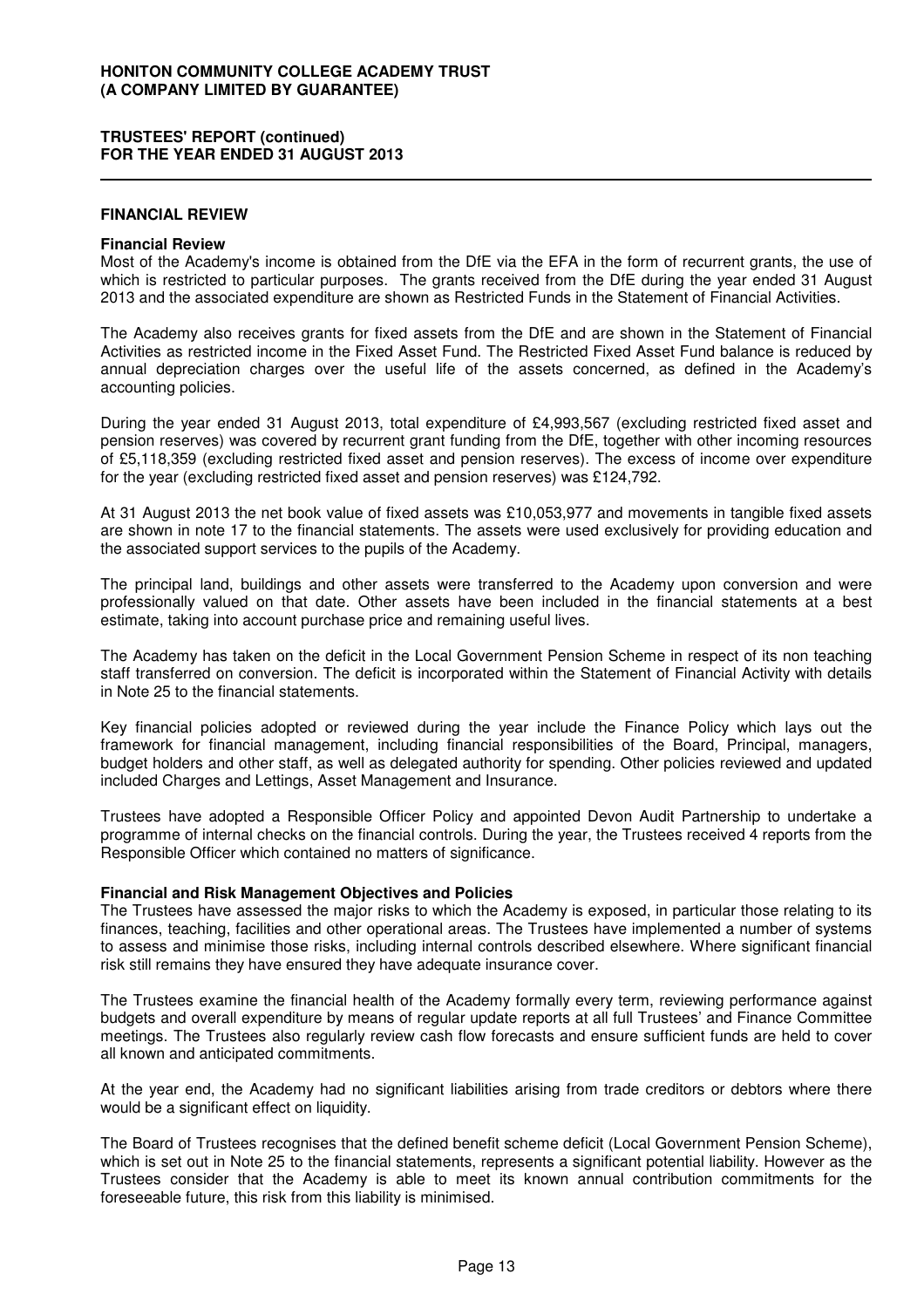#### **FINANCIAL REVIEW**

#### **Financial Review**

Most of the Academy's income is obtained from the DfE via the EFA in the form of recurrent grants, the use of which is restricted to particular purposes. The grants received from the DfE during the year ended 31 August 2013 and the associated expenditure are shown as Restricted Funds in the Statement of Financial Activities.

The Academy also receives grants for fixed assets from the DfE and are shown in the Statement of Financial Activities as restricted income in the Fixed Asset Fund. The Restricted Fixed Asset Fund balance is reduced by annual depreciation charges over the useful life of the assets concerned, as defined in the Academy's accounting policies.

During the year ended 31 August 2013, total expenditure of £4,993,567 (excluding restricted fixed asset and pension reserves) was covered by recurrent grant funding from the DfE, together with other incoming resources of £5,118,359 (excluding restricted fixed asset and pension reserves). The excess of income over expenditure for the year (excluding restricted fixed asset and pension reserves) was £124,792.

At 31 August 2013 the net book value of fixed assets was £10,053,977 and movements in tangible fixed assets are shown in note 17 to the financial statements. The assets were used exclusively for providing education and the associated support services to the pupils of the Academy.

The principal land, buildings and other assets were transferred to the Academy upon conversion and were professionally valued on that date. Other assets have been included in the financial statements at a best estimate, taking into account purchase price and remaining useful lives.

The Academy has taken on the deficit in the Local Government Pension Scheme in respect of its non teaching staff transferred on conversion. The deficit is incorporated within the Statement of Financial Activity with details in Note 25 to the financial statements.

Key financial policies adopted or reviewed during the year include the Finance Policy which lays out the framework for financial management, including financial responsibilities of the Board, Principal, managers, budget holders and other staff, as well as delegated authority for spending. Other policies reviewed and updated included Charges and Lettings, Asset Management and Insurance.

Trustees have adopted a Responsible Officer Policy and appointed Devon Audit Partnership to undertake a programme of internal checks on the financial controls. During the year, the Trustees received 4 reports from the Responsible Officer which contained no matters of significance.

#### **Financial and Risk Management Objectives and Policies**

The Trustees have assessed the major risks to which the Academy is exposed, in particular those relating to its finances, teaching, facilities and other operational areas. The Trustees have implemented a number of systems to assess and minimise those risks, including internal controls described elsewhere. Where significant financial risk still remains they have ensured they have adequate insurance cover.

The Trustees examine the financial health of the Academy formally every term, reviewing performance against budgets and overall expenditure by means of regular update reports at all full Trustees' and Finance Committee meetings. The Trustees also regularly review cash flow forecasts and ensure sufficient funds are held to cover all known and anticipated commitments.

At the year end, the Academy had no significant liabilities arising from trade creditors or debtors where there would be a significant effect on liquidity.

The Board of Trustees recognises that the defined benefit scheme deficit (Local Government Pension Scheme), which is set out in Note 25 to the financial statements, represents a significant potential liability. However as the Trustees consider that the Academy is able to meet its known annual contribution commitments for the foreseeable future, this risk from this liability is minimised.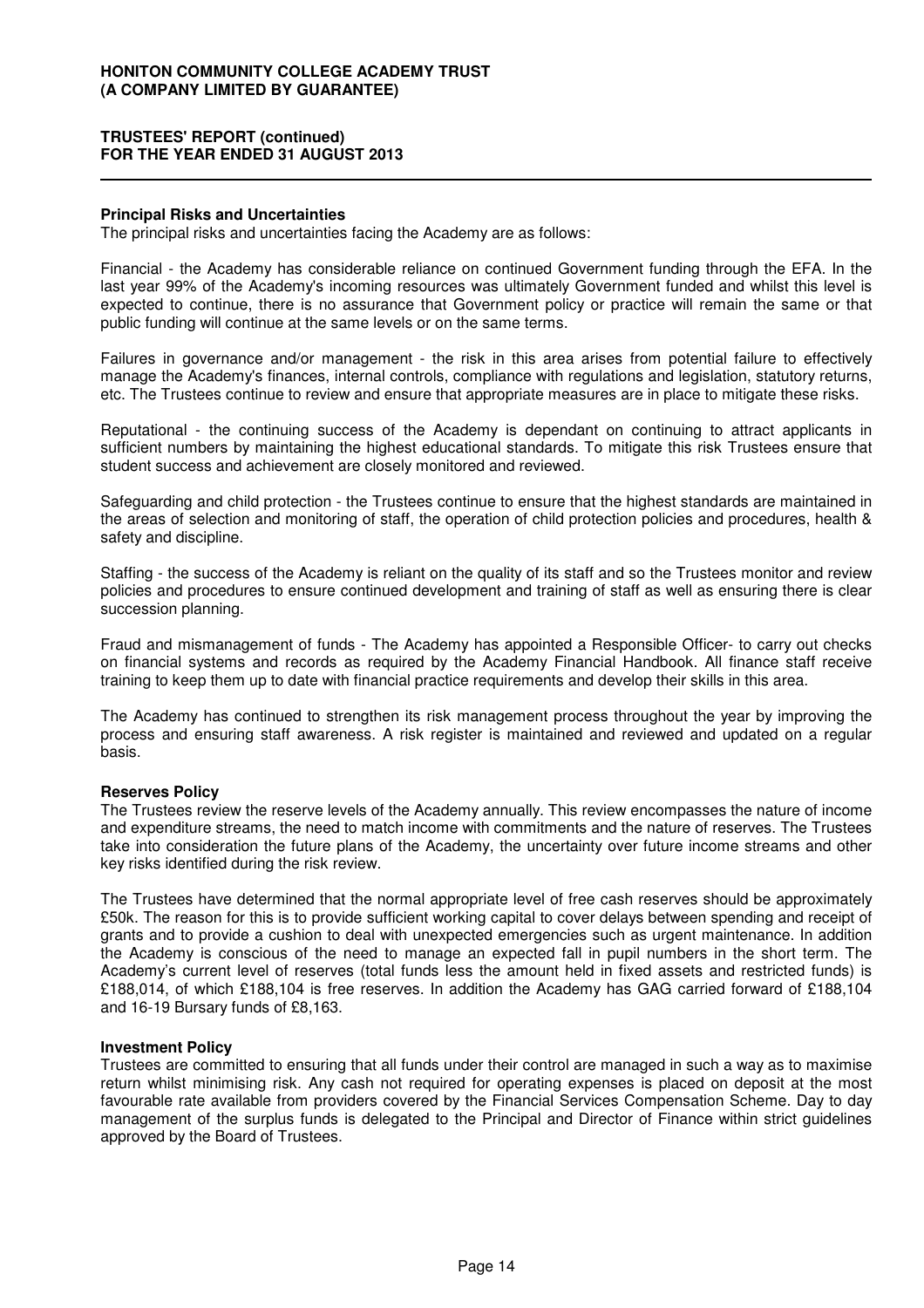#### **Principal Risks and Uncertainties**

The principal risks and uncertainties facing the Academy are as follows:

Financial - the Academy has considerable reliance on continued Government funding through the EFA. In the last year 99% of the Academy's incoming resources was ultimately Government funded and whilst this level is expected to continue, there is no assurance that Government policy or practice will remain the same or that public funding will continue at the same levels or on the same terms.

Failures in governance and/or management - the risk in this area arises from potential failure to effectively manage the Academy's finances, internal controls, compliance with regulations and legislation, statutory returns, etc. The Trustees continue to review and ensure that appropriate measures are in place to mitigate these risks.

Reputational - the continuing success of the Academy is dependant on continuing to attract applicants in sufficient numbers by maintaining the highest educational standards. To mitigate this risk Trustees ensure that student success and achievement are closely monitored and reviewed.

Safeguarding and child protection - the Trustees continue to ensure that the highest standards are maintained in the areas of selection and monitoring of staff, the operation of child protection policies and procedures, health & safety and discipline.

Staffing - the success of the Academy is reliant on the quality of its staff and so the Trustees monitor and review policies and procedures to ensure continued development and training of staff as well as ensuring there is clear succession planning.

Fraud and mismanagement of funds - The Academy has appointed a Responsible Officer- to carry out checks on financial systems and records as required by the Academy Financial Handbook. All finance staff receive training to keep them up to date with financial practice requirements and develop their skills in this area.

The Academy has continued to strengthen its risk management process throughout the year by improving the process and ensuring staff awareness. A risk register is maintained and reviewed and updated on a regular basis.

#### **Reserves Policy**

The Trustees review the reserve levels of the Academy annually. This review encompasses the nature of income and expenditure streams, the need to match income with commitments and the nature of reserves. The Trustees take into consideration the future plans of the Academy, the uncertainty over future income streams and other key risks identified during the risk review.

The Trustees have determined that the normal appropriate level of free cash reserves should be approximately £50k. The reason for this is to provide sufficient working capital to cover delays between spending and receipt of grants and to provide a cushion to deal with unexpected emergencies such as urgent maintenance. In addition the Academy is conscious of the need to manage an expected fall in pupil numbers in the short term. The Academy's current level of reserves (total funds less the amount held in fixed assets and restricted funds) is £188,014, of which £188,104 is free reserves. In addition the Academy has GAG carried forward of £188,104 and 16-19 Bursary funds of £8,163.

#### **Investment Policy**

Trustees are committed to ensuring that all funds under their control are managed in such a way as to maximise return whilst minimising risk. Any cash not required for operating expenses is placed on deposit at the most favourable rate available from providers covered by the Financial Services Compensation Scheme. Day to day management of the surplus funds is delegated to the Principal and Director of Finance within strict guidelines approved by the Board of Trustees.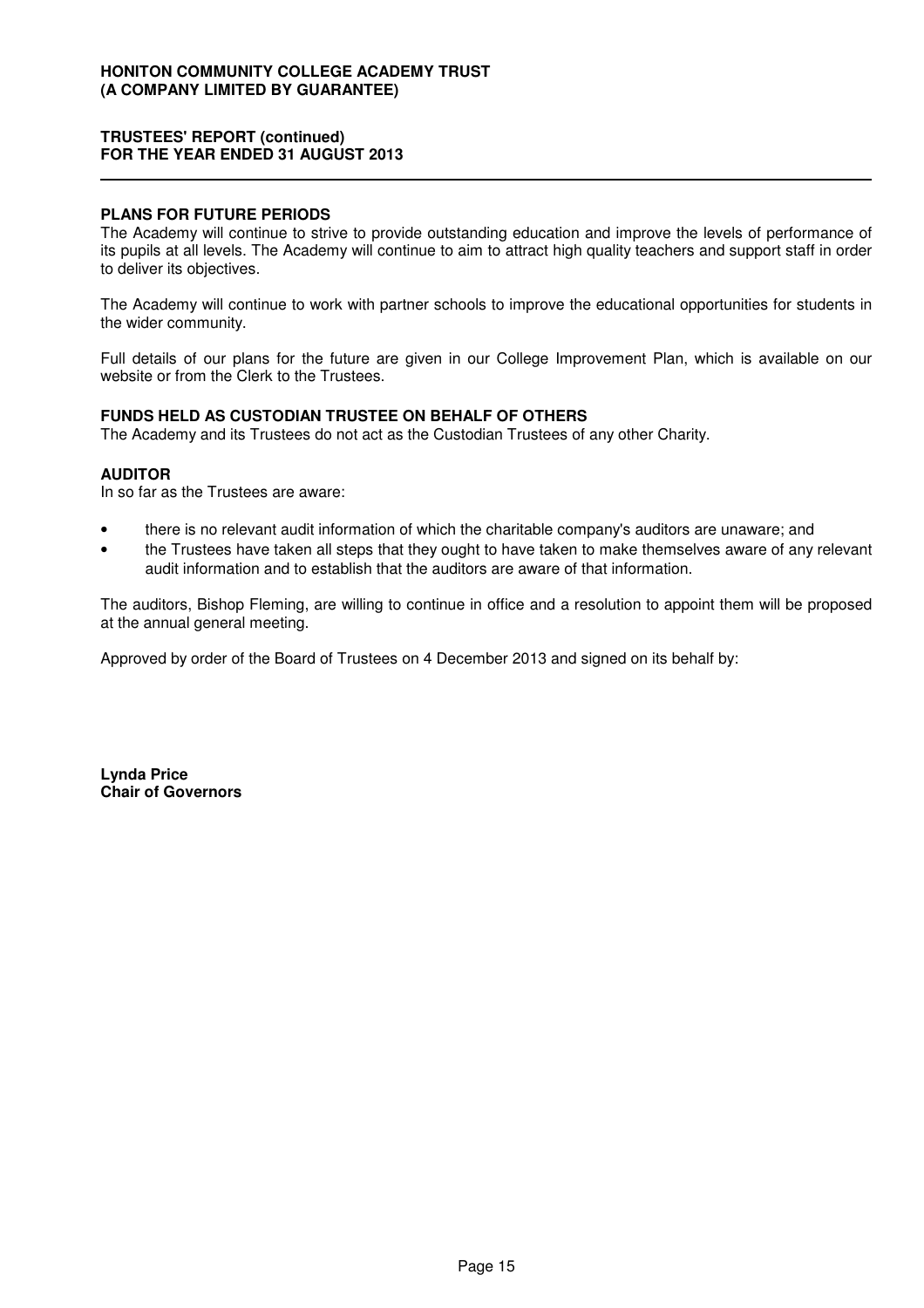#### **PLANS FOR FUTURE PERIODS**

The Academy will continue to strive to provide outstanding education and improve the levels of performance of its pupils at all levels. The Academy will continue to aim to attract high quality teachers and support staff in order to deliver its objectives.

The Academy will continue to work with partner schools to improve the educational opportunities for students in the wider community.

Full details of our plans for the future are given in our College Improvement Plan, which is available on our website or from the Clerk to the Trustees.

### **FUNDS HELD AS CUSTODIAN TRUSTEE ON BEHALF OF OTHERS**

The Academy and its Trustees do not act as the Custodian Trustees of any other Charity.

### **AUDITOR**

In so far as the Trustees are aware:

- there is no relevant audit information of which the charitable company's auditors are unaware; and
- the Trustees have taken all steps that they ought to have taken to make themselves aware of any relevant audit information and to establish that the auditors are aware of that information.

The auditors, Bishop Fleming, are willing to continue in office and a resolution to appoint them will be proposed at the annual general meeting.

Approved by order of the Board of Trustees on 4 December 2013 and signed on its behalf by:

**Lynda Price Chair of Governors**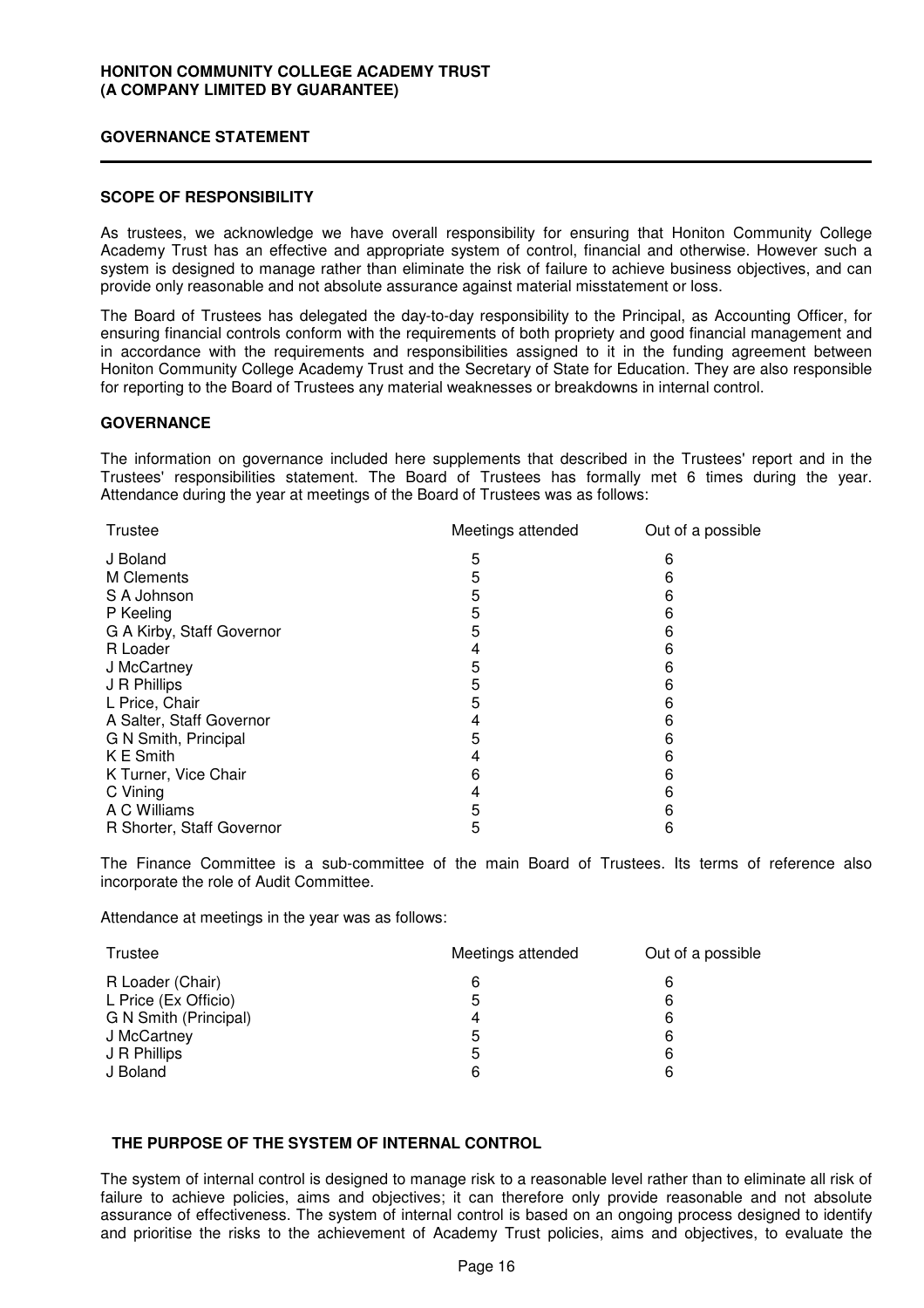#### **GOVERNANCE STATEMENT**

### **SCOPE OF RESPONSIBILITY**

As trustees, we acknowledge we have overall responsibility for ensuring that Honiton Community College Academy Trust has an effective and appropriate system of control, financial and otherwise. However such a system is designed to manage rather than eliminate the risk of failure to achieve business objectives, and can provide only reasonable and not absolute assurance against material misstatement or loss.

The Board of Trustees has delegated the day-to-day responsibility to the Principal, as Accounting Officer, for ensuring financial controls conform with the requirements of both propriety and good financial management and in accordance with the requirements and responsibilities assigned to it in the funding agreement between Honiton Community College Academy Trust and the Secretary of State for Education. They are also responsible for reporting to the Board of Trustees any material weaknesses or breakdowns in internal control.

### **GOVERNANCE**

The information on governance included here supplements that described in the Trustees' report and in the Trustees' responsibilities statement. The Board of Trustees has formally met 6 times during the year. Attendance during the year at meetings of the Board of Trustees was as follows:

| Trustee                   | Meetings attended | Out of a possible |
|---------------------------|-------------------|-------------------|
| J Boland                  | 5                 | 6                 |
| M Clements                | 5                 | 6                 |
| S A Johnson               | 5                 | 6                 |
| P Keeling                 | 5                 | 6                 |
| G A Kirby, Staff Governor | 5                 | 6                 |
| R Loader                  | 4                 | 6                 |
| J McCartney               | 5                 | 6                 |
| J R Phillips              | 5                 | 6                 |
| L Price, Chair            | 5                 | 6                 |
| A Salter, Staff Governor  | 4                 | 6                 |
| G N Smith, Principal      | 5                 | 6                 |
| K E Smith                 | 4                 | 6                 |
| K Turner, Vice Chair      | 6                 | 6                 |
| C Vining                  | 4                 | 6                 |
| A C Williams              | 5                 | 6                 |
| R Shorter, Staff Governor | 5                 | 6                 |
|                           |                   |                   |

The Finance Committee is a sub-committee of the main Board of Trustees. Its terms of reference also incorporate the role of Audit Committee.

Attendance at meetings in the year was as follows:

| Trustee               | Meetings attended | Out of a possible |
|-----------------------|-------------------|-------------------|
| R Loader (Chair)      | 6                 | 6                 |
| L Price (Ex Officio)  | 5                 | 6                 |
| G N Smith (Principal) | 4                 | 6                 |
| J McCartney           | 5                 | 6                 |
| J R Phillips          | 5                 | 6                 |
| J Boland              | 6                 | 6                 |

#### **THE PURPOSE OF THE SYSTEM OF INTERNAL CONTROL**

The system of internal control is designed to manage risk to a reasonable level rather than to eliminate all risk of failure to achieve policies, aims and objectives; it can therefore only provide reasonable and not absolute assurance of effectiveness. The system of internal control is based on an ongoing process designed to identify and prioritise the risks to the achievement of Academy Trust policies, aims and objectives, to evaluate the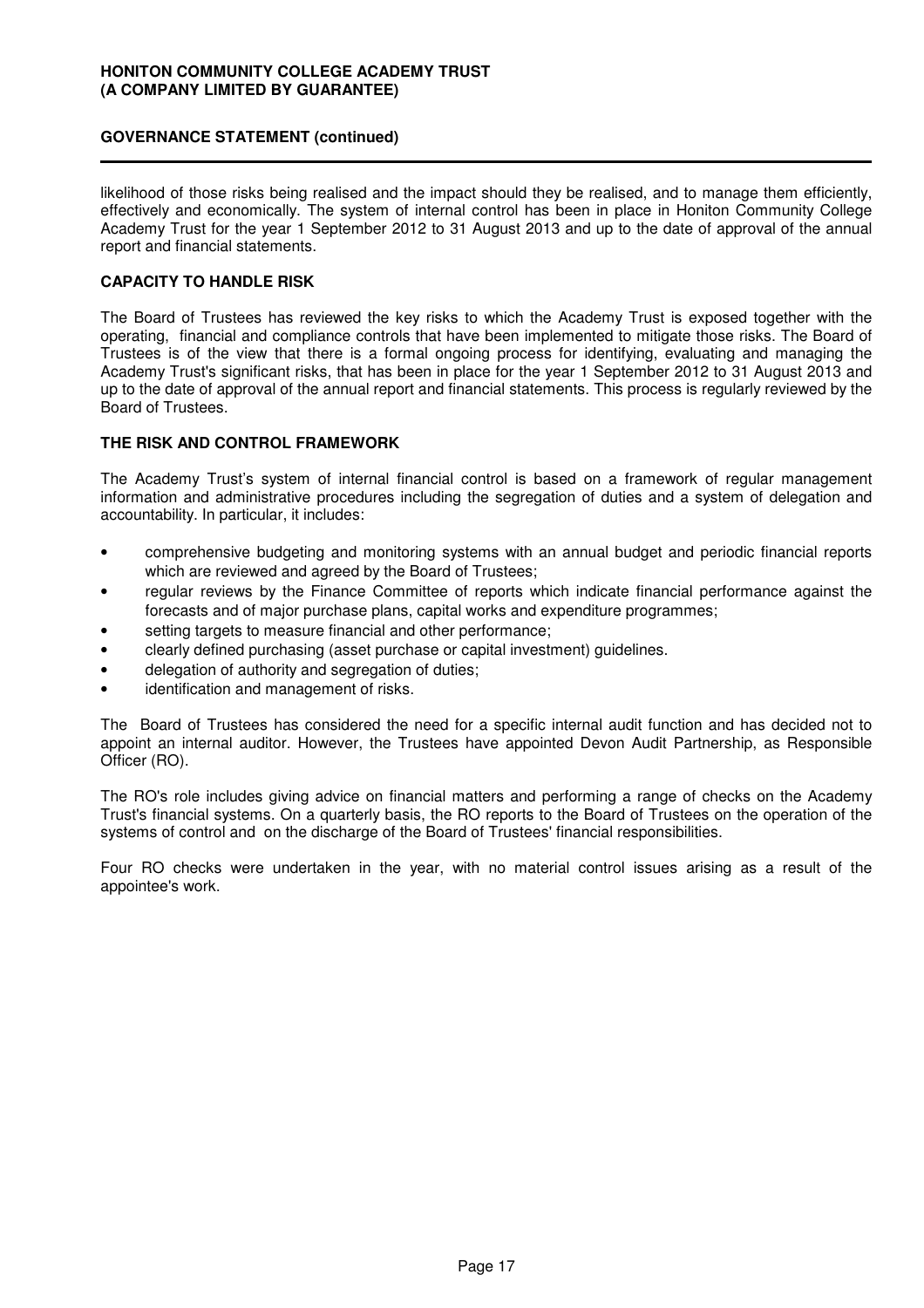### **GOVERNANCE STATEMENT (continued)**

likelihood of those risks being realised and the impact should they be realised, and to manage them efficiently, effectively and economically. The system of internal control has been in place in Honiton Community College Academy Trust for the year 1 September 2012 to 31 August 2013 and up to the date of approval of the annual report and financial statements.

### **CAPACITY TO HANDLE RISK**

The Board of Trustees has reviewed the key risks to which the Academy Trust is exposed together with the operating, financial and compliance controls that have been implemented to mitigate those risks. The Board of Trustees is of the view that there is a formal ongoing process for identifying, evaluating and managing the Academy Trust's significant risks, that has been in place for the year 1 September 2012 to 31 August 2013 and up to the date of approval of the annual report and financial statements. This process is regularly reviewed by the Board of Trustees.

### **THE RISK AND CONTROL FRAMEWORK**

The Academy Trust's system of internal financial control is based on a framework of regular management information and administrative procedures including the segregation of duties and a system of delegation and accountability. In particular, it includes:

- comprehensive budgeting and monitoring systems with an annual budget and periodic financial reports which are reviewed and agreed by the Board of Trustees;
- regular reviews by the Finance Committee of reports which indicate financial performance against the forecasts and of major purchase plans, capital works and expenditure programmes;
- setting targets to measure financial and other performance;
- clearly defined purchasing (asset purchase or capital investment) guidelines.
- delegation of authority and segregation of duties;
- identification and management of risks.

The Board of Trustees has considered the need for a specific internal audit function and has decided not to appoint an internal auditor. However, the Trustees have appointed Devon Audit Partnership, as Responsible Officer (RO).

The RO's role includes giving advice on financial matters and performing a range of checks on the Academy Trust's financial systems. On a quarterly basis, the RO reports to the Board of Trustees on the operation of the systems of control and on the discharge of the Board of Trustees' financial responsibilities.

Four RO checks were undertaken in the year, with no material control issues arising as a result of the appointee's work.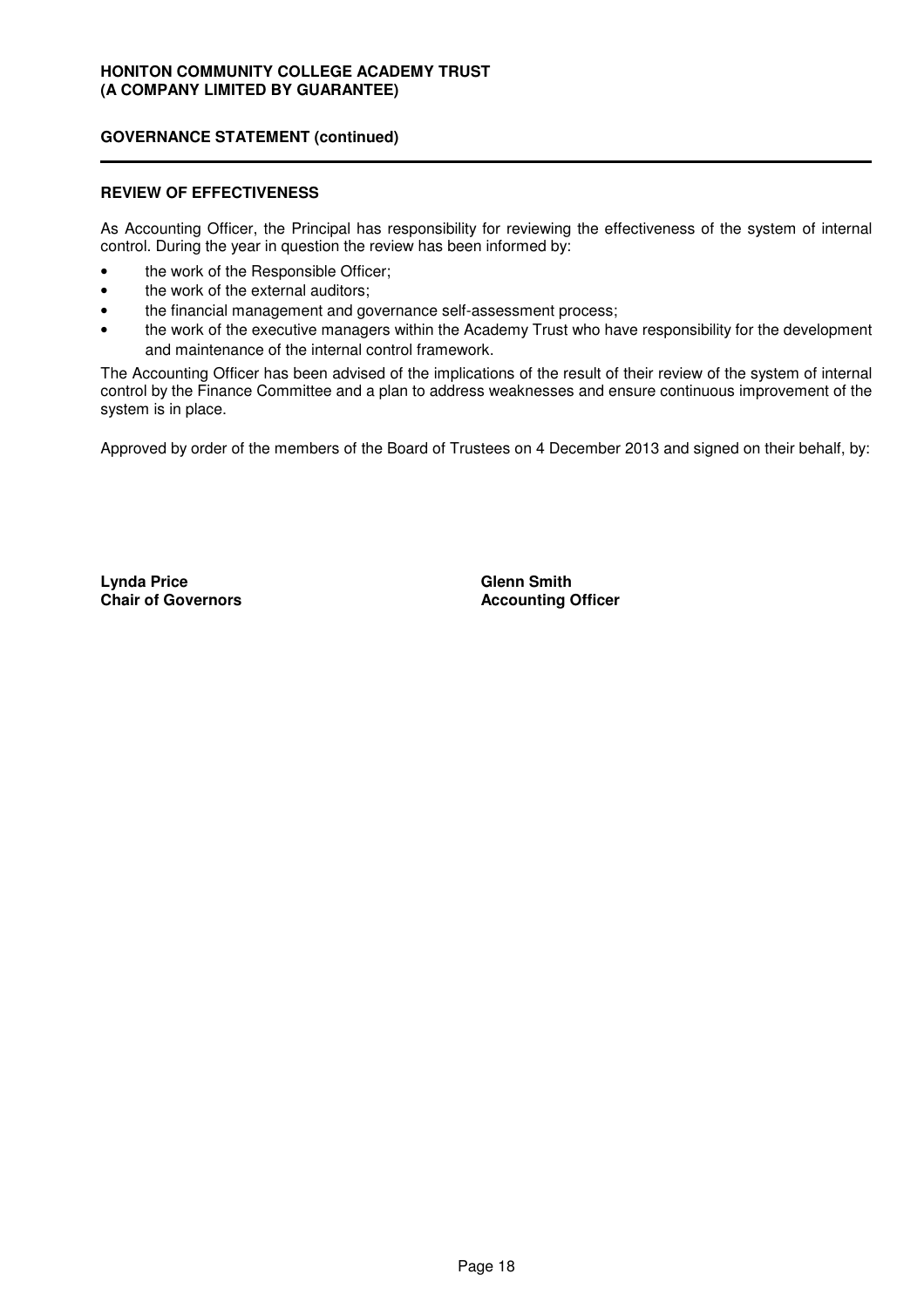### **GOVERNANCE STATEMENT (continued)**

#### **REVIEW OF EFFECTIVENESS**

As Accounting Officer, the Principal has responsibility for reviewing the effectiveness of the system of internal control. During the year in question the review has been informed by:

- the work of the Responsible Officer;
- the work of the external auditors;
- the financial management and governance self-assessment process;
- the work of the executive managers within the Academy Trust who have responsibility for the development and maintenance of the internal control framework.

The Accounting Officer has been advised of the implications of the result of their review of the system of internal control by the Finance Committee and a plan to address weaknesses and ensure continuous improvement of the system is in place.

Approved by order of the members of the Board of Trustees on 4 December 2013 and signed on their behalf, by:

**Lynda Price Chair of Governors** **Glenn Smith Accounting Officer**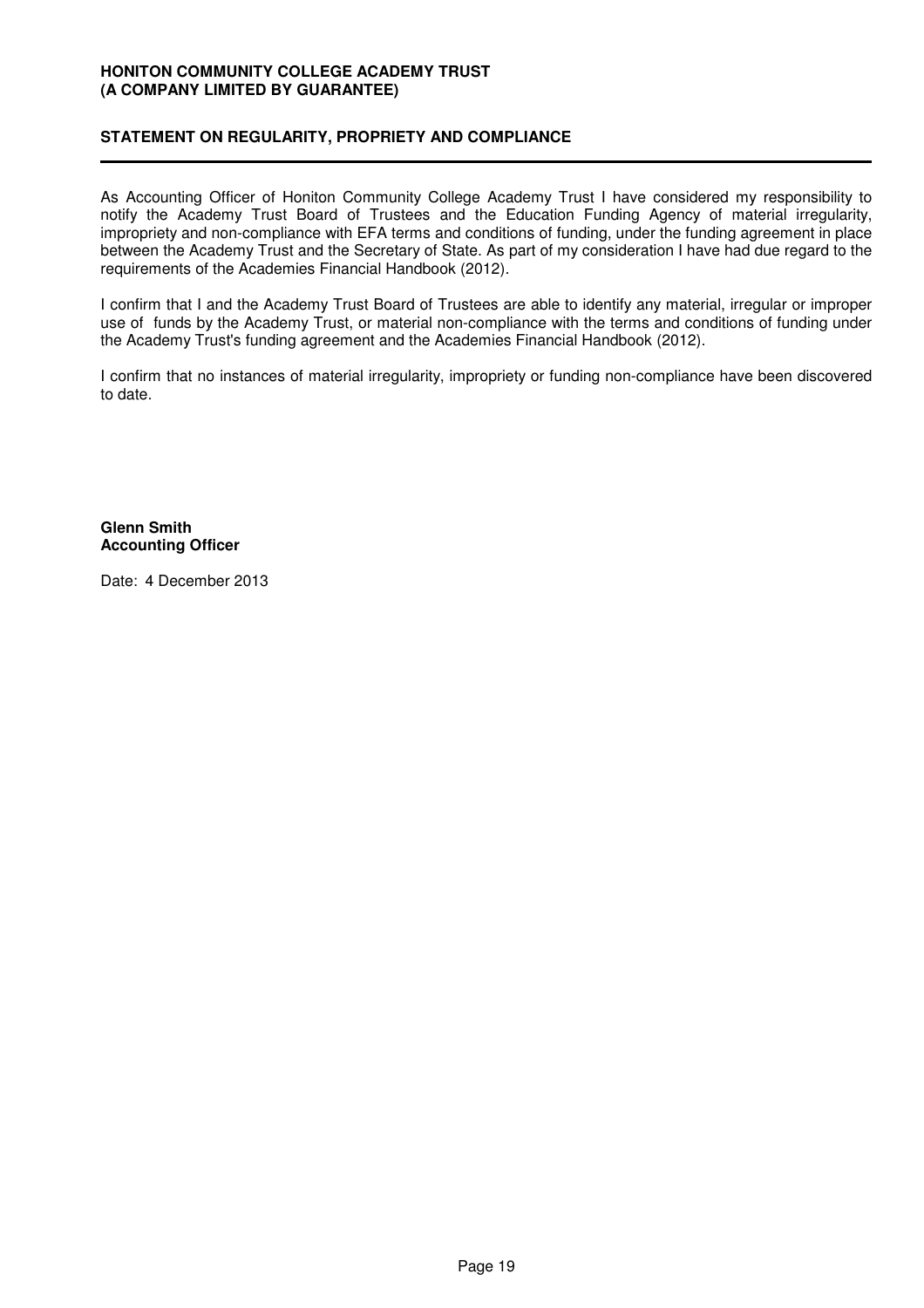### **STATEMENT ON REGULARITY, PROPRIETY AND COMPLIANCE**

As Accounting Officer of Honiton Community College Academy Trust I have considered my responsibility to notify the Academy Trust Board of Trustees and the Education Funding Agency of material irregularity, impropriety and non-compliance with EFA terms and conditions of funding, under the funding agreement in place between the Academy Trust and the Secretary of State. As part of my consideration I have had due regard to the requirements of the Academies Financial Handbook (2012).

I confirm that I and the Academy Trust Board of Trustees are able to identify any material, irregular or improper use of funds by the Academy Trust, or material non-compliance with the terms and conditions of funding under the Academy Trust's funding agreement and the Academies Financial Handbook (2012).

I confirm that no instances of material irregularity, impropriety or funding non-compliance have been discovered to date.

**Glenn Smith Accounting Officer**

Date: 4 December 2013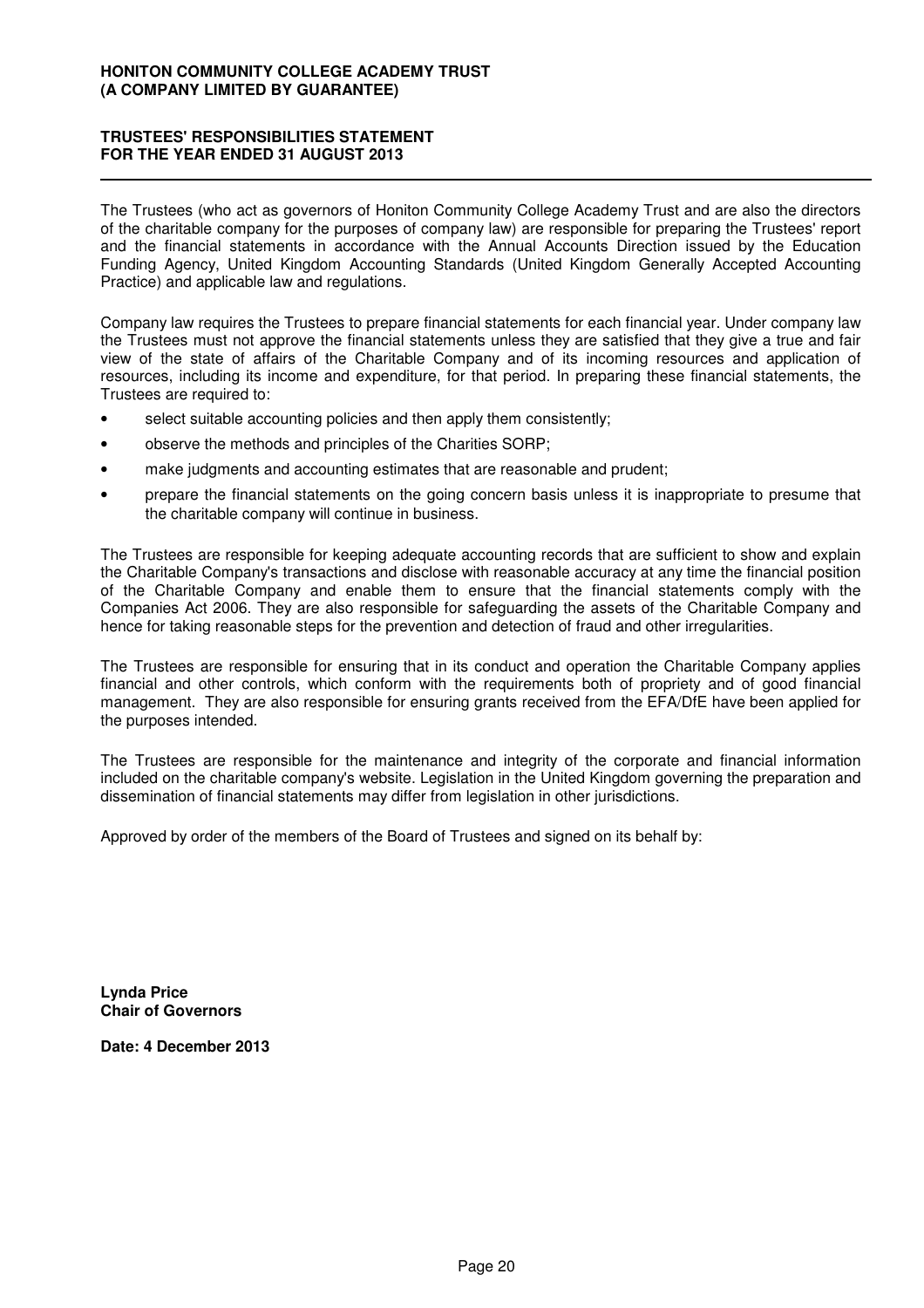### **TRUSTEES' RESPONSIBILITIES STATEMENT FOR THE YEAR ENDED 31 AUGUST 2013**

The Trustees (who act as governors of Honiton Community College Academy Trust and are also the directors of the charitable company for the purposes of company law) are responsible for preparing the Trustees' report and the financial statements in accordance with the Annual Accounts Direction issued by the Education Funding Agency, United Kingdom Accounting Standards (United Kingdom Generally Accepted Accounting Practice) and applicable law and regulations.

Company law requires the Trustees to prepare financial statements for each financial year. Under company law the Trustees must not approve the financial statements unless they are satisfied that they give a true and fair view of the state of affairs of the Charitable Company and of its incoming resources and application of resources, including its income and expenditure, for that period. In preparing these financial statements, the Trustees are required to:

- select suitable accounting policies and then apply them consistently;
- observe the methods and principles of the Charities SORP;
- make judgments and accounting estimates that are reasonable and prudent;
- prepare the financial statements on the going concern basis unless it is inappropriate to presume that the charitable company will continue in business.

The Trustees are responsible for keeping adequate accounting records that are sufficient to show and explain the Charitable Company's transactions and disclose with reasonable accuracy at any time the financial position of the Charitable Company and enable them to ensure that the financial statements comply with the Companies Act 2006. They are also responsible for safeguarding the assets of the Charitable Company and hence for taking reasonable steps for the prevention and detection of fraud and other irregularities.

The Trustees are responsible for ensuring that in its conduct and operation the Charitable Company applies financial and other controls, which conform with the requirements both of propriety and of good financial management. They are also responsible for ensuring grants received from the EFA/DfE have been applied for the purposes intended.

The Trustees are responsible for the maintenance and integrity of the corporate and financial information included on the charitable company's website. Legislation in the United Kingdom governing the preparation and dissemination of financial statements may differ from legislation in other jurisdictions.

Approved by order of the members of the Board of Trustees and signed on its behalf by:

**Lynda Price Chair of Governors**

**Date: 4 December 2013**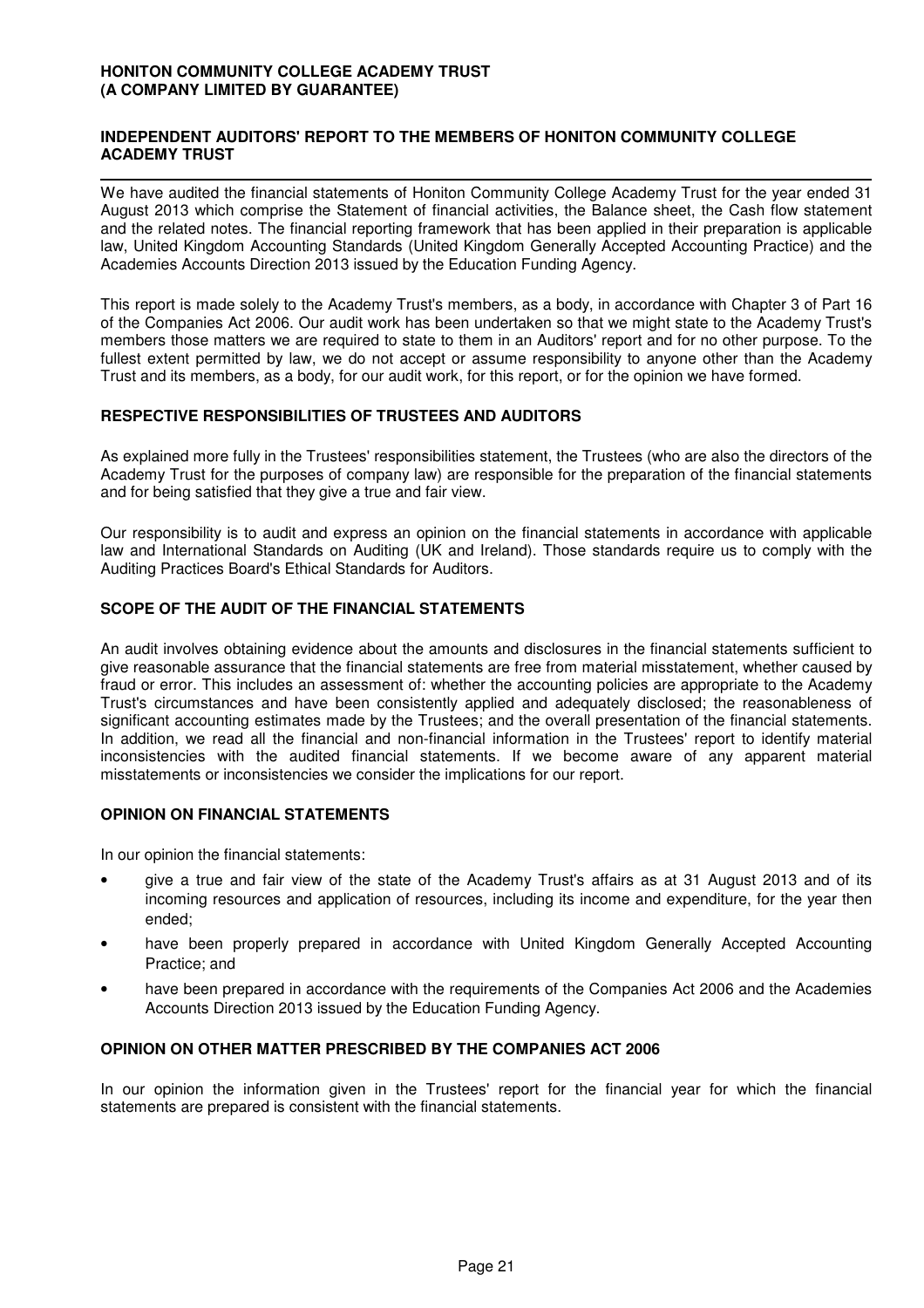### **INDEPENDENT AUDITORS' REPORT TO THE MEMBERS OF HONITON COMMUNITY COLLEGE ACADEMY TRUST**

We have audited the financial statements of Honiton Community College Academy Trust for the year ended 31 August 2013 which comprise the Statement of financial activities, the Balance sheet, the Cash flow statement and the related notes. The financial reporting framework that has been applied in their preparation is applicable law, United Kingdom Accounting Standards (United Kingdom Generally Accepted Accounting Practice) and the Academies Accounts Direction 2013 issued by the Education Funding Agency.

This report is made solely to the Academy Trust's members, as a body, in accordance with Chapter 3 of Part 16 of the Companies Act 2006. Our audit work has been undertaken so that we might state to the Academy Trust's members those matters we are required to state to them in an Auditors' report and for no other purpose. To the fullest extent permitted by law, we do not accept or assume responsibility to anyone other than the Academy Trust and its members, as a body, for our audit work, for this report, or for the opinion we have formed.

### **RESPECTIVE RESPONSIBILITIES OF TRUSTEES AND AUDITORS**

As explained more fully in the Trustees' responsibilities statement, the Trustees (who are also the directors of the Academy Trust for the purposes of company law) are responsible for the preparation of the financial statements and for being satisfied that they give a true and fair view.

Our responsibility is to audit and express an opinion on the financial statements in accordance with applicable law and International Standards on Auditing (UK and Ireland). Those standards require us to comply with the Auditing Practices Board's Ethical Standards for Auditors.

### **SCOPE OF THE AUDIT OF THE FINANCIAL STATEMENTS**

An audit involves obtaining evidence about the amounts and disclosures in the financial statements sufficient to give reasonable assurance that the financial statements are free from material misstatement, whether caused by fraud or error. This includes an assessment of: whether the accounting policies are appropriate to the Academy Trust's circumstances and have been consistently applied and adequately disclosed; the reasonableness of significant accounting estimates made by the Trustees; and the overall presentation of the financial statements. In addition, we read all the financial and non-financial information in the Trustees' report to identify material inconsistencies with the audited financial statements. If we become aware of any apparent material misstatements or inconsistencies we consider the implications for our report.

### **OPINION ON FINANCIAL STATEMENTS**

In our opinion the financial statements:

- give a true and fair view of the state of the Academy Trust's affairs as at 31 August 2013 and of its incoming resources and application of resources, including its income and expenditure, for the year then ended;
- have been properly prepared in accordance with United Kingdom Generally Accepted Accounting Practice; and
- have been prepared in accordance with the requirements of the Companies Act 2006 and the Academies Accounts Direction 2013 issued by the Education Funding Agency.

### **OPINION ON OTHER MATTER PRESCRIBED BY THE COMPANIES ACT 2006**

In our opinion the information given in the Trustees' report for the financial year for which the financial statements are prepared is consistent with the financial statements.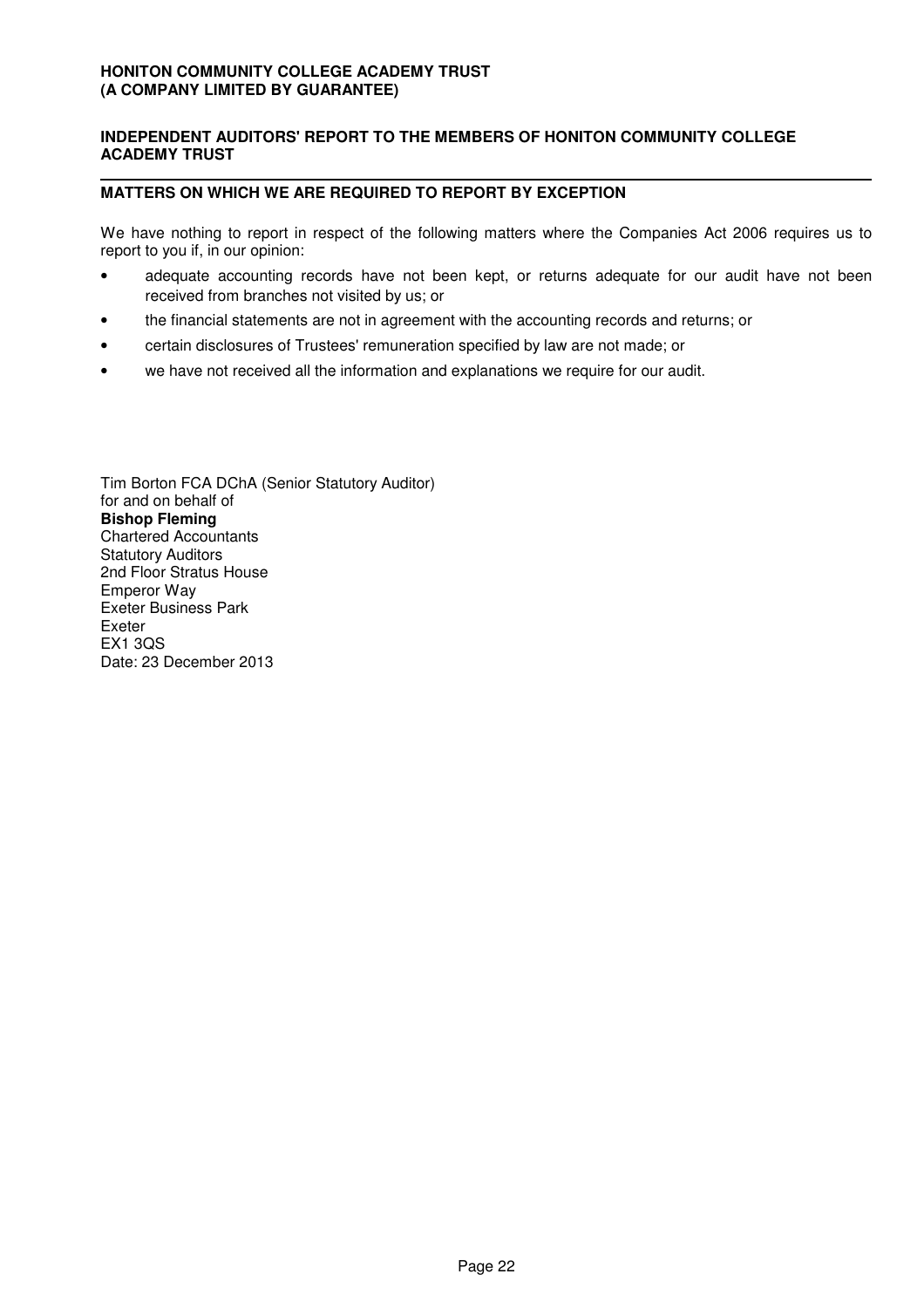### **INDEPENDENT AUDITORS' REPORT TO THE MEMBERS OF HONITON COMMUNITY COLLEGE ACADEMY TRUST**

### **MATTERS ON WHICH WE ARE REQUIRED TO REPORT BY EXCEPTION**

We have nothing to report in respect of the following matters where the Companies Act 2006 requires us to report to you if, in our opinion:

- adequate accounting records have not been kept, or returns adequate for our audit have not been received from branches not visited by us; or
- the financial statements are not in agreement with the accounting records and returns; or
- certain disclosures of Trustees' remuneration specified by law are not made; or Ī
- we have not received all the information and explanations we require for our audit.

Tim Borton FCA DChA (Senior Statutory Auditor) for and on behalf of **Bishop Fleming** Chartered Accountants Statutory Auditors 2nd Floor Stratus House Emperor Way Exeter Business Park Exeter EX1 3QS Date: 23 December 2013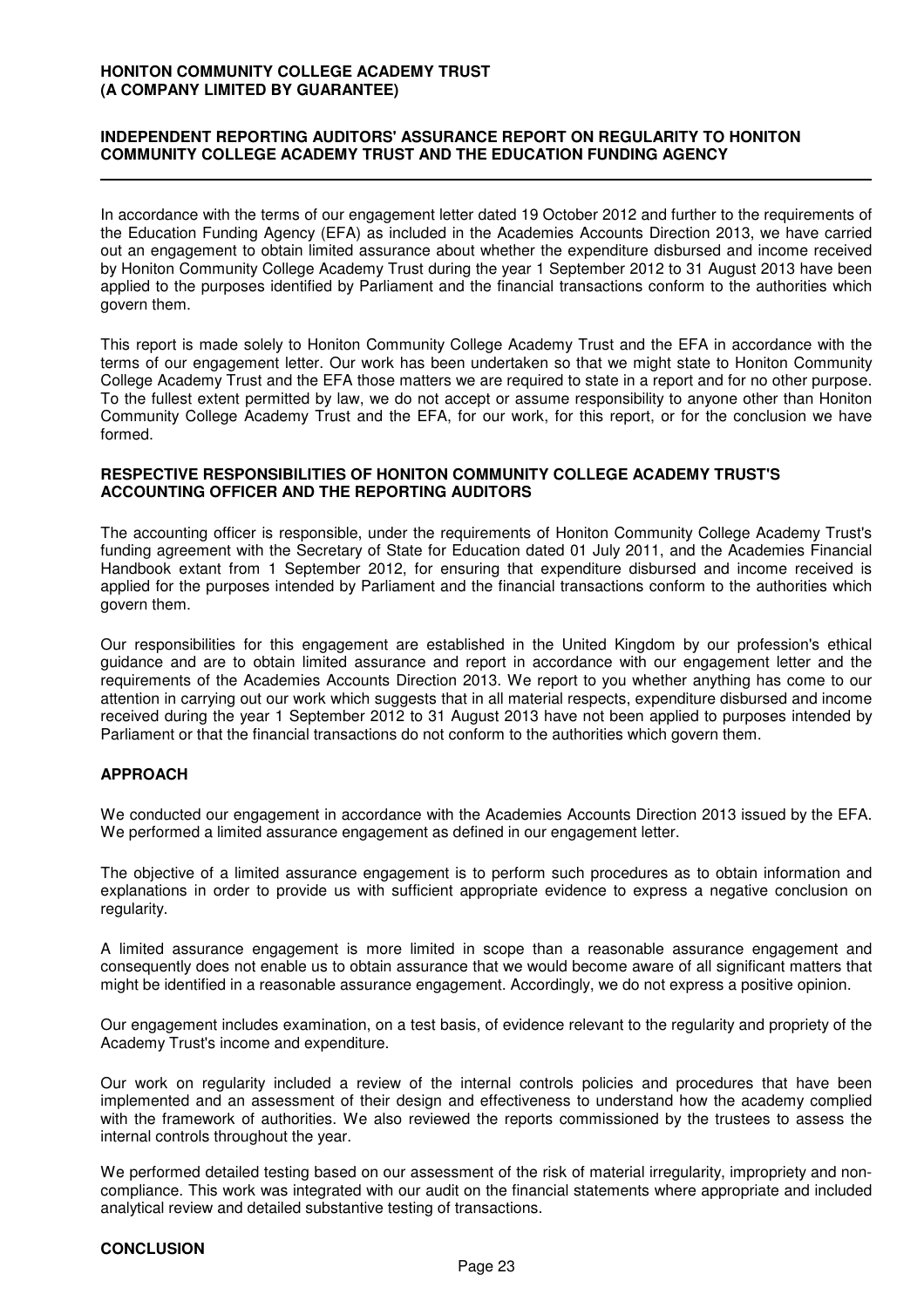### **INDEPENDENT REPORTING AUDITORS' ASSURANCE REPORT ON REGULARITY TO HONITON COMMUNITY COLLEGE ACADEMY TRUST AND THE EDUCATION FUNDING AGENCY**

In accordance with the terms of our engagement letter dated 19 October 2012 and further to the requirements of the Education Funding Agency (EFA) as included in the Academies Accounts Direction 2013, we have carried out an engagement to obtain limited assurance about whether the expenditure disbursed and income received by Honiton Community College Academy Trust during the year 1 September 2012 to 31 August 2013 have been applied to the purposes identified by Parliament and the financial transactions conform to the authorities which govern them.

This report is made solely to Honiton Community College Academy Trust and the EFA in accordance with the terms of our engagement letter. Our work has been undertaken so that we might state to Honiton Community College Academy Trust and the EFA those matters we are required to state in a report and for no other purpose. To the fullest extent permitted by law, we do not accept or assume responsibility to anyone other than Honiton Community College Academy Trust and the EFA, for our work, for this report, or for the conclusion we have formed.

#### **RESPECTIVE RESPONSIBILITIES OF HONITON COMMUNITY COLLEGE ACADEMY TRUST'S ACCOUNTING OFFICER AND THE REPORTING AUDITORS**

The accounting officer is responsible, under the requirements of Honiton Community College Academy Trust's funding agreement with the Secretary of State for Education dated 01 July 2011, and the Academies Financial Handbook extant from 1 September 2012, for ensuring that expenditure disbursed and income received is applied for the purposes intended by Parliament and the financial transactions conform to the authorities which govern them.

Our responsibilities for this engagement are established in the United Kingdom by our profession's ethical guidance and are to obtain limited assurance and report in accordance with our engagement letter and the requirements of the Academies Accounts Direction 2013. We report to you whether anything has come to our attention in carrying out our work which suggests that in all material respects, expenditure disbursed and income received during the year 1 September 2012 to 31 August 2013 have not been applied to purposes intended by Parliament or that the financial transactions do not conform to the authorities which govern them.

### **APPROACH**

We conducted our engagement in accordance with the Academies Accounts Direction 2013 issued by the EFA. We performed a limited assurance engagement as defined in our engagement letter.

The objective of a limited assurance engagement is to perform such procedures as to obtain information and explanations in order to provide us with sufficient appropriate evidence to express a negative conclusion on regularity.

A limited assurance engagement is more limited in scope than a reasonable assurance engagement and consequently does not enable us to obtain assurance that we would become aware of all significant matters that might be identified in a reasonable assurance engagement. Accordingly, we do not express a positive opinion.

Our engagement includes examination, on a test basis, of evidence relevant to the regularity and propriety of the Academy Trust's income and expenditure.

Our work on regularity included a review of the internal controls policies and procedures that have been implemented and an assessment of their design and effectiveness to understand how the academy complied with the framework of authorities. We also reviewed the reports commissioned by the trustees to assess the internal controls throughout the year.

We performed detailed testing based on our assessment of the risk of material irregularity, impropriety and noncompliance. This work was integrated with our audit on the financial statements where appropriate and included analytical review and detailed substantive testing of transactions.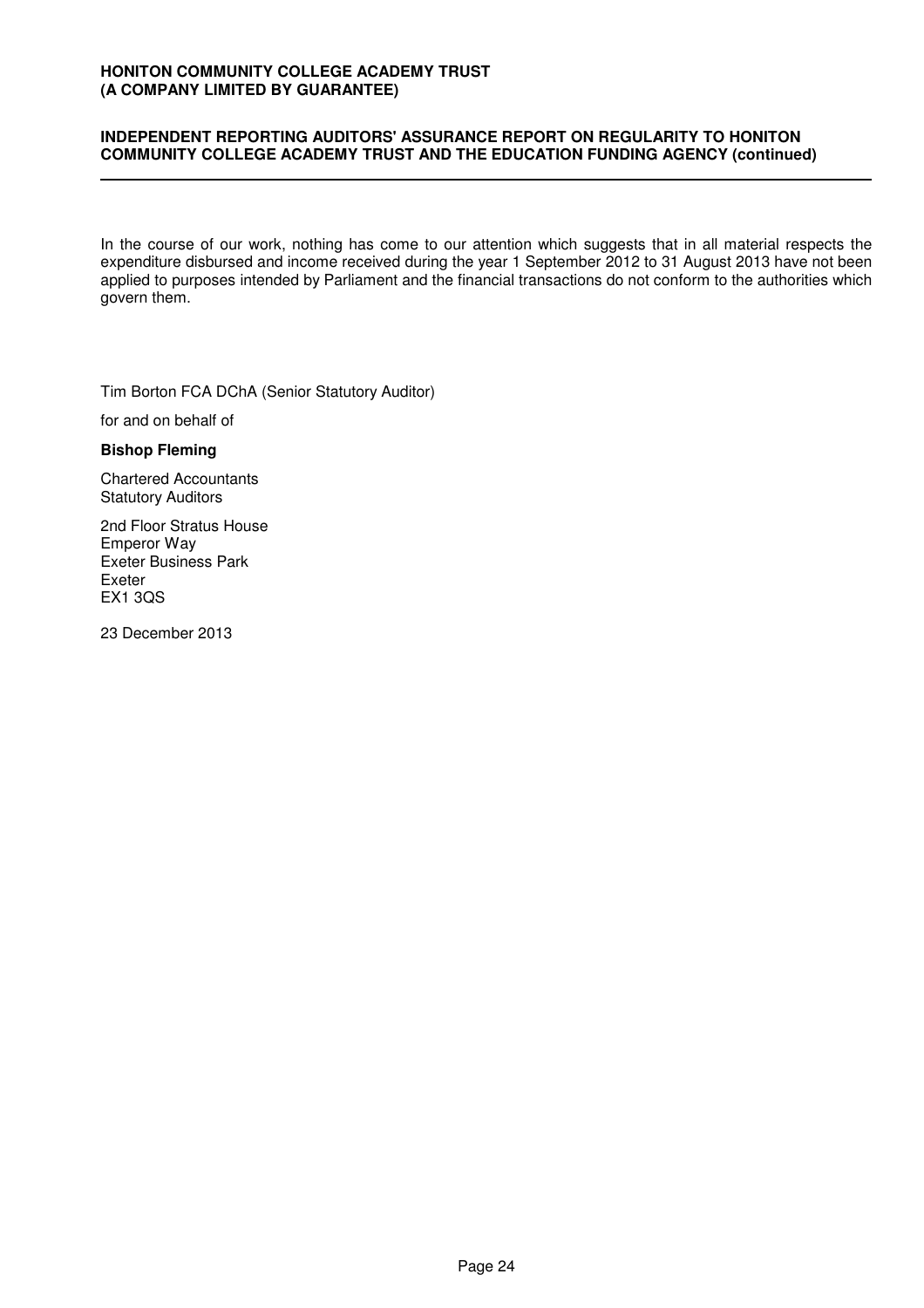### **INDEPENDENT REPORTING AUDITORS' ASSURANCE REPORT ON REGULARITY TO HONITON COMMUNITY COLLEGE ACADEMY TRUST AND THE EDUCATION FUNDING AGENCY (continued)**

In the course of our work, nothing has come to our attention which suggests that in all material respects the expenditure disbursed and income received during the year 1 September 2012 to 31 August 2013 have not been applied to purposes intended by Parliament and the financial transactions do not conform to the authorities which govern them.

Tim Borton FCA DChA (Senior Statutory Auditor)

for and on behalf of İ

#### **Bishop Fleming**

Chartered Accountants Statutory Auditors

2nd Floor Stratus House Emperor Way Exeter Business Park Exeter EX1 3QS

23 December 2013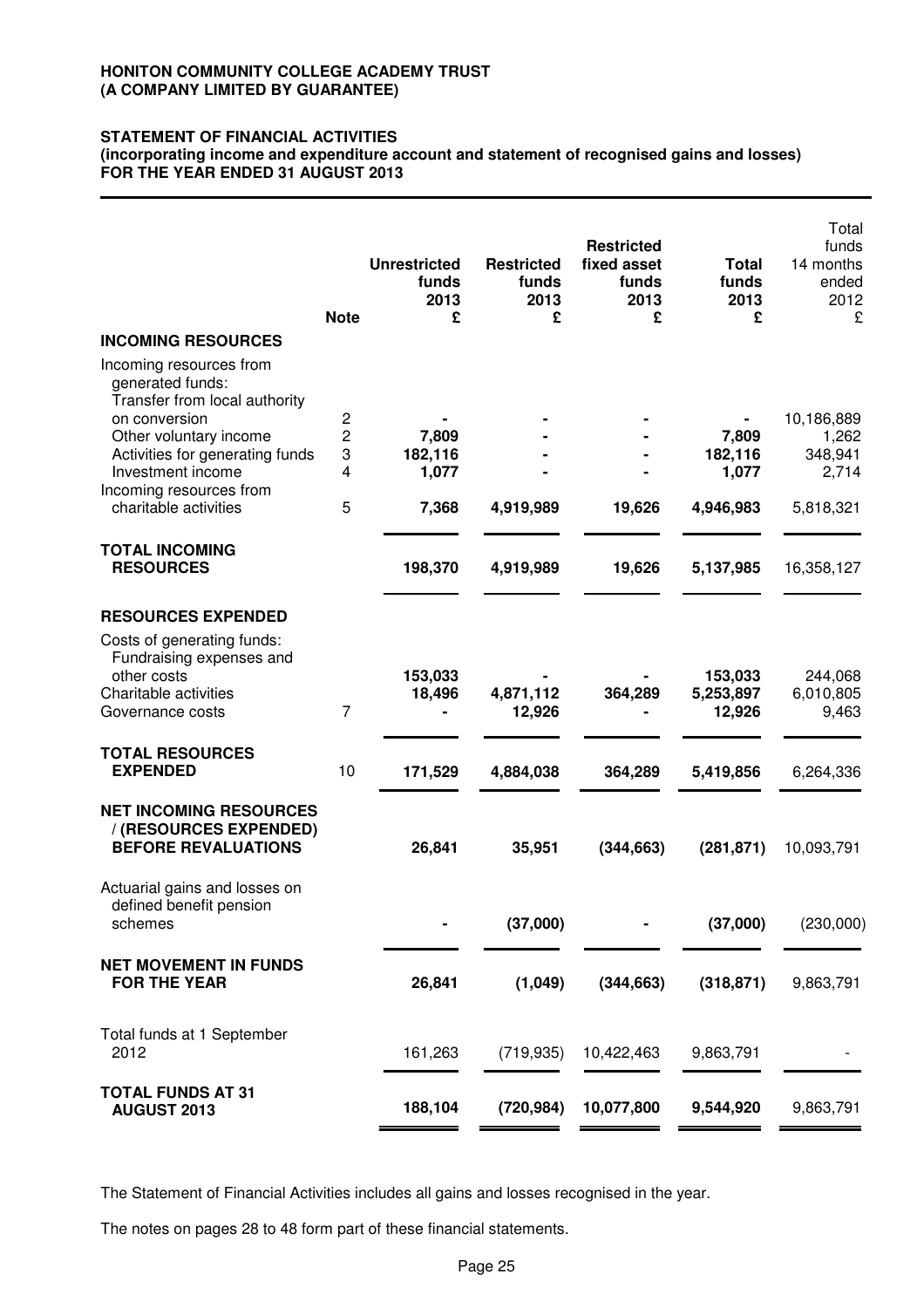### **STATEMENT OF FINANCIAL ACTIVITIES**

**(incorporating income and expenditure account and statement of recognised gains and losses) FOR THE YEAR ENDED 31 AUGUST 2013**

|                                                                                       | <b>Note</b> | <b>Unrestricted</b><br>funds<br>2013<br>£ | <b>Restricted</b><br>funds<br>2013<br>£ | <b>Restricted</b><br>fixed asset<br>funds<br>2013<br>£ | <b>Total</b><br>funds<br>2013<br>£ | Total<br>funds<br>14 months<br>ended<br>2012<br>£ |
|---------------------------------------------------------------------------------------|-------------|-------------------------------------------|-----------------------------------------|--------------------------------------------------------|------------------------------------|---------------------------------------------------|
| <b>INCOMING RESOURCES</b>                                                             |             |                                           |                                         |                                                        |                                    |                                                   |
| Incoming resources from<br>generated funds:<br>Transfer from local authority          |             |                                           |                                         |                                                        |                                    |                                                   |
| on conversion                                                                         | 2           |                                           |                                         |                                                        |                                    | 10,186,889                                        |
| Other voluntary income<br>Activities for generating funds                             | 2<br>3      | 7,809<br>182,116                          |                                         |                                                        | 7,809<br>182,116                   | 1,262<br>348,941                                  |
| Investment income                                                                     | 4           | 1,077                                     |                                         |                                                        | 1,077                              | 2,714                                             |
| Incoming resources from                                                               |             |                                           |                                         |                                                        |                                    |                                                   |
| charitable activities                                                                 | 5           | 7,368                                     | 4,919,989                               | 19,626                                                 | 4,946,983                          | 5,818,321                                         |
| <b>TOTAL INCOMING</b><br><b>RESOURCES</b>                                             |             | 198,370                                   | 4,919,989                               | 19,626                                                 | 5,137,985                          | 16,358,127                                        |
|                                                                                       |             |                                           |                                         |                                                        |                                    |                                                   |
| <b>RESOURCES EXPENDED</b>                                                             |             |                                           |                                         |                                                        |                                    |                                                   |
| Costs of generating funds:<br>Fundraising expenses and                                |             |                                           |                                         |                                                        |                                    |                                                   |
| other costs<br>Charitable activities                                                  |             | 153,033<br>18,496                         | 4,871,112                               | 364,289                                                | 153,033<br>5,253,897               | 244,068<br>6,010,805                              |
| Governance costs                                                                      | 7           |                                           | 12,926                                  |                                                        | 12,926                             | 9,463                                             |
| <b>TOTAL RESOURCES</b>                                                                |             |                                           |                                         |                                                        |                                    |                                                   |
| <b>EXPENDED</b>                                                                       | 10          | 171,529                                   | 4,884,038                               | 364,289                                                | 5,419,856                          | 6,264,336                                         |
| <b>NET INCOMING RESOURCES</b><br>/ (RESOURCES EXPENDED)<br><b>BEFORE REVALUATIONS</b> |             | 26,841                                    | 35,951                                  | (344, 663)                                             | (281, 871)                         | 10,093,791                                        |
| Actuarial gains and losses on<br>defined benefit pension<br>schemes                   |             |                                           | (37,000)                                |                                                        | (37,000)                           | (230,000)                                         |
| <b>NET MOVEMENT IN FUNDS</b><br><b>FOR THE YEAR</b>                                   |             | 26,841                                    | (1,049)                                 | (344, 663)                                             | (318, 871)                         | 9,863,791                                         |
| Total funds at 1 September<br>2012                                                    |             | 161,263                                   | (719, 935)                              | 10,422,463                                             | 9,863,791                          |                                                   |
| <b>TOTAL FUNDS AT 31</b><br><b>AUGUST 2013</b>                                        |             | 188,104                                   | (720, 984)                              | 10,077,800                                             | 9,544,920                          | 9,863,791                                         |
|                                                                                       |             |                                           |                                         |                                                        |                                    |                                                   |

The Statement of Financial Activities includes all gains and losses recognised in the year.

The notes on pages 28 to 48 form part of these financial statements.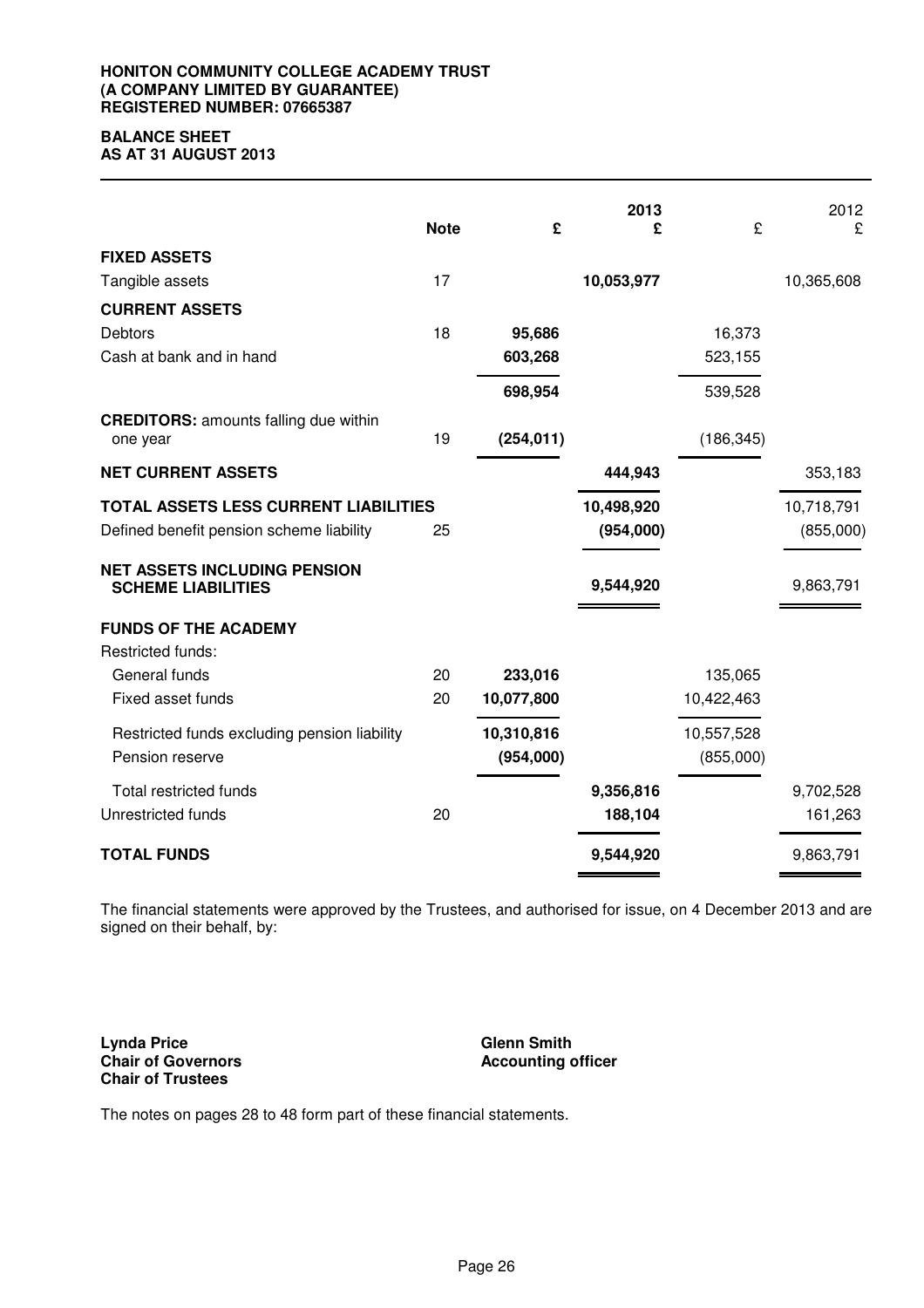#### **HONITON COMMUNITY COLLEGE ACADEMY TRUST (A COMPANY LIMITED BY GUARANTEE) REGISTERED NUMBER: 07665387**

# **BALANCE SHEET**

**AS AT 31 AUGUST 2013**

|                                                                  | <b>Note</b> | £          | 2013<br>£  | £          | 2012<br>£  |
|------------------------------------------------------------------|-------------|------------|------------|------------|------------|
| <b>FIXED ASSETS</b>                                              |             |            |            |            |            |
| Tangible assets                                                  | 17          |            | 10,053,977 |            | 10,365,608 |
| <b>CURRENT ASSETS</b>                                            |             |            |            |            |            |
| <b>Debtors</b>                                                   | 18          | 95,686     |            | 16,373     |            |
| Cash at bank and in hand                                         |             | 603,268    |            | 523,155    |            |
|                                                                  |             | 698,954    |            | 539,528    |            |
| <b>CREDITORS:</b> amounts falling due within<br>one year         | 19          | (254, 011) |            | (186, 345) |            |
| <b>NET CURRENT ASSETS</b>                                        |             |            | 444,943    |            | 353,183    |
| TOTAL ASSETS LESS CURRENT LIABILITIES                            |             |            | 10,498,920 |            | 10,718,791 |
| Defined benefit pension scheme liability                         | 25          |            | (954,000)  |            | (855,000)  |
| <b>NET ASSETS INCLUDING PENSION</b><br><b>SCHEME LIABILITIES</b> |             |            | 9,544,920  |            | 9,863,791  |
| <b>FUNDS OF THE ACADEMY</b>                                      |             |            |            |            |            |
| Restricted funds:                                                |             |            |            |            |            |
| General funds                                                    | 20          | 233,016    |            | 135,065    |            |
| Fixed asset funds                                                | 20          | 10,077,800 |            | 10,422,463 |            |
| Restricted funds excluding pension liability                     |             | 10,310,816 |            | 10,557,528 |            |
| Pension reserve                                                  |             | (954,000)  |            | (855,000)  |            |
| <b>Total restricted funds</b>                                    |             |            | 9,356,816  |            | 9,702,528  |
| Unrestricted funds                                               | 20          |            | 188,104    |            | 161,263    |
| <b>TOTAL FUNDS</b>                                               |             |            | 9,544,920  |            | 9,863,791  |

The financial statements were approved by the Trustees, and authorised for issue, on 4 December 2013 and are signed on their behalf, by:

**Lynda Price Chair of Governors Chair of Trustees**

**Glenn Smith Accounting officer**

The notes on pages 28 to 48 form part of these financial statements.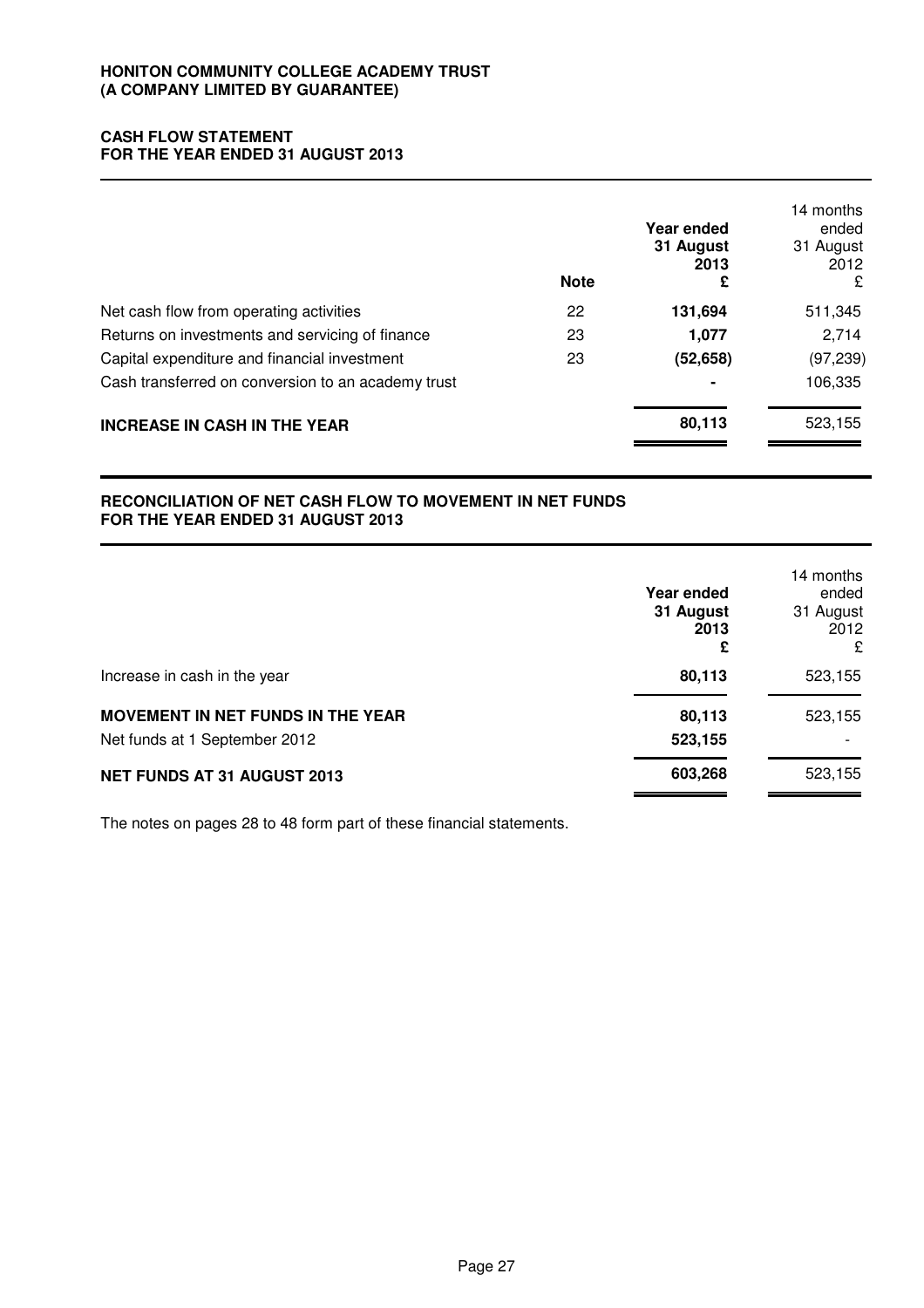### **CASH FLOW STATEMENT FOR THE YEAR ENDED 31 AUGUST 2013**

|                                                    | <b>Note</b> | Year ended<br>31 August<br>2013<br>£ | 14 months<br>ended<br>31 August<br>2012<br>£ |
|----------------------------------------------------|-------------|--------------------------------------|----------------------------------------------|
| Net cash flow from operating activities            | 22          | 131,694                              | 511,345                                      |
| Returns on investments and servicing of finance    | 23          | 1,077                                | 2,714                                        |
| Capital expenditure and financial investment       | 23          | (52, 658)                            | (97, 239)                                    |
| Cash transferred on conversion to an academy trust |             |                                      | 106,335                                      |
| <b>INCREASE IN CASH IN THE YEAR</b>                |             | 80,113                               | 523,155                                      |

### **RECONCILIATION OF NET CASH FLOW TO MOVEMENT IN NET FUNDS FOR THE YEAR ENDED 31 AUGUST 2013**

|                                                                           | Year ended<br>31 August<br>2013<br>£ | 14 months<br>ended<br>31 August<br>2012<br>£ |
|---------------------------------------------------------------------------|--------------------------------------|----------------------------------------------|
| Increase in cash in the year                                              | 80,113                               | 523,155                                      |
| <b>MOVEMENT IN NET FUNDS IN THE YEAR</b><br>Net funds at 1 September 2012 | 80,113<br>523,155                    | 523,155                                      |
| NET FUNDS AT 31 AUGUST 2013                                               | 603,268                              | 523,155                                      |

The notes on pages 28 to 48 form part of these financial statements.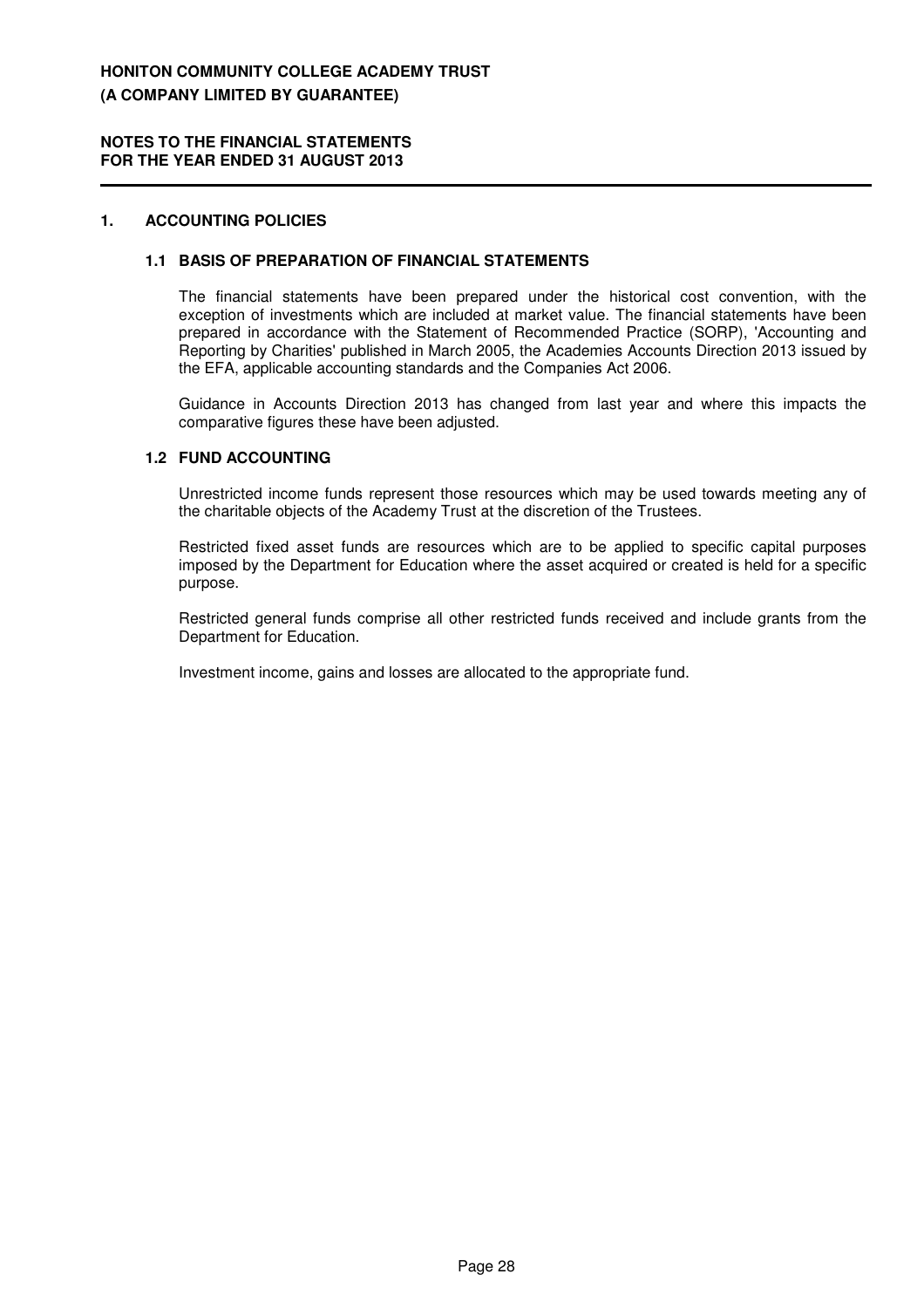#### **NOTES TO THE FINANCIAL STATEMENTS FOR THE YEAR ENDED 31 AUGUST 2013**

### **1. ACCOUNTING POLICIES**

#### **1.1 BASIS OF PREPARATION OF FINANCIAL STATEMENTS**

The financial statements have been prepared under the historical cost convention, with the exception of investments which are included at market value. The financial statements have been prepared in accordance with the Statement of Recommended Practice (SORP), 'Accounting and Reporting by Charities' published in March 2005, the Academies Accounts Direction 2013 issued by the EFA, applicable accounting standards and the Companies Act 2006.

Guidance in Accounts Direction 2013 has changed from last year and where this impacts the comparative figures these have been adjusted.

### **1.2 FUND ACCOUNTING**

Unrestricted income funds represent those resources which may be used towards meeting any of the charitable objects of the Academy Trust at the discretion of the Trustees.

Restricted fixed asset funds are resources which are to be applied to specific capital purposes imposed by the Department for Education where the asset acquired or created is held for a specific purpose.

Restricted general funds comprise all other restricted funds received and include grants from the Department for Education.

Investment income, gains and losses are allocated to the appropriate fund.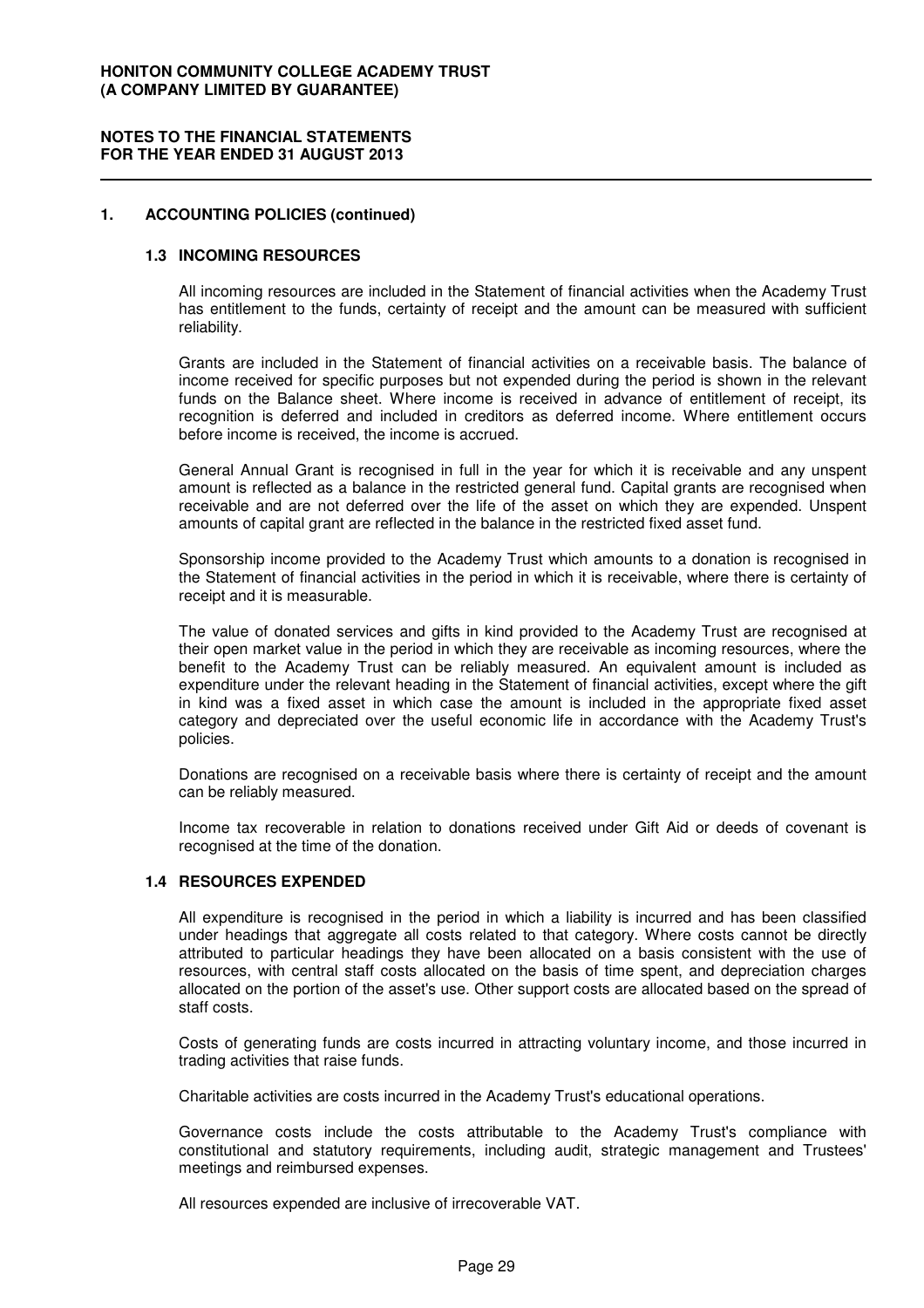#### **1. ACCOUNTING POLICIES (continued)**

#### **1.3 INCOMING RESOURCES**

All incoming resources are included in the Statement of financial activities when the Academy Trust has entitlement to the funds, certainty of receipt and the amount can be measured with sufficient reliability.

Grants are included in the Statement of financial activities on a receivable basis. The balance of income received for specific purposes but not expended during the period is shown in the relevant funds on the Balance sheet. Where income is received in advance of entitlement of receipt, its recognition is deferred and included in creditors as deferred income. Where entitlement occurs before income is received, the income is accrued.

General Annual Grant is recognised in full in the year for which it is receivable and any unspent amount is reflected as a balance in the restricted general fund. Capital grants are recognised when receivable and are not deferred over the life of the asset on which they are expended. Unspent amounts of capital grant are reflected in the balance in the restricted fixed asset fund.

Sponsorship income provided to the Academy Trust which amounts to a donation is recognised in the Statement of financial activities in the period in which it is receivable, where there is certainty of receipt and it is measurable.

The value of donated services and gifts in kind provided to the Academy Trust are recognised at their open market value in the period in which they are receivable as incoming resources, where the benefit to the Academy Trust can be reliably measured. An equivalent amount is included as expenditure under the relevant heading in the Statement of financial activities, except where the gift in kind was a fixed asset in which case the amount is included in the appropriate fixed asset category and depreciated over the useful economic life in accordance with the Academy Trust's policies.

Donations are recognised on a receivable basis where there is certainty of receipt and the amount can be reliably measured.

Income tax recoverable in relation to donations received under Gift Aid or deeds of covenant is recognised at the time of the donation.

#### **1.4 RESOURCES EXPENDED**

All expenditure is recognised in the period in which a liability is incurred and has been classified under headings that aggregate all costs related to that category. Where costs cannot be directly attributed to particular headings they have been allocated on a basis consistent with the use of resources, with central staff costs allocated on the basis of time spent, and depreciation charges allocated on the portion of the asset's use. Other support costs are allocated based on the spread of staff costs.

Costs of generating funds are costs incurred in attracting voluntary income, and those incurred in trading activities that raise funds.

Charitable activities are costs incurred in the Academy Trust's educational operations.

Governance costs include the costs attributable to the Academy Trust's compliance with constitutional and statutory requirements, including audit, strategic management and Trustees' meetings and reimbursed expenses.

All resources expended are inclusive of irrecoverable VAT.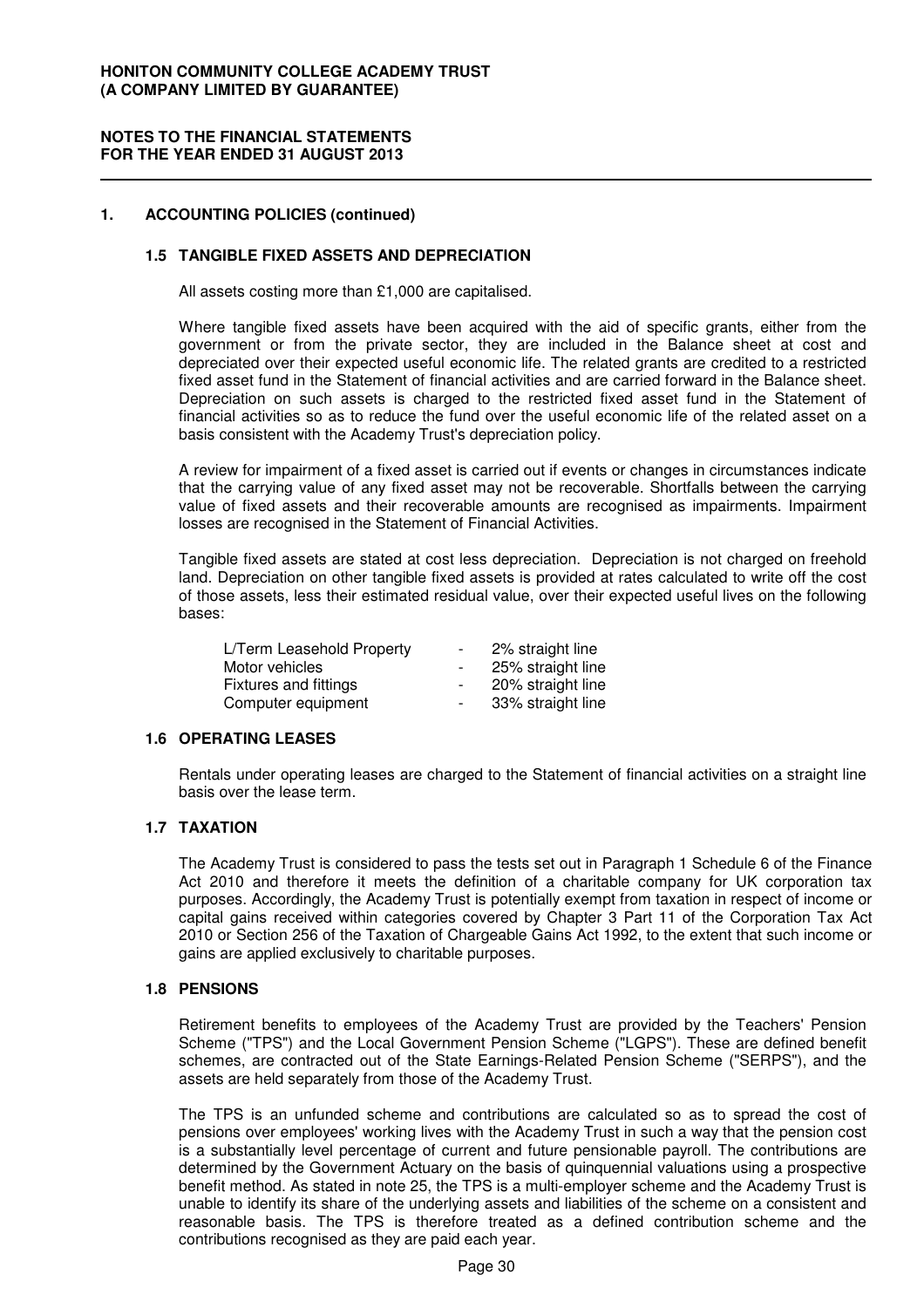### **NOTES TO THE FINANCIAL STATEMENTS FOR THE YEAR ENDED 31 AUGUST 2013**

### **1. ACCOUNTING POLICIES (continued)**

### **1.5 TANGIBLE FIXED ASSETS AND DEPRECIATION**

All assets costing more than £1,000 are capitalised.

Where tangible fixed assets have been acquired with the aid of specific grants, either from the government or from the private sector, they are included in the Balance sheet at cost and depreciated over their expected useful economic life. The related grants are credited to a restricted fixed asset fund in the Statement of financial activities and are carried forward in the Balance sheet. Depreciation on such assets is charged to the restricted fixed asset fund in the Statement of financial activities so as to reduce the fund over the useful economic life of the related asset on a basis consistent with the Academy Trust's depreciation policy.

A review for impairment of a fixed asset is carried out if events or changes in circumstances indicate that the carrying value of any fixed asset may not be recoverable. Shortfalls between the carrying value of fixed assets and their recoverable amounts are recognised as impairments. Impairment losses are recognised in the Statement of Financial Activities.

Tangible fixed assets are stated at cost less depreciation. Depreciation is not charged on freehold land. Depreciation on other tangible fixed assets is provided at rates calculated to write off the cost of those assets, less their estimated residual value, over their expected useful lives on the following bases:

| L/Term Leasehold Property | $\overline{\phantom{a}}$ | 2% straight line  |
|---------------------------|--------------------------|-------------------|
| Motor vehicles            | $\sim$                   | 25% straight line |
| Fixtures and fittings     | $\sim$                   | 20% straight line |
| Computer equipment        | $\sim$                   | 33% straight line |

### **1.6 OPERATING LEASES**

Rentals under operating leases are charged to the Statement of financial activities on a straight line basis over the lease term.

### **1.7 TAXATION**

The Academy Trust is considered to pass the tests set out in Paragraph 1 Schedule 6 of the Finance Act 2010 and therefore it meets the definition of a charitable company for UK corporation tax purposes. Accordingly, the Academy Trust is potentially exempt from taxation in respect of income or capital gains received within categories covered by Chapter 3 Part 11 of the Corporation Tax Act 2010 or Section 256 of the Taxation of Chargeable Gains Act 1992, to the extent that such income or gains are applied exclusively to charitable purposes.

#### **1.8 PENSIONS**

Retirement benefits to employees of the Academy Trust are provided by the Teachers' Pension Scheme ("TPS") and the Local Government Pension Scheme ("LGPS"). These are defined benefit schemes, are contracted out of the State Earnings-Related Pension Scheme ("SERPS"), and the assets are held separately from those of the Academy Trust.

The TPS is an unfunded scheme and contributions are calculated so as to spread the cost of pensions over employees' working lives with the Academy Trust in such a way that the pension cost is a substantially level percentage of current and future pensionable payroll. The contributions are determined by the Government Actuary on the basis of quinquennial valuations using a prospective benefit method. As stated in note 25, the TPS is a multi-employer scheme and the Academy Trust is unable to identify its share of the underlying assets and liabilities of the scheme on a consistent and reasonable basis. The TPS is therefore treated as a defined contribution scheme and the contributions recognised as they are paid each year.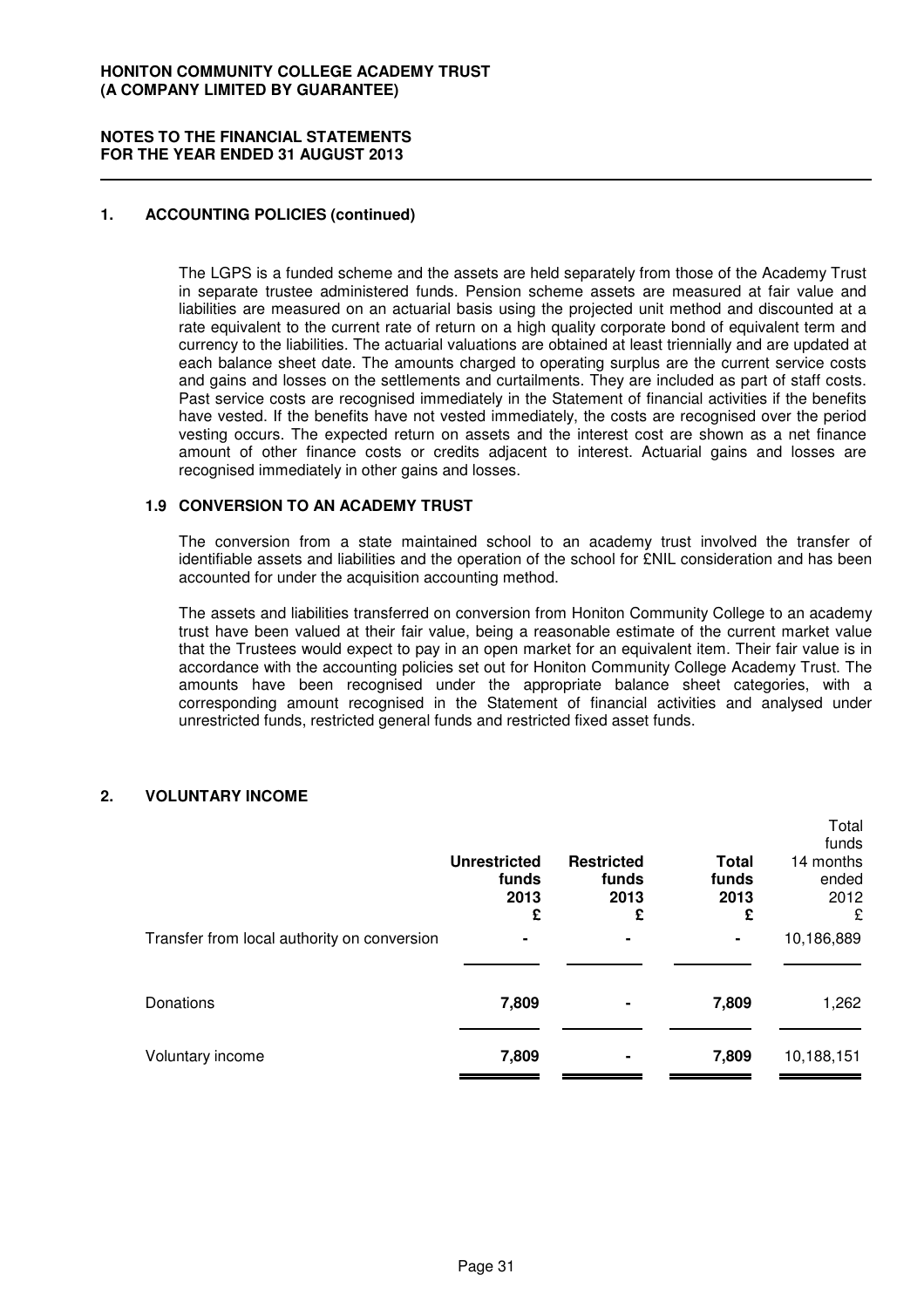#### **NOTES TO THE FINANCIAL STATEMENTS FOR THE YEAR ENDED 31 AUGUST 2013**

### **1. ACCOUNTING POLICIES (continued)**

The LGPS is a funded scheme and the assets are held separately from those of the Academy Trust in separate trustee administered funds. Pension scheme assets are measured at fair value and liabilities are measured on an actuarial basis using the projected unit method and discounted at a rate equivalent to the current rate of return on a high quality corporate bond of equivalent term and currency to the liabilities. The actuarial valuations are obtained at least triennially and are updated at each balance sheet date. The amounts charged to operating surplus are the current service costs and gains and losses on the settlements and curtailments. They are included as part of staff costs. Past service costs are recognised immediately in the Statement of financial activities if the benefits have vested. If the benefits have not vested immediately, the costs are recognised over the period vesting occurs. The expected return on assets and the interest cost are shown as a net finance amount of other finance costs or credits adjacent to interest. Actuarial gains and losses are recognised immediately in other gains and losses.

### **1.9 CONVERSION TO AN ACADEMY TRUST**

The conversion from a state maintained school to an academy trust involved the transfer of identifiable assets and liabilities and the operation of the school for £NIL consideration and has been accounted for under the acquisition accounting method.

The assets and liabilities transferred on conversion from Honiton Community College to an academy trust have been valued at their fair value, being a reasonable estimate of the current market value that the Trustees would expect to pay in an open market for an equivalent item. Their fair value is in accordance with the accounting policies set out for Honiton Community College Academy Trust. The amounts have been recognised under the appropriate balance sheet categories, with a corresponding amount recognised in the Statement of financial activities and analysed under unrestricted funds, restricted general funds and restricted fixed asset funds.

### **2. VOLUNTARY INCOME**

|                                             | <b>Unrestricted</b><br>funds<br>2013 | <b>Restricted</b><br>funds<br>2013 | <b>Total</b><br>funds<br>2013 | Total<br>funds<br>14 months<br>ended<br>2012 |
|---------------------------------------------|--------------------------------------|------------------------------------|-------------------------------|----------------------------------------------|
| Transfer from local authority on conversion | £                                    | £<br>۰                             | £<br>۰                        | £<br>10,186,889                              |
| Donations                                   | 7,809                                | ۰                                  | 7,809                         | 1,262                                        |
| Voluntary income                            | 7,809                                | ۰                                  | 7,809                         | 10,188,151                                   |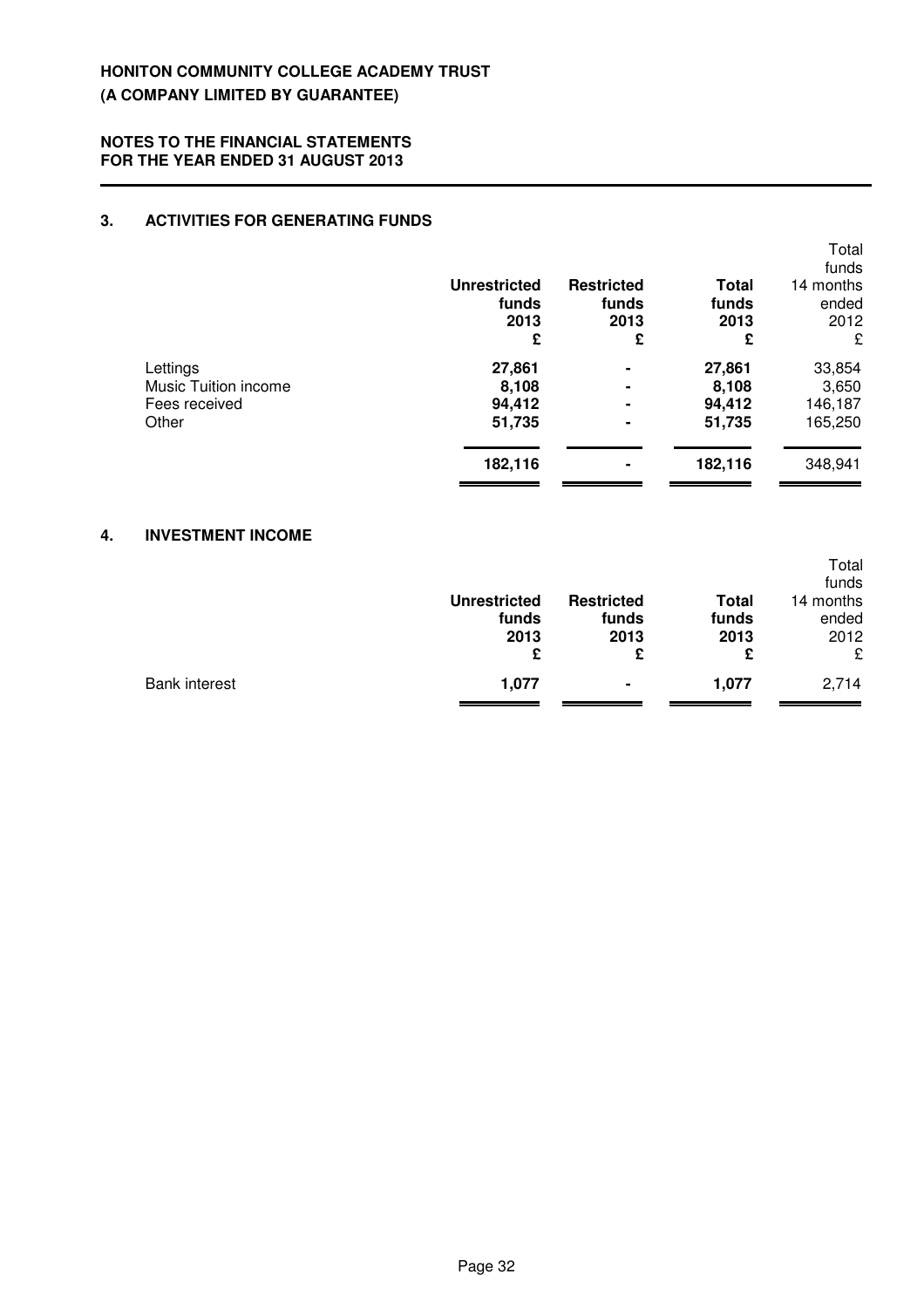### **3. ACTIVITIES FOR GENERATING FUNDS**

|                      | <b>Unrestricted</b><br>funds<br>2013<br>£ | <b>Restricted</b><br>funds<br>2013<br>£ | <b>Total</b><br>funds<br>2013<br>£ | Total<br>funds<br>14 months<br>ended<br>2012<br>£ |
|----------------------|-------------------------------------------|-----------------------------------------|------------------------------------|---------------------------------------------------|
| Lettings             | 27,861                                    | ۰                                       | 27,861                             | 33,854                                            |
| Music Tuition income | 8,108                                     | ۰                                       | 8,108                              | 3,650                                             |
| Fees received        | 94,412                                    | ۰                                       | 94,412                             | 146,187                                           |
| Other                | 51,735                                    | ۰                                       | 51,735                             | 165,250                                           |
|                      | 182,116                                   | ۰                                       | 182,116                            | 348,941                                           |

### **4. INVESTMENT INCOME**

|               | <b>Unrestricted</b><br>funds<br>2013<br>£ | <b>Restricted</b><br>funds<br>2013<br>£ | <b>Total</b><br>funds<br>2013<br>£ | Total<br>funds<br>14 months<br>ended<br>2012<br>£ |
|---------------|-------------------------------------------|-----------------------------------------|------------------------------------|---------------------------------------------------|
| Bank interest | 1,077                                     | $\blacksquare$                          | 1,077                              | 2,714                                             |
|               |                                           |                                         |                                    |                                                   |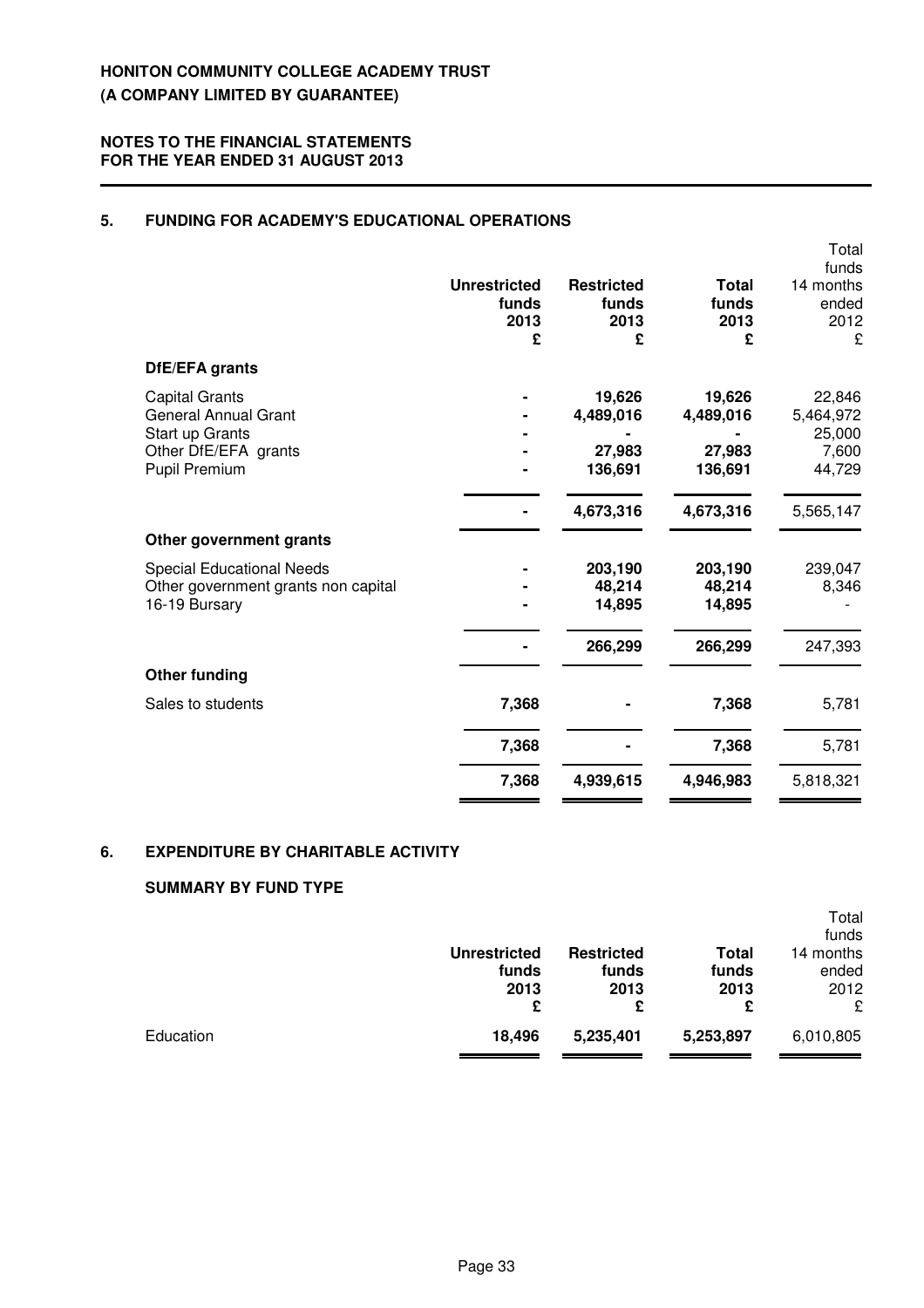### **5. FUNDING FOR ACADEMY'S EDUCATIONAL OPERATIONS**

|                                                                                                                  |                                           |                                          |                                          | Total<br>funds                                   |
|------------------------------------------------------------------------------------------------------------------|-------------------------------------------|------------------------------------------|------------------------------------------|--------------------------------------------------|
|                                                                                                                  | <b>Unrestricted</b><br>funds<br>2013<br>£ | <b>Restricted</b><br>funds<br>2013<br>£  | <b>Total</b><br>funds<br>2013<br>£       | 14 months<br>ended<br>2012<br>£                  |
| DfE/EFA grants                                                                                                   |                                           |                                          |                                          |                                                  |
| <b>Capital Grants</b><br><b>General Annual Grant</b><br>Start up Grants<br>Other DfE/EFA grants<br>Pupil Premium |                                           | 19,626<br>4,489,016<br>27,983<br>136,691 | 19,626<br>4,489,016<br>27,983<br>136,691 | 22,846<br>5,464,972<br>25,000<br>7,600<br>44,729 |
|                                                                                                                  |                                           | 4,673,316                                | 4,673,316                                | 5,565,147                                        |
| Other government grants                                                                                          |                                           |                                          |                                          |                                                  |
| <b>Special Educational Needs</b><br>Other government grants non capital<br>16-19 Bursary                         |                                           | 203,190<br>48,214<br>14,895              | 203,190<br>48,214<br>14,895              | 239,047<br>8,346                                 |
|                                                                                                                  |                                           | 266,299                                  | 266,299                                  | 247,393                                          |
| <b>Other funding</b>                                                                                             |                                           |                                          |                                          |                                                  |
| Sales to students                                                                                                | 7,368                                     |                                          | 7,368                                    | 5,781                                            |
|                                                                                                                  | 7,368                                     |                                          | 7,368                                    | 5,781                                            |
|                                                                                                                  | 7,368                                     | 4,939,615                                | 4,946,983                                | 5,818,321                                        |

### **6. EXPENDITURE BY CHARITABLE ACTIVITY**

### **SUMMARY BY FUND TYPE**

|           | <b>Unrestricted</b><br>funds | <b>Restricted</b><br>funds | Total<br>funds | Total<br>funds<br>14 months<br>ended |
|-----------|------------------------------|----------------------------|----------------|--------------------------------------|
|           |                              |                            |                |                                      |
|           | 2013                         | 2013                       | 2013           | 2012                                 |
|           | £                            | £                          | £              | £                                    |
| Education | 18,496                       | 5,235,401                  | 5,253,897      | 6,010,805                            |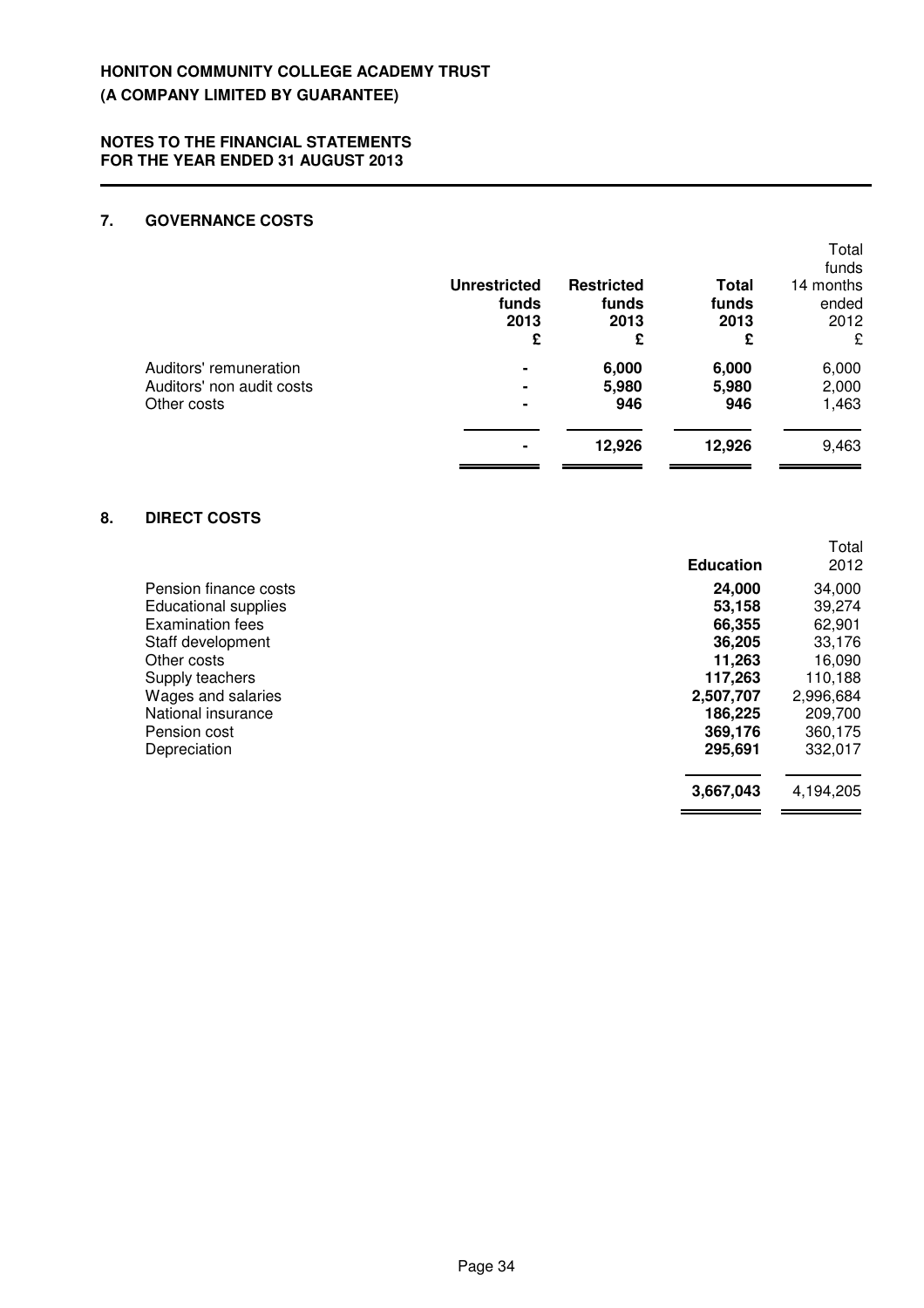#### **NOTES TO THE FINANCIAL STATEMENTS FOR THE YEAR ENDED 31 AUGUST 2013**

### **7. GOVERNANCE COSTS**

|                                                                    | <b>Unrestricted</b><br>funds<br>2013<br>£ | <b>Restricted</b><br>funds<br>2013<br>£ | <b>Total</b><br>funds<br>2013<br>£ | Total<br>funds<br>14 months<br>ended<br>2012<br>£ |
|--------------------------------------------------------------------|-------------------------------------------|-----------------------------------------|------------------------------------|---------------------------------------------------|
| Auditors' remuneration<br>Auditors' non audit costs<br>Other costs |                                           | 6,000<br>5,980<br>946                   | 6,000<br>5,980<br>946              | 6,000<br>2,000<br>1,463                           |
|                                                                    |                                           | 12,926                                  | 12,926                             | 9,463                                             |

### **8. DIRECT COSTS**

|                             | <b>Education</b> | Total<br>2012 |
|-----------------------------|------------------|---------------|
| Pension finance costs       | 24,000           | 34,000        |
| <b>Educational supplies</b> | 53,158           | 39,274        |
| Examination fees            | 66,355           | 62,901        |
| Staff development           | 36,205           | 33,176        |
| Other costs                 | 11,263           | 16,090        |
| Supply teachers             | 117,263          | 110,188       |
| Wages and salaries          | 2,507,707        | 2,996,684     |
| National insurance          | 186,225          | 209,700       |
| Pension cost                | 369,176          | 360,175       |
| Depreciation                | 295,691          | 332,017       |
|                             | 3,667,043        | 4,194,205     |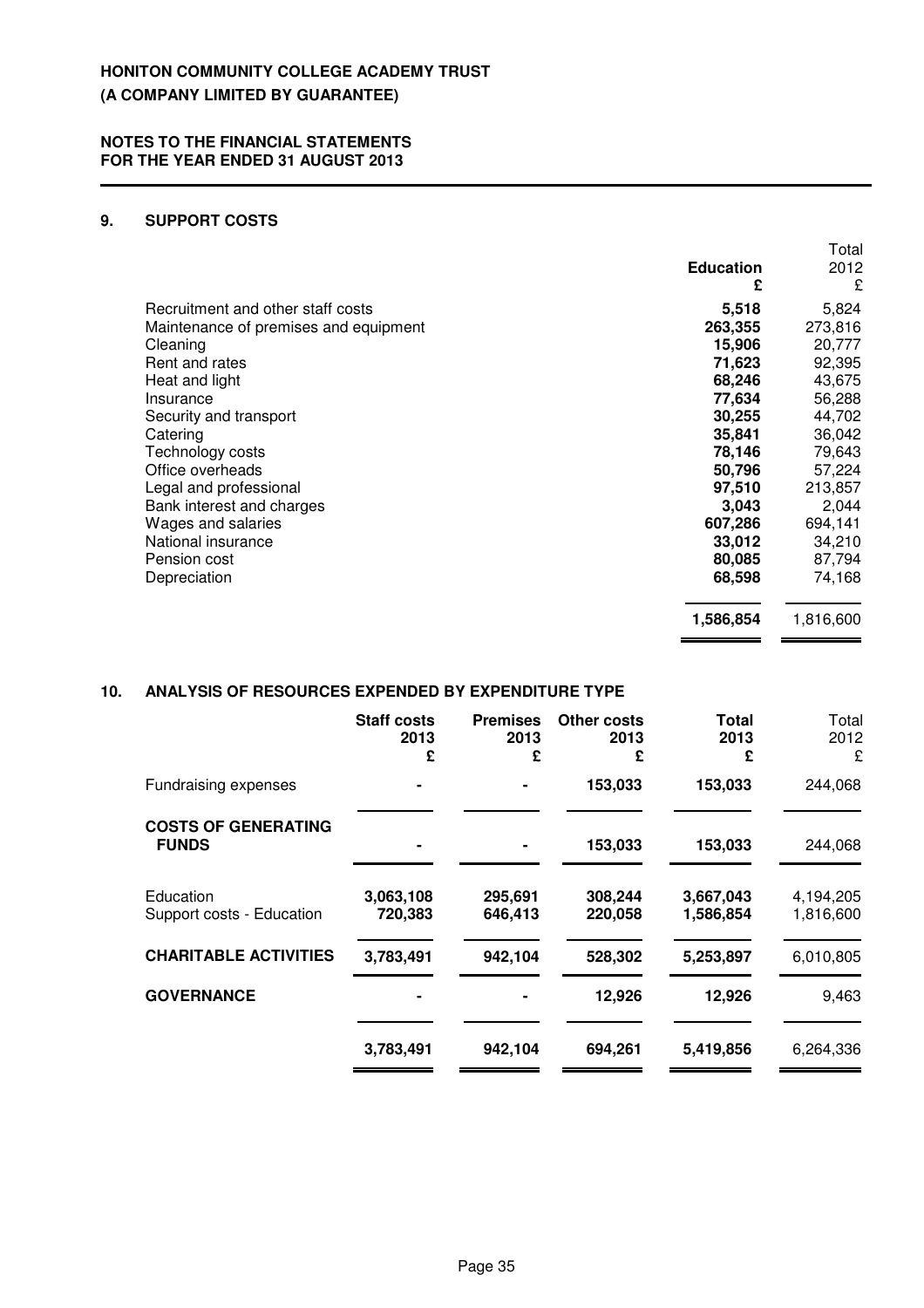### **9. SUPPORT COSTS**

|                                       |                  | Total     |
|---------------------------------------|------------------|-----------|
|                                       | <b>Education</b> | 2012      |
|                                       | £                | £         |
| Recruitment and other staff costs     | 5,518            | 5,824     |
| Maintenance of premises and equipment | 263,355          | 273,816   |
| Cleaning                              | 15,906           | 20,777    |
| Rent and rates                        | 71,623           | 92,395    |
| Heat and light                        | 68,246           | 43,675    |
| Insurance                             | 77,634           | 56,288    |
| Security and transport                | 30,255           | 44,702    |
| Catering                              | 35,841           | 36,042    |
| Technology costs                      | 78,146           | 79,643    |
| Office overheads                      | 50,796           | 57,224    |
| Legal and professional                | 97,510           | 213,857   |
| Bank interest and charges             | 3,043            | 2,044     |
| Wages and salaries                    | 607,286          | 694,141   |
| National insurance                    | 33,012           | 34,210    |
| Pension cost                          | 80,085           | 87,794    |
| Depreciation                          | 68,598           | 74,168    |
|                                       | 1,586,854        | 1,816,600 |

 $\overline{\phantom{a}}$ 

 $\qquad \qquad$ 

### **10. ANALYSIS OF RESOURCES EXPENDED BY EXPENDITURE TYPE**

|                                            | <b>Staff costs</b><br>2013<br>£ | <b>Premises</b><br>2013<br>£ | <b>Other costs</b><br>2013<br>£ | Total<br>2013<br>£     | Total<br>2012<br>£     |
|--------------------------------------------|---------------------------------|------------------------------|---------------------------------|------------------------|------------------------|
| Fundraising expenses                       |                                 |                              | 153,033                         | 153,033                | 244,068                |
| <b>COSTS OF GENERATING</b><br><b>FUNDS</b> |                                 |                              | 153,033                         | 153,033                | 244,068                |
| Education<br>Support costs - Education     | 3,063,108<br>720,383            | 295,691<br>646,413           | 308,244<br>220,058              | 3,667,043<br>1,586,854 | 4,194,205<br>1,816,600 |
| <b>CHARITABLE ACTIVITIES</b>               | 3,783,491                       | 942,104                      | 528,302                         | 5,253,897              | 6,010,805              |
| <b>GOVERNANCE</b>                          |                                 |                              | 12,926                          | 12,926                 | 9,463                  |
|                                            | 3,783,491                       | 942,104                      | 694,261                         | 5,419,856              | 6,264,336              |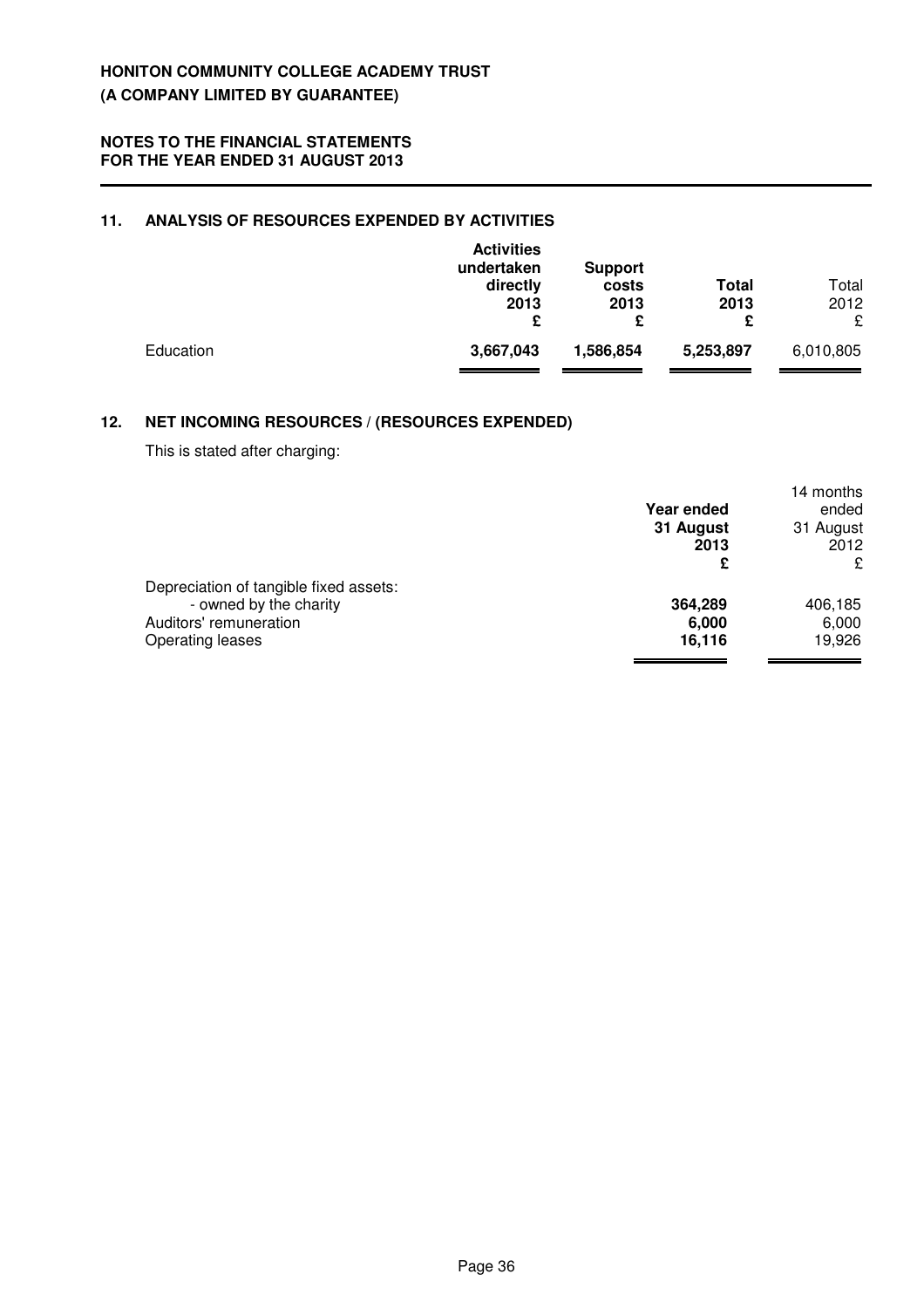### **11. ANALYSIS OF RESOURCES EXPENDED BY ACTIVITIES**

|           | <b>Activities</b><br>undertaken<br>directly<br>2013<br>£ | <b>Support</b><br>costs<br>2013<br>£ | <b>Total</b><br>2013<br>£ | Total<br>2012<br>£ |
|-----------|----------------------------------------------------------|--------------------------------------|---------------------------|--------------------|
| Education | 3,667,043                                                | 1,586,854                            | 5,253,897                 | 6,010,805          |

# **12. NET INCOMING RESOURCES / (RESOURCES EXPENDED)**

This is stated after charging:

|                                        |            | 14 months |
|----------------------------------------|------------|-----------|
|                                        | Year ended | ended     |
|                                        | 31 August  | 31 August |
|                                        | 2013       | 2012      |
|                                        | £          | £         |
| Depreciation of tangible fixed assets: |            |           |
| - owned by the charity                 | 364,289    | 406,185   |
| Auditors' remuneration                 | 6,000      | 6,000     |
| Operating leases                       | 16,116     | 19,926    |
|                                        |            |           |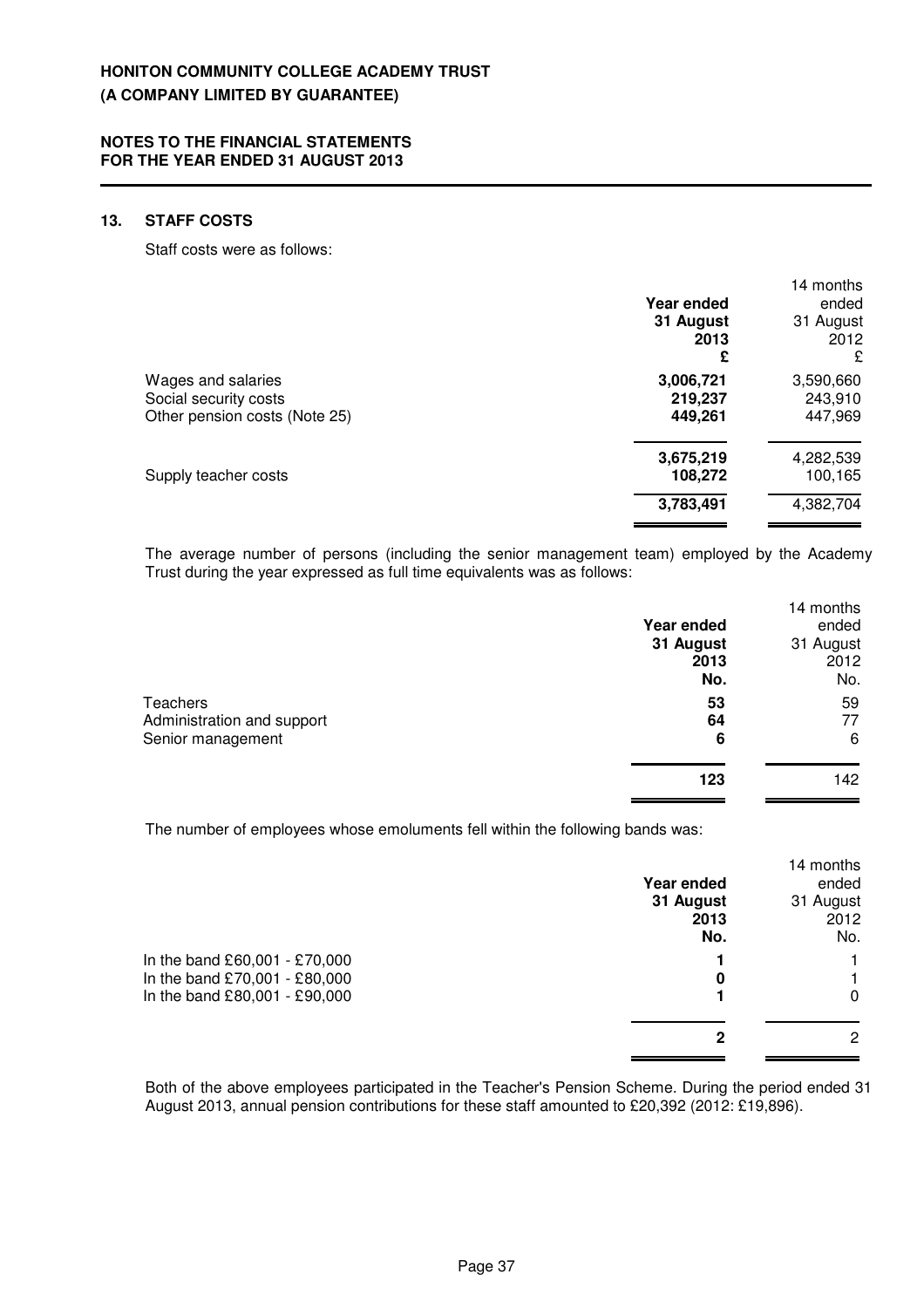### **13. STAFF COSTS**

Staff costs were as follows:

|                               |            | 14 months |
|-------------------------------|------------|-----------|
|                               | Year ended | ended     |
|                               | 31 August  | 31 August |
|                               | 2013       | 2012      |
|                               | £          | £         |
| Wages and salaries            | 3,006,721  | 3,590,660 |
| Social security costs         | 219,237    | 243,910   |
| Other pension costs (Note 25) | 449,261    | 447,969   |
|                               | 3,675,219  | 4,282,539 |
| Supply teacher costs          | 108,272    | 100,165   |
|                               | 3,783,491  | 4,382,704 |
|                               |            |           |

The average number of persons (including the senior management team) employed by the Academy Trust during the year expressed as full time equivalents was as follows:

|                            |            | 14 months |
|----------------------------|------------|-----------|
|                            | Year ended | ended     |
|                            | 31 August  | 31 August |
|                            | 2013       | 2012      |
|                            | No.        | No.       |
| Teachers                   | 53         | 59        |
| Administration and support | 64         | 77        |
| Senior management          | 6          | 6         |
|                            | 123        | 142       |

The number of employees whose emoluments fell within the following bands was:

|                               |            | 14 months |
|-------------------------------|------------|-----------|
|                               | Year ended | ended     |
|                               | 31 August  | 31 August |
|                               | 2013       | 2012      |
|                               | No.        | No.       |
| In the band £60,001 - £70,000 |            |           |
| In the band £70,001 - £80,000 | 0          |           |
| In the band £80,001 - £90,000 |            | 0         |
|                               |            |           |
|                               | 2          | 2         |

Both of the above employees participated in the Teacher's Pension Scheme. During the period ended 31 August 2013, annual pension contributions for these staff amounted to £20,392 (2012: £19,896).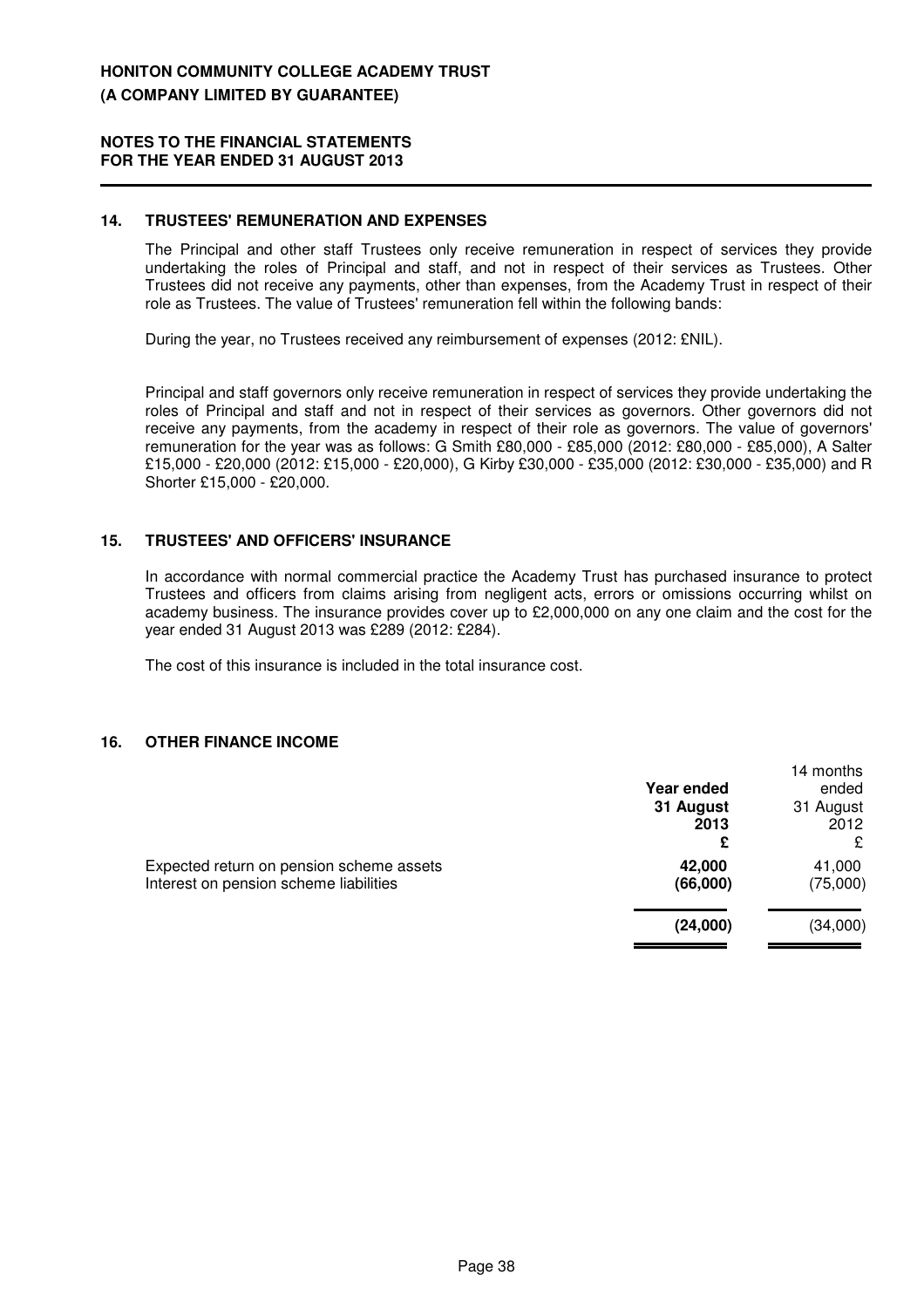### **14. TRUSTEES' REMUNERATION AND EXPENSES**

The Principal and other staff Trustees only receive remuneration in respect of services they provide undertaking the roles of Principal and staff, and not in respect of their services as Trustees. Other Trustees did not receive any payments, other than expenses, from the Academy Trust in respect of their role as Trustees. The value of Trustees' remuneration fell within the following bands:

During the year, no Trustees received any reimbursement of expenses (2012: £NIL).

Principal and staff governors only receive remuneration in respect of services they provide undertaking the roles of Principal and staff and not in respect of their services as governors. Other governors did not receive any payments, from the academy in respect of their role as governors. The value of governors' remuneration for the year was as follows: G Smith £80,000 - £85,000 (2012: £80,000 - £85,000), A Salter £15,000 - £20,000 (2012: £15,000 - £20,000), G Kirby £30,000 - £35,000 (2012: £30,000 - £35,000) and R Shorter £15,000 - £20,000.

### **15. TRUSTEES' AND OFFICERS' INSURANCE**

In accordance with normal commercial practice the Academy Trust has purchased insurance to protect Trustees and officers from claims arising from negligent acts, errors or omissions occurring whilst on academy business. The insurance provides cover up to £2,000,000 on any one claim and the cost for the year ended 31 August 2013 was £289 (2012: £284).

The cost of this insurance is included in the total insurance cost.

### **16. OTHER FINANCE INCOME**

|                                          |            | 14 months |
|------------------------------------------|------------|-----------|
|                                          | Year ended | ended     |
|                                          | 31 August  | 31 August |
|                                          | 2013       | 2012      |
|                                          | £          | £         |
| Expected return on pension scheme assets | 42,000     | 41,000    |
| Interest on pension scheme liabilities   | (66,000)   | (75,000)  |
|                                          |            |           |
|                                          | (24,000)   | (34,000)  |
|                                          |            |           |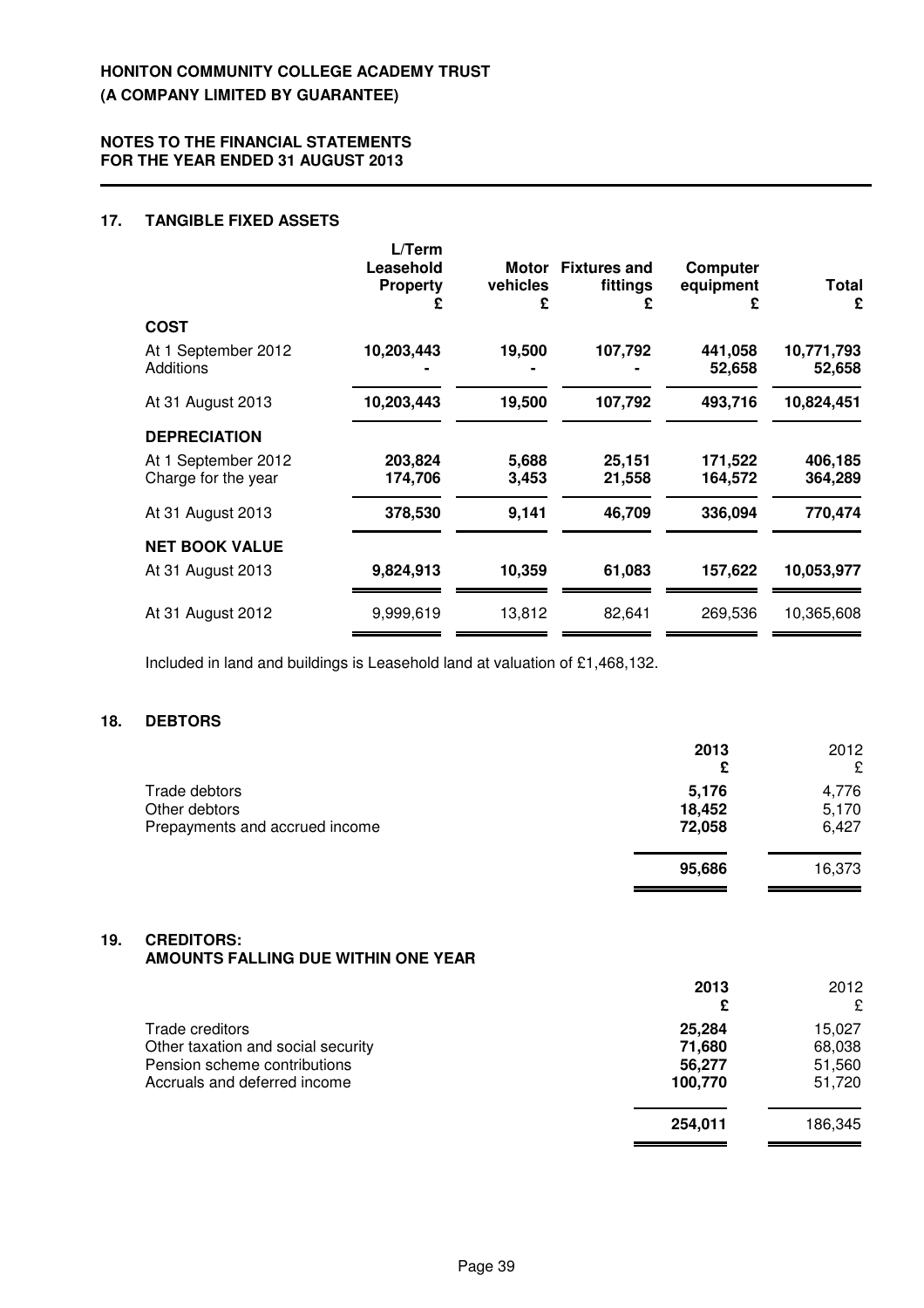#### **NOTES TO THE FINANCIAL STATEMENTS FOR THE YEAR ENDED 31 AUGUST 2013**

### **17. TANGIBLE FIXED ASSETS**

|                                         | L/Term<br>Leasehold<br><b>Property</b> | vehicles<br>£ | Motor Fixtures and<br>fittings<br>£ | Computer<br>equipment<br>£ | <b>Total</b><br>£    |
|-----------------------------------------|----------------------------------------|---------------|-------------------------------------|----------------------------|----------------------|
| <b>COST</b>                             |                                        |               |                                     |                            |                      |
| At 1 September 2012<br><b>Additions</b> | 10,203,443                             | 19,500        | 107,792                             | 441,058<br>52,658          | 10,771,793<br>52,658 |
| At 31 August 2013                       | 10,203,443                             | 19,500        | 107,792                             | 493,716                    | 10,824,451           |
| <b>DEPRECIATION</b>                     |                                        |               |                                     |                            |                      |
| At 1 September 2012                     | 203,824                                | 5,688         | 25,151                              | 171,522                    | 406,185              |
| Charge for the year                     | 174,706                                | 3.453         | 21,558                              | 164,572                    | 364,289              |
| At 31 August 2013                       | 378,530                                | 9,141         | 46,709                              | 336,094                    | 770,474              |
| <b>NET BOOK VALUE</b>                   |                                        |               |                                     |                            |                      |
| At 31 August 2013                       | 9,824,913                              | 10,359        | 61,083                              | 157,622                    | 10,053,977           |
| At 31 August 2012                       | 9,999,619                              | 13,812        | 82,641                              | 269.536                    | 10,365,608           |
|                                         |                                        |               |                                     |                            |                      |

Included in land and buildings is Leasehold land at valuation of £1,468,132.

### **18. DEBTORS**

|                                                                  | 2013<br>£                 | 2012<br>£               |
|------------------------------------------------------------------|---------------------------|-------------------------|
| Trade debtors<br>Other debtors<br>Prepayments and accrued income | 5,176<br>18,452<br>72,058 | 4,776<br>5,170<br>6,427 |
|                                                                  | 95,686                    | 16,373                  |

#### **19. CREDITORS: AMOUNTS FALLING DUE WITHIN ONE YEAR**

| AMOUNTS FALLING DUE WITHIN ONE YEAR |         |         |
|-------------------------------------|---------|---------|
|                                     | 2013    | 2012    |
|                                     | £       | £       |
| Trade creditors                     | 25,284  | 15.027  |
| Other taxation and social security  | 71,680  | 68,038  |
| Pension scheme contributions        | 56,277  | 51,560  |
| Accruals and deferred income        | 100,770 | 51,720  |
|                                     | 254,011 | 186,345 |
|                                     |         |         |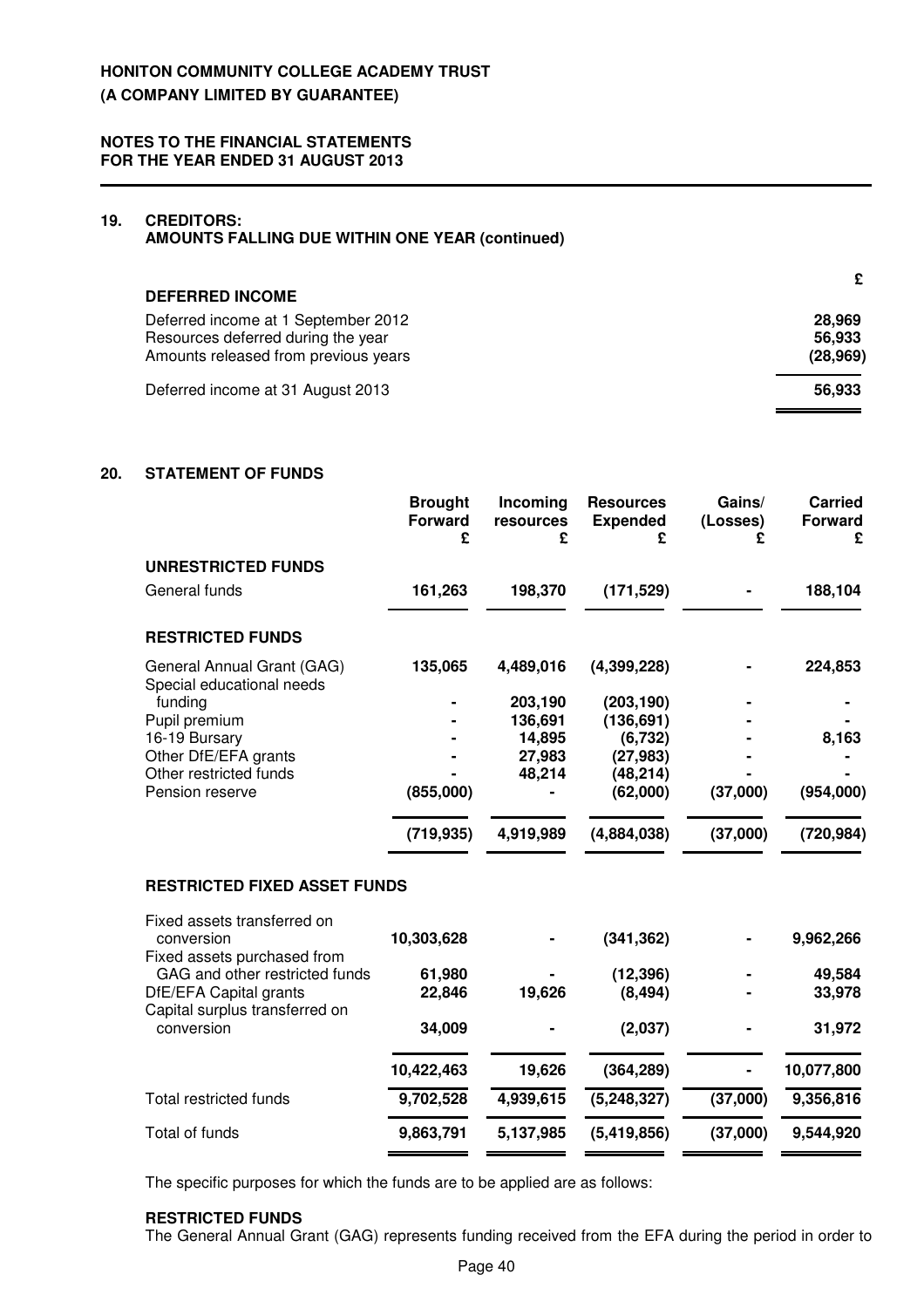### **19. CREDITORS:**

**AMOUNTS FALLING DUE WITHIN ONE YEAR (continued)**

| <b>DEFERRED INCOME</b>                                                    | £                |
|---------------------------------------------------------------------------|------------------|
| Deferred income at 1 September 2012<br>Resources deferred during the year | 28,969<br>56,933 |
| Amounts released from previous years                                      | (28, 969)        |
| Deferred income at 31 August 2013                                         | 56.933           |

### **20. STATEMENT OF FUNDS**

|                                                          | <b>Brought</b><br><b>Forward</b><br>£ | Incoming<br>resources<br>£ | <b>Resources</b><br><b>Expended</b><br>£ | Gains/<br>(Losses)<br>£ | <b>Carried</b><br><b>Forward</b><br>£ |
|----------------------------------------------------------|---------------------------------------|----------------------------|------------------------------------------|-------------------------|---------------------------------------|
| <b>UNRESTRICTED FUNDS</b>                                |                                       |                            |                                          |                         |                                       |
| General funds                                            | 161,263                               | 198,370                    | (171, 529)                               |                         | 188,104                               |
| <b>RESTRICTED FUNDS</b>                                  |                                       |                            |                                          |                         |                                       |
| General Annual Grant (GAG)<br>Special educational needs  | 135,065                               | 4,489,016                  | (4,399,228)                              |                         | 224,853                               |
| funding                                                  |                                       | 203,190                    | (203, 190)                               |                         |                                       |
| Pupil premium                                            |                                       | 136,691                    | (136, 691)                               |                         |                                       |
| 16-19 Bursary                                            |                                       | 14,895                     | (6, 732)                                 |                         | 8,163                                 |
| Other DfE/EFA grants                                     |                                       | 27,983                     | (27, 983)                                |                         |                                       |
| Other restricted funds                                   |                                       | 48,214                     | (48, 214)                                |                         |                                       |
| Pension reserve                                          | (855,000)                             |                            | (62,000)                                 | (37,000)                | (954,000)                             |
|                                                          | (719, 935)                            | 4,919,989                  | (4,884,038)                              | (37,000)                | (720, 984)                            |
| <b>RESTRICTED FIXED ASSET FUNDS</b>                      |                                       |                            |                                          |                         |                                       |
| Fixed assets transferred on                              |                                       |                            |                                          |                         |                                       |
| conversion<br>Fixed assets purchased from                | 10,303,628                            |                            | (341, 362)                               |                         | 9,962,266                             |
| GAG and other restricted funds                           | 61,980                                |                            | (12, 396)                                |                         | 49,584                                |
| DfE/EFA Capital grants<br>Capital surplus transferred on | 22,846                                | 19,626                     | (8, 494)                                 |                         | 33,978                                |
| conversion                                               | 34,009                                |                            | (2,037)                                  |                         | 31,972                                |
|                                                          | 10,422,463                            | 19,626                     | (364, 289)                               |                         | 10,077,800                            |
| Total restricted funds                                   | 9,702,528                             | 4,939,615                  | (5, 248, 327)                            | (37,000)                | 9,356,816                             |
| Total of funds                                           | 9,863,791                             | 5,137,985                  | (5,419,856)                              | (37,000)                | 9,544,920                             |

The specific purposes for which the funds are to be applied are as follows:

### **RESTRICTED FUNDS**

The General Annual Grant (GAG) represents funding received from the EFA during the period in order to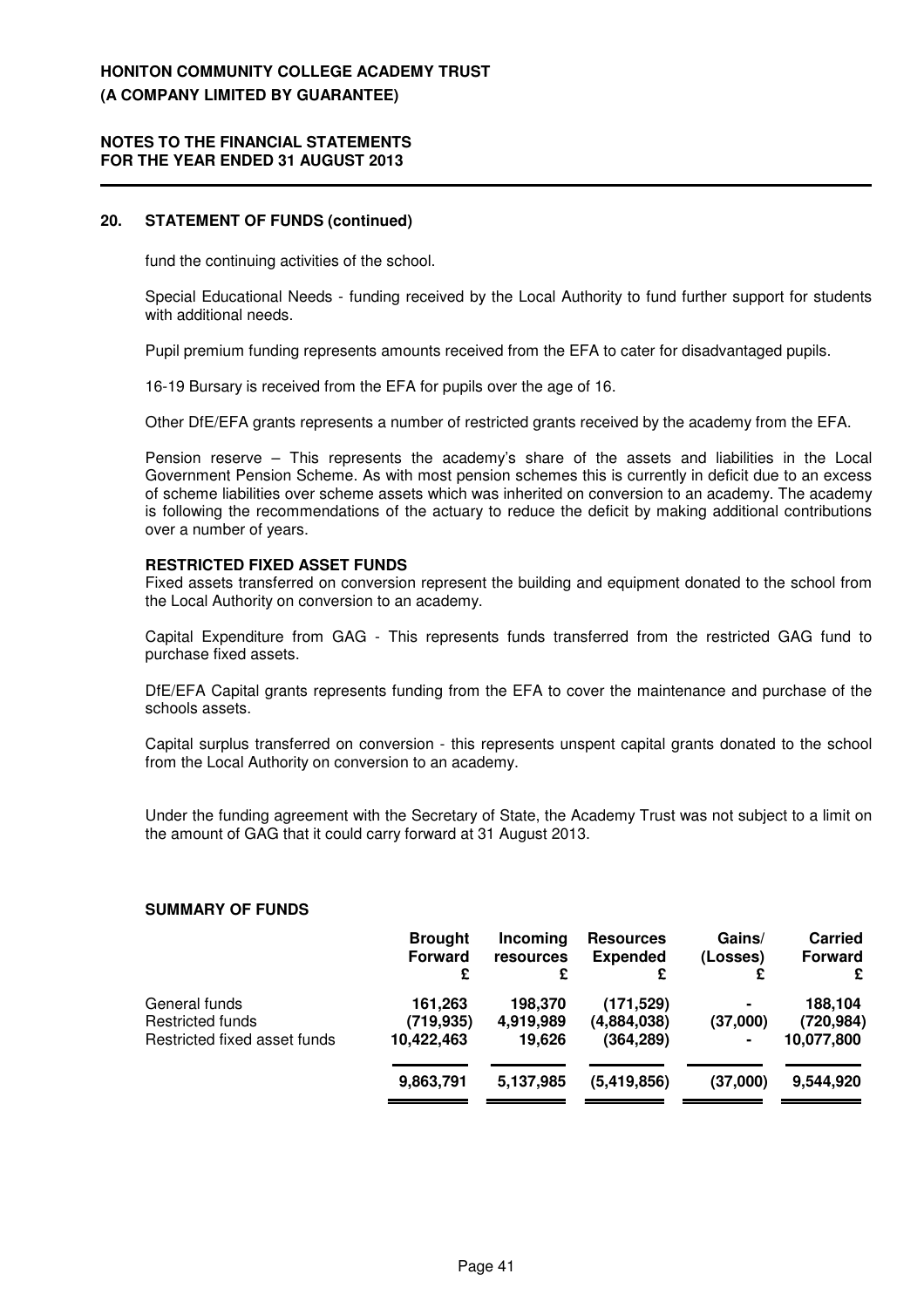#### **NOTES TO THE FINANCIAL STATEMENTS FOR THE YEAR ENDED 31 AUGUST 2013**

#### **20. STATEMENT OF FUNDS (continued)**

fund the continuing activities of the school.

Special Educational Needs - funding received by the Local Authority to fund further support for students with additional needs.

Pupil premium funding represents amounts received from the EFA to cater for disadvantaged pupils.

16-19 Bursary is received from the EFA for pupils over the age of 16.

Other DfE/EFA grants represents a number of restricted grants received by the academy from the EFA.

Pension reserve – This represents the academy's share of the assets and liabilities in the Local Government Pension Scheme. As with most pension schemes this is currently in deficit due to an excess of scheme liabilities over scheme assets which was inherited on conversion to an academy. The academy is following the recommendations of the actuary to reduce the deficit by making additional contributions over a number of years.

#### **RESTRICTED FIXED ASSET FUNDS**

Fixed assets transferred on conversion represent the building and equipment donated to the school from the Local Authority on conversion to an academy.

Capital Expenditure from GAG - This represents funds transferred from the restricted GAG fund to purchase fixed assets.

DfE/EFA Capital grants represents funding from the EFA to cover the maintenance and purchase of the schools assets.

Capital surplus transferred on conversion - this represents unspent capital grants donated to the school from the Local Authority on conversion to an academy.

Under the funding agreement with the Secretary of State, the Academy Trust was not subject to a limit on the amount of GAG that it could carry forward at 31 August 2013.

#### **SUMMARY OF FUNDS**

|                                                                   | <b>Brought</b><br><b>Forward</b><br>£ | Incoming<br>resources<br>£     | <b>Resources</b><br><b>Expended</b><br>£ | Gains/<br>(Losses)              | <b>Carried</b><br><b>Forward</b><br>£ |
|-------------------------------------------------------------------|---------------------------------------|--------------------------------|------------------------------------------|---------------------------------|---------------------------------------|
| General funds<br>Restricted funds<br>Restricted fixed asset funds | 161,263<br>(719,935)<br>10,422,463    | 198.370<br>4,919,989<br>19.626 | (171, 529)<br>(4,884,038)<br>(364, 289)  | $\blacksquare$<br>(37,000)<br>۰ | 188,104<br>(720, 984)<br>10,077,800   |
|                                                                   | 9,863,791                             | 5,137,985                      | (5,419,856)                              | (37,000)                        | 9,544,920                             |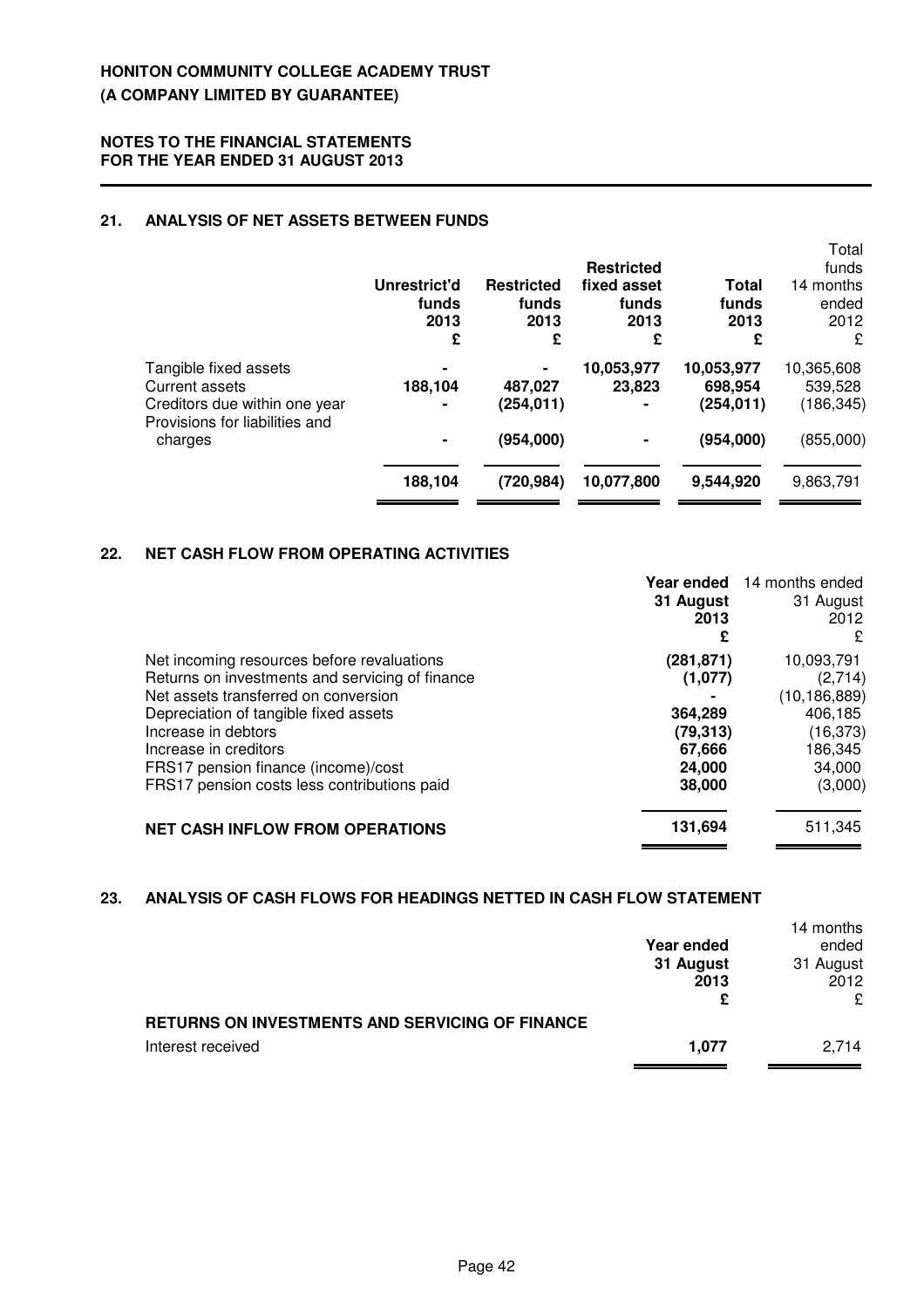### **21. ANALYSIS OF NET ASSETS BETWEEN FUNDS**

|                                                        | Unrestrict'd<br>funds<br>2013<br>£ | <b>Restricted</b><br>funds<br>2013<br>£ | <b>Restricted</b><br>fixed asset<br>funds<br>2013<br>£ | Total<br>funds<br>2013<br>£ | Total<br>funds<br>14 months<br>ended<br>2012<br>£ |
|--------------------------------------------------------|------------------------------------|-----------------------------------------|--------------------------------------------------------|-----------------------------|---------------------------------------------------|
| Tangible fixed assets                                  | ۰                                  |                                         | 10,053,977                                             | 10,053,977                  | 10,365,608                                        |
| <b>Current assets</b><br>Creditors due within one year | 188,104<br>۰                       | 487,027<br>(254, 011)                   | 23,823                                                 | 698,954<br>(254, 011)       | 539,528<br>(186, 345)                             |
| Provisions for liabilities and<br>charges              | ۰                                  | (954,000)                               |                                                        | (954,000)                   | (855,000)                                         |
|                                                        | 188,104                            | (720, 984)                              | 10,077,800                                             | 9,544,920                   | 9,863,791                                         |

### **22. NET CASH FLOW FROM OPERATING ACTIVITIES**

|                                                 | Year ended<br>31 August<br>2013<br>£ | 14 months ended<br>31 August<br>2012<br>£ |
|-------------------------------------------------|--------------------------------------|-------------------------------------------|
| Net incoming resources before revaluations      | (281, 871)                           | 10,093,791                                |
| Returns on investments and servicing of finance | (1,077)                              | (2,714)                                   |
| Net assets transferred on conversion            |                                      | (10, 186, 889)                            |
| Depreciation of tangible fixed assets           | 364,289                              | 406.185                                   |
| Increase in debtors                             | (79, 313)                            | (16, 373)                                 |
| Increase in creditors                           | 67,666                               | 186,345                                   |
| FRS17 pension finance (income)/cost             | 24,000                               | 34,000                                    |
| FRS17 pension costs less contributions paid     | 38,000                               | (3,000)                                   |
| <b>NET CASH INFLOW FROM OPERATIONS</b>          | 131,694                              | 511,345                                   |

### **23. ANALYSIS OF CASH FLOWS FOR HEADINGS NETTED IN CASH FLOW STATEMENT**

|                                                 |                   | 14 months |
|-------------------------------------------------|-------------------|-----------|
|                                                 | <b>Year ended</b> | ended     |
|                                                 | 31 August         | 31 August |
|                                                 | 2013              | 2012      |
|                                                 |                   | ç         |
| RETURNS ON INVESTMENTS AND SERVICING OF FINANCE |                   |           |
| Interest received                               | 1.077             | 2.714     |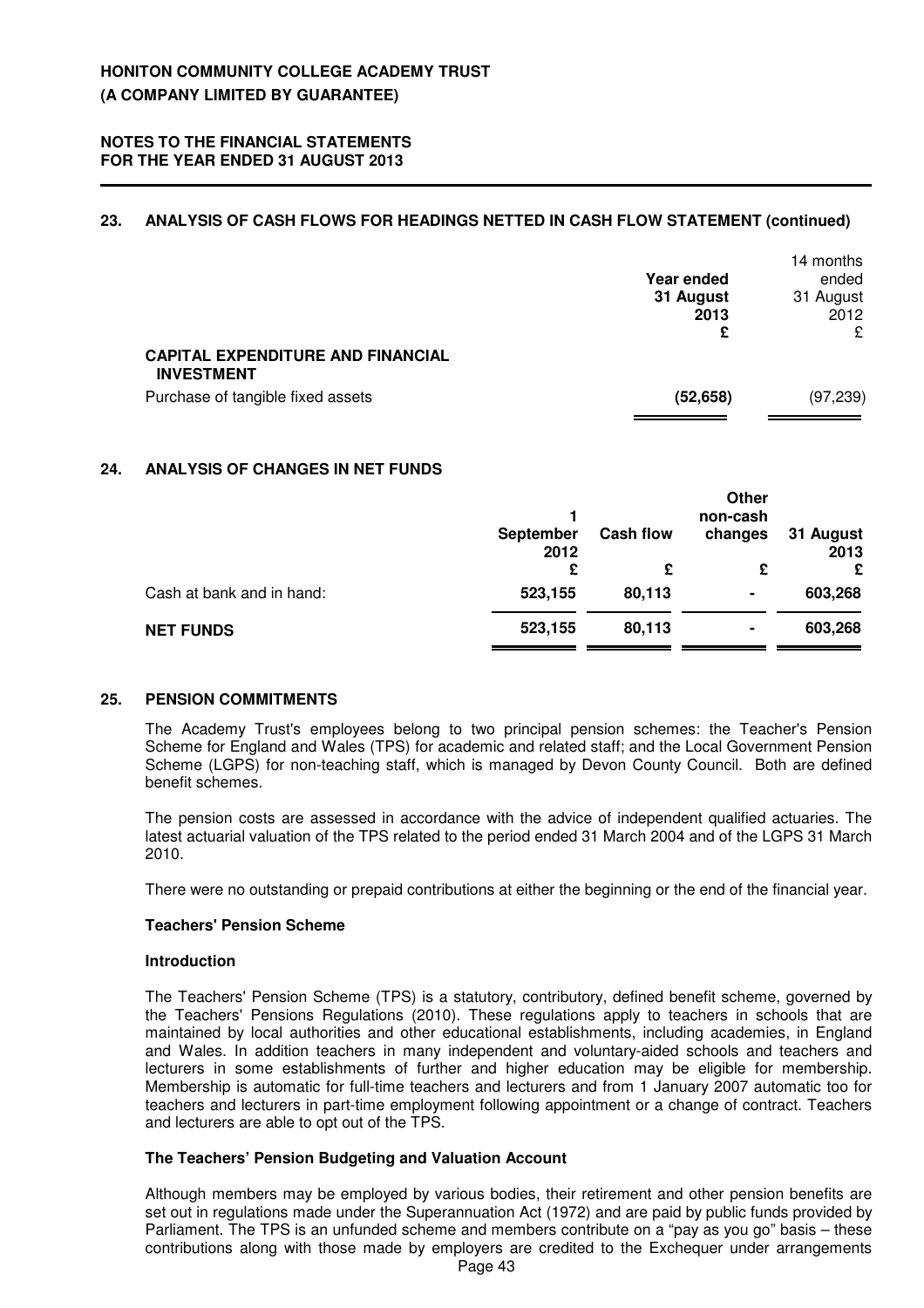### **23. ANALYSIS OF CASH FLOWS FOR HEADINGS NETTED IN CASH FLOW STATEMENT (continued)**

|                                                               | Year ended        | 14 months<br>ended |
|---------------------------------------------------------------|-------------------|--------------------|
|                                                               | 31 August<br>2013 | 31 August<br>2012  |
|                                                               | £                 | £                  |
| <b>CAPITAL EXPENDITURE AND FINANCIAL</b><br><b>INVESTMENT</b> |                   |                    |
| Purchase of tangible fixed assets                             | (52, 658)         | (97, 239)          |

### **24. ANALYSIS OF CHANGES IN NET FUNDS**

|                           |                   |                  | Other<br>non-cash |                   |
|---------------------------|-------------------|------------------|-------------------|-------------------|
|                           | September<br>2012 | <b>Cash flow</b> | changes           | 31 August<br>2013 |
|                           | £                 | £                | £                 | £                 |
| Cash at bank and in hand: | 523,155           | 80,113           | ۰                 | 603,268           |
| <b>NET FUNDS</b>          | 523,155           | 80,113           | ۰                 | 603,268           |

### **25. PENSION COMMITMENTS**

The Academy Trust's employees belong to two principal pension schemes: the Teacher's Pension Scheme for England and Wales (TPS) for academic and related staff; and the Local Government Pension Scheme (LGPS) for non-teaching staff, which is managed by Devon County Council. Both are defined benefit schemes.

The pension costs are assessed in accordance with the advice of independent qualified actuaries. The latest actuarial valuation of the TPS related to the period ended 31 March 2004 and of the LGPS 31 March 2010.

There were no outstanding or prepaid contributions at either the beginning or the end of the financial year.

### **Teachers' Pension Scheme**

#### **Introduction**

The Teachers' Pension Scheme (TPS) is a statutory, contributory, defined benefit scheme, governed by the Teachers' Pensions Regulations (2010). These regulations apply to teachers in schools that are maintained by local authorities and other educational establishments, including academies, in England and Wales. In addition teachers in many independent and voluntary-aided schools and teachers and lecturers in some establishments of further and higher education may be eligible for membership. Membership is automatic for full-time teachers and lecturers and from 1 January 2007 automatic too for teachers and lecturers in part-time employment following appointment or a change of contract. Teachers and lecturers are able to opt out of the TPS.

#### **The Teachers' Pension Budgeting and Valuation Account**

Although members may be employed by various bodies, their retirement and other pension benefits are set out in regulations made under the Superannuation Act (1972) and are paid by public funds provided by Parliament. The TPS is an unfunded scheme and members contribute on a "pay as you go" basis – these contributions along with those made by employers are credited to the Exchequer under arrangements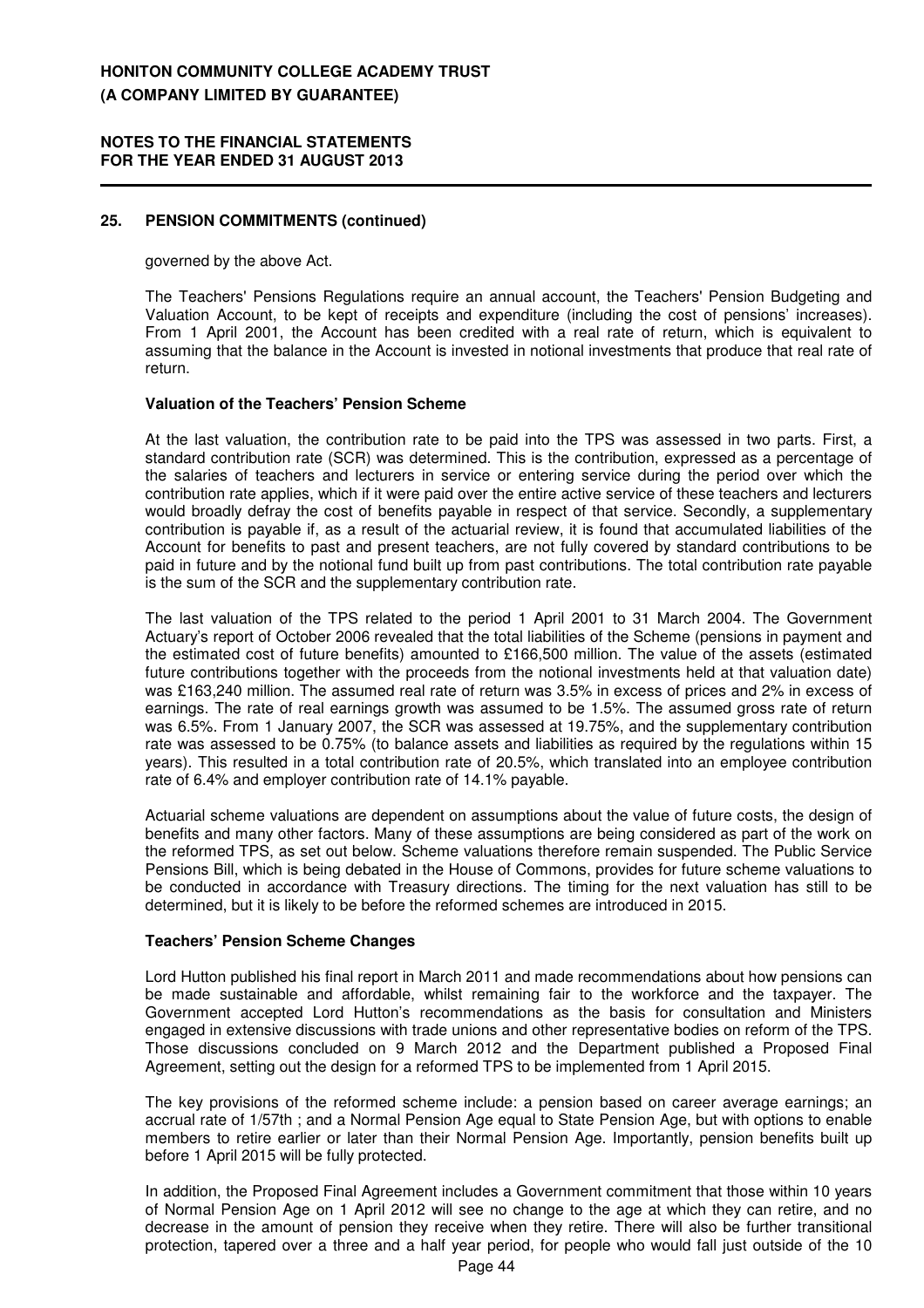#### **NOTES TO THE FINANCIAL STATEMENTS FOR THE YEAR ENDED 31 AUGUST 2013**

### **25. PENSION COMMITMENTS (continued)**

governed by the above Act.

The Teachers' Pensions Regulations require an annual account, the Teachers' Pension Budgeting and Valuation Account, to be kept of receipts and expenditure (including the cost of pensions' increases). From 1 April 2001, the Account has been credited with a real rate of return, which is equivalent to assuming that the balance in the Account is invested in notional investments that produce that real rate of return.

#### **Valuation of the Teachers' Pension Scheme**

At the last valuation, the contribution rate to be paid into the TPS was assessed in two parts. First, a standard contribution rate (SCR) was determined. This is the contribution, expressed as a percentage of the salaries of teachers and lecturers in service or entering service during the period over which the contribution rate applies, which if it were paid over the entire active service of these teachers and lecturers would broadly defray the cost of benefits payable in respect of that service. Secondly, a supplementary contribution is payable if, as a result of the actuarial review, it is found that accumulated liabilities of the Account for benefits to past and present teachers, are not fully covered by standard contributions to be paid in future and by the notional fund built up from past contributions. The total contribution rate payable is the sum of the SCR and the supplementary contribution rate.

The last valuation of the TPS related to the period 1 April 2001 to 31 March 2004. The Government Actuary's report of October 2006 revealed that the total liabilities of the Scheme (pensions in payment and the estimated cost of future benefits) amounted to £166,500 million. The value of the assets (estimated future contributions together with the proceeds from the notional investments held at that valuation date) was £163,240 million. The assumed real rate of return was 3.5% in excess of prices and 2% in excess of earnings. The rate of real earnings growth was assumed to be 1.5%. The assumed gross rate of return was 6.5%. From 1 January 2007, the SCR was assessed at 19.75%, and the supplementary contribution rate was assessed to be 0.75% (to balance assets and liabilities as required by the regulations within 15 years). This resulted in a total contribution rate of 20.5%, which translated into an employee contribution rate of 6.4% and employer contribution rate of 14.1% payable.

Actuarial scheme valuations are dependent on assumptions about the value of future costs, the design of benefits and many other factors. Many of these assumptions are being considered as part of the work on the reformed TPS, as set out below. Scheme valuations therefore remain suspended. The Public Service Pensions Bill, which is being debated in the House of Commons, provides for future scheme valuations to be conducted in accordance with Treasury directions. The timing for the next valuation has still to be determined, but it is likely to be before the reformed schemes are introduced in 2015.

#### **Teachers' Pension Scheme Changes**

Lord Hutton published his final report in March 2011 and made recommendations about how pensions can be made sustainable and affordable, whilst remaining fair to the workforce and the taxpayer. The Government accepted Lord Hutton's recommendations as the basis for consultation and Ministers engaged in extensive discussions with trade unions and other representative bodies on reform of the TPS. Those discussions concluded on 9 March 2012 and the Department published a Proposed Final Agreement, setting out the design for a reformed TPS to be implemented from 1 April 2015.

The key provisions of the reformed scheme include: a pension based on career average earnings; an accrual rate of 1/57th ; and a Normal Pension Age equal to State Pension Age, but with options to enable members to retire earlier or later than their Normal Pension Age. Importantly, pension benefits built up before 1 April 2015 will be fully protected.

In addition, the Proposed Final Agreement includes a Government commitment that those within 10 years of Normal Pension Age on 1 April 2012 will see no change to the age at which they can retire, and no decrease in the amount of pension they receive when they retire. There will also be further transitional protection, tapered over a three and a half year period, for people who would fall just outside of the 10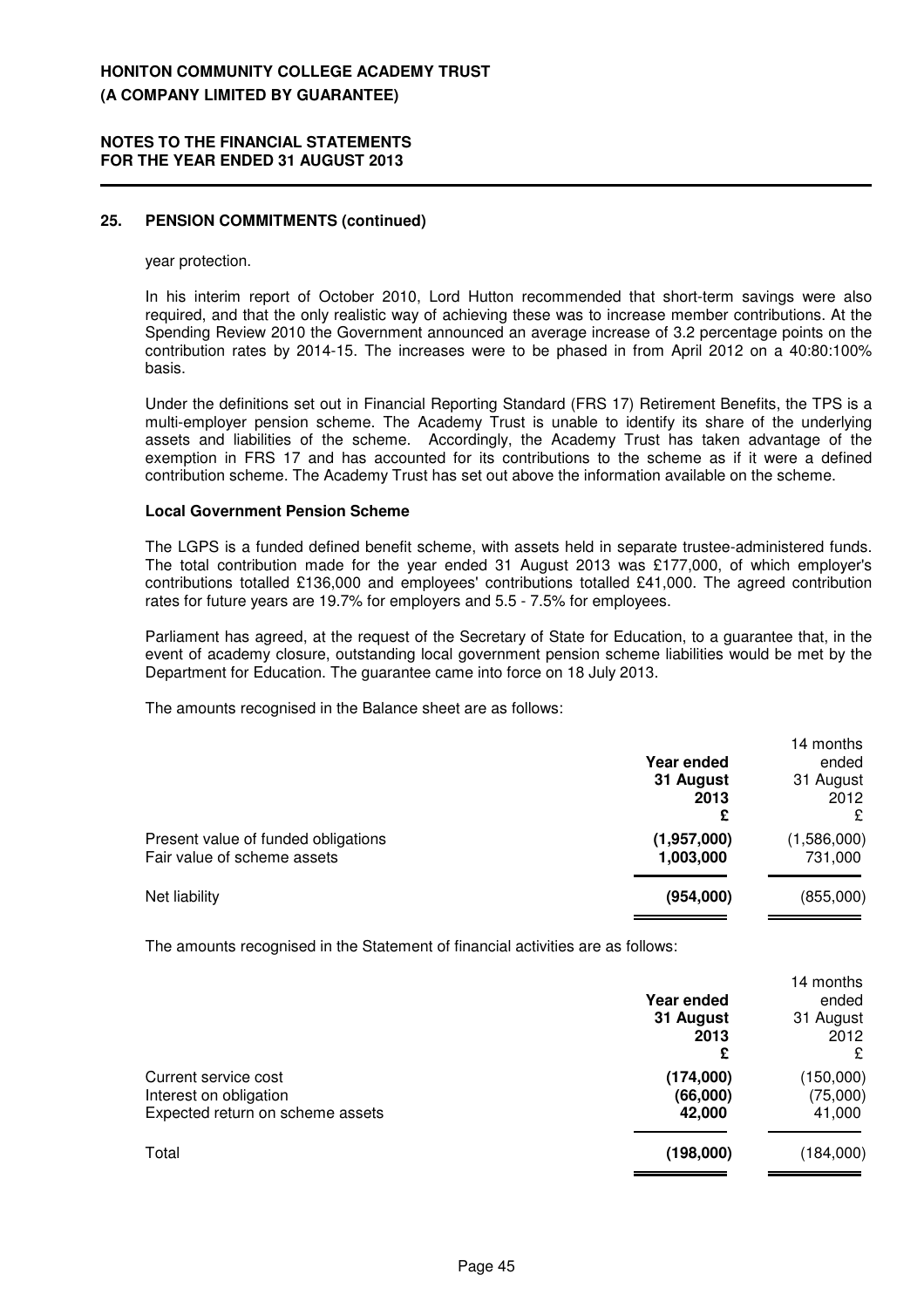#### **NOTES TO THE FINANCIAL STATEMENTS FOR THE YEAR ENDED 31 AUGUST 2013**

### **25. PENSION COMMITMENTS (continued)**

#### year protection.

In his interim report of October 2010, Lord Hutton recommended that short-term savings were also required, and that the only realistic way of achieving these was to increase member contributions. At the Spending Review 2010 the Government announced an average increase of 3.2 percentage points on the contribution rates by 2014-15. The increases were to be phased in from April 2012 on a 40:80:100% basis.

Under the definitions set out in Financial Reporting Standard (FRS 17) Retirement Benefits, the TPS is a multi-employer pension scheme. The Academy Trust is unable to identify its share of the underlying assets and liabilities of the scheme. Accordingly, the Academy Trust has taken advantage of the exemption in FRS 17 and has accounted for its contributions to the scheme as if it were a defined contribution scheme. The Academy Trust has set out above the information available on the scheme.

#### **Local Government Pension Scheme**

The LGPS is a funded defined benefit scheme, with assets held in separate trustee-administered funds. The total contribution made for the year ended 31 August 2013 was £177,000, of which employer's contributions totalled £136,000 and employees' contributions totalled £41,000. The agreed contribution rates for future years are 19.7% for employers and 5.5 - 7.5% for employees.

Parliament has agreed, at the request of the Secretary of State for Education, to a guarantee that, in the event of academy closure, outstanding local government pension scheme liabilities would be met by the Department for Education. The guarantee came into force on 18 July 2013.

The amounts recognised in the Balance sheet are as follows:

|                                                                    | Year ended               | 14 months<br>ended     |
|--------------------------------------------------------------------|--------------------------|------------------------|
|                                                                    | 31 August<br>2013<br>£   | 31 August<br>2012<br>£ |
| Present value of funded obligations<br>Fair value of scheme assets | (1,957,000)<br>1,003,000 | (1,586,000)<br>731,000 |
| Net liability                                                      | (954,000)                | (855,000)              |

The amounts recognised in the Statement of financial activities are as follows:

|                                                                                    | Year ended<br>31 August         | 14 months<br>ended<br>31 August |
|------------------------------------------------------------------------------------|---------------------------------|---------------------------------|
|                                                                                    | 2013<br>£                       | 2012<br>£                       |
| Current service cost<br>Interest on obligation<br>Expected return on scheme assets | (174,000)<br>(66,000)<br>42,000 | (150,000)<br>(75,000)<br>41,000 |
| Total                                                                              | (198,000)                       | (184,000)                       |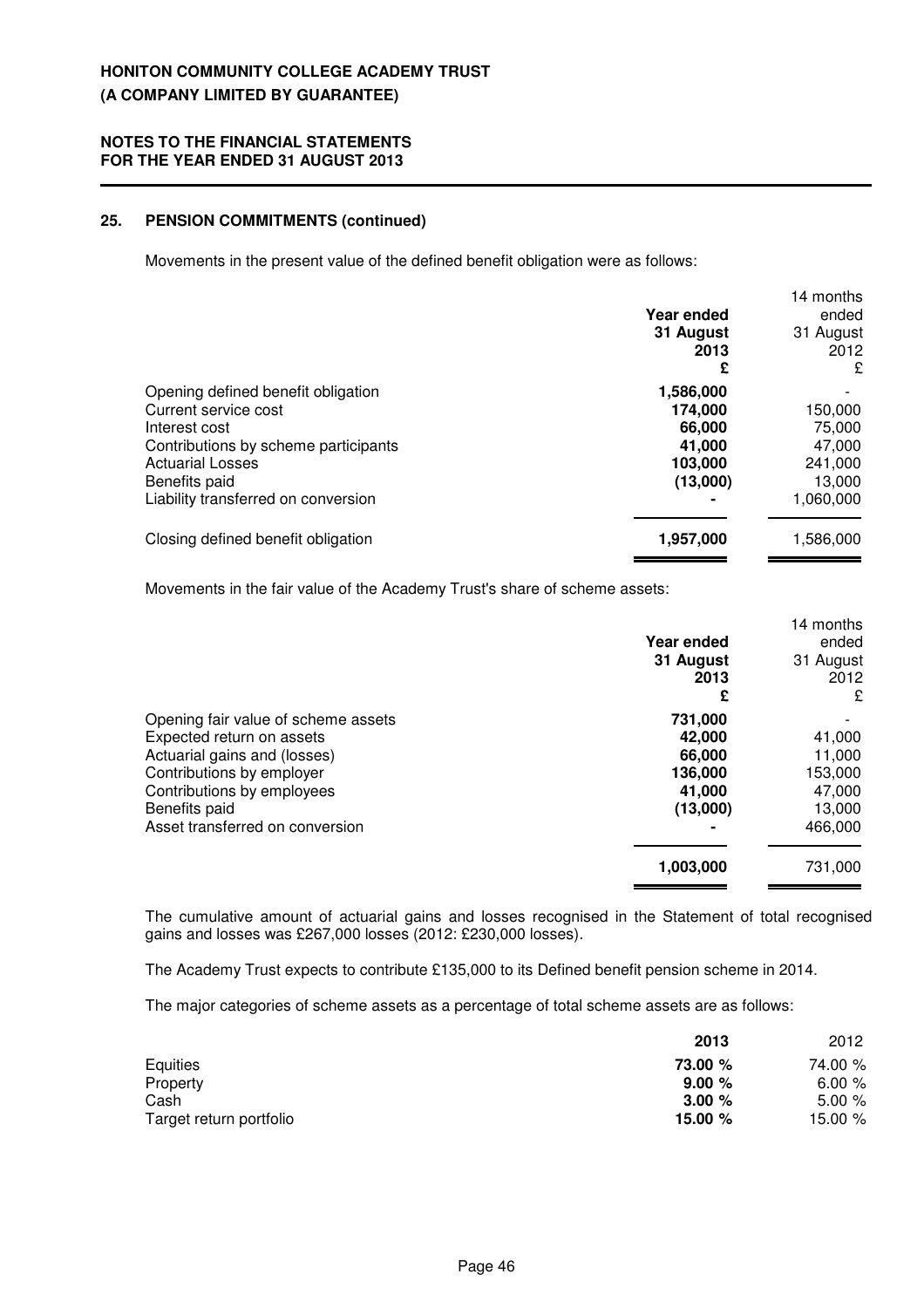### **25. PENSION COMMITMENTS (continued)**

Movements in the present value of the defined benefit obligation were as follows:

|                                                                                                                                                                 | Year ended<br>31 August<br>2013<br>£                            | 14 months<br>ended<br>31 August<br>2012<br>£     |
|-----------------------------------------------------------------------------------------------------------------------------------------------------------------|-----------------------------------------------------------------|--------------------------------------------------|
| Opening defined benefit obligation<br>Current service cost<br>Interest cost<br>Contributions by scheme participants<br><b>Actuarial Losses</b><br>Benefits paid | 1,586,000<br>174,000<br>66,000<br>41.000<br>103,000<br>(13,000) | 150,000<br>75,000<br>47,000<br>241,000<br>13,000 |
| Liability transferred on conversion<br>Closing defined benefit obligation                                                                                       | 1,957,000                                                       | 1,060,000<br>1,586,000                           |

Movements in the fair value of the Academy Trust's share of scheme assets:

|                                     |            | 14 months |
|-------------------------------------|------------|-----------|
|                                     | Year ended | ended     |
|                                     | 31 August  | 31 August |
|                                     | 2013       | 2012      |
|                                     | £          | £         |
| Opening fair value of scheme assets | 731,000    |           |
| Expected return on assets           | 42,000     | 41,000    |
| Actuarial gains and (losses)        | 66,000     | 11,000    |
| Contributions by employer           | 136,000    | 153,000   |
| Contributions by employees          | 41,000     | 47,000    |
| Benefits paid                       | (13,000)   | 13,000    |
| Asset transferred on conversion     |            | 466,000   |
|                                     | 1,003,000  | 731,000   |
|                                     |            |           |

The cumulative amount of actuarial gains and losses recognised in the Statement of total recognised gains and losses was £267,000 losses (2012: £230,000 losses).

The Academy Trust expects to contribute £135,000 to its Defined benefit pension scheme in 2014.

The major categories of scheme assets as a percentage of total scheme assets are as follows:

|                         | 2013    | 2012    |  |
|-------------------------|---------|---------|--|
| Equities                | 73.00 % | 74.00 % |  |
| Property                | 9.00%   | 6.00%   |  |
| Cash                    | 3.00%   | 5.00%   |  |
| Target return portfolio | 15.00 % | 15.00 % |  |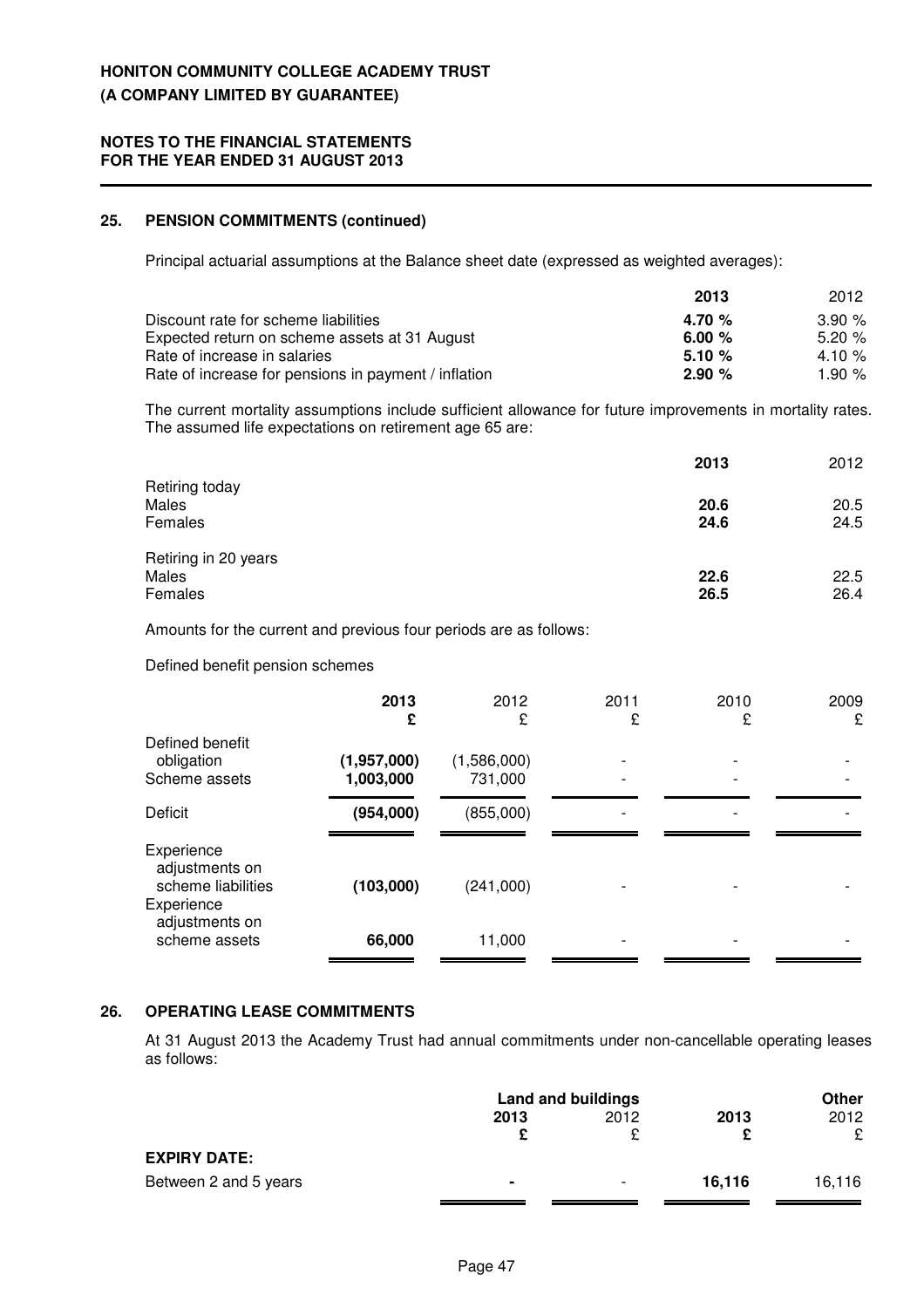### **25. PENSION COMMITMENTS (continued)**

Principal actuarial assumptions at the Balance sheet date (expressed as weighted averages):

|                                                      | 2013     | 2012     |
|------------------------------------------------------|----------|----------|
| Discount rate for scheme liabilities                 | 4.70 $%$ | $3.90\%$ |
| Expected return on scheme assets at 31 August        | 6.00 $%$ | 5.20%    |
| Rate of increase in salaries                         | 5.10%    | 4.10 $%$ |
| Rate of increase for pensions in payment / inflation | 2.90%    | 1.90 $%$ |

The current mortality assumptions include sufficient allowance for future improvements in mortality rates. The assumed life expectations on retirement age 65 are:

|                      | 2013 | 2012 |
|----------------------|------|------|
| Retiring today       |      |      |
| Males                | 20.6 | 20.5 |
| Females              | 24.6 | 24.5 |
| Retiring in 20 years |      |      |
| Males                | 22.6 | 22.5 |
| Females              | 26.5 | 26.4 |

Amounts for the current and previous four periods are as follows:

#### Defined benefit pension schemes

| 2013<br>£                | 2012<br>£              | 2011<br>£ | 2010<br>£ | 2009<br>£ |
|--------------------------|------------------------|-----------|-----------|-----------|
| (1,957,000)<br>1,003,000 | (1,586,000)<br>731,000 |           |           |           |
| (954,000)                | (855,000)              |           |           |           |
| (103,000)<br>66,000      | (241,000)<br>11,000    |           |           |           |
|                          |                        |           |           |           |

### **26. OPERATING LEASE COMMITMENTS**

At 31 August 2013 the Academy Trust had annual commitments under non-cancellable operating leases as follows:

|                       | Land and buildings |                          | Other  |        |
|-----------------------|--------------------|--------------------------|--------|--------|
|                       | 2013               | 2012                     | 2013   | 2012   |
|                       |                    |                          |        | £      |
| <b>EXPIRY DATE:</b>   |                    |                          |        |        |
| Between 2 and 5 years | $\blacksquare$     | $\overline{\phantom{0}}$ | 16.116 | 16.116 |